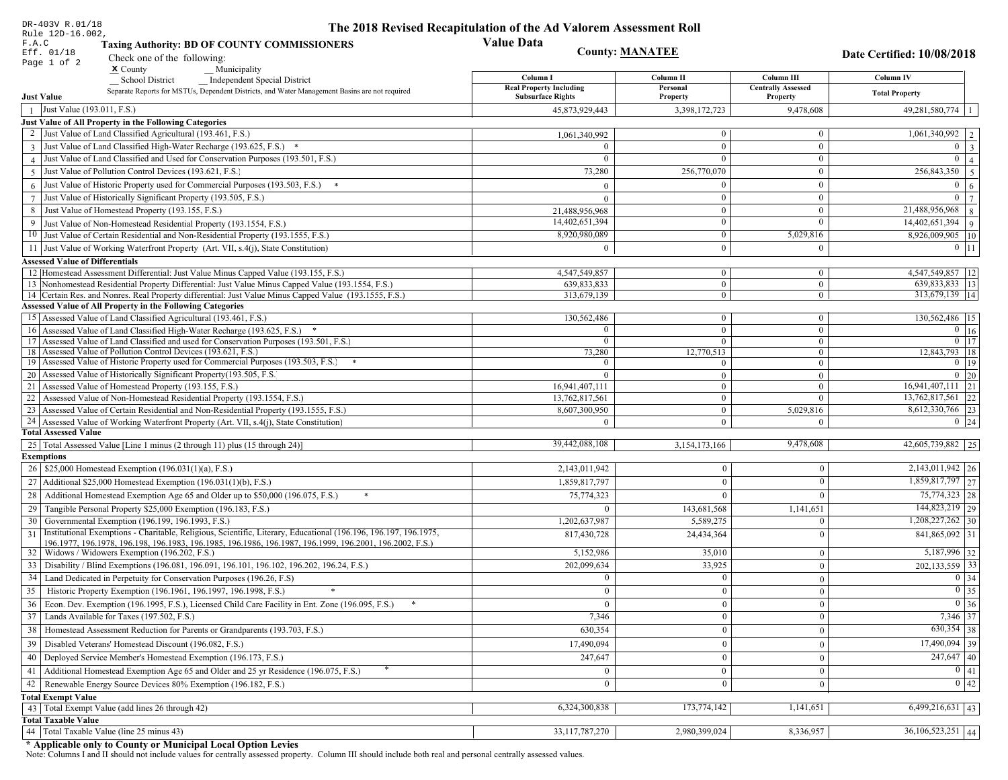| DR-403V R.01/18                                                                                                                                                                          | The 2018 Revised Recapitulation of the Ad Valorem Assessment Roll |                              |                                       |                                                     |
|------------------------------------------------------------------------------------------------------------------------------------------------------------------------------------------|-------------------------------------------------------------------|------------------------------|---------------------------------------|-----------------------------------------------------|
| Rule 12D-16.002,<br>F.A.C<br><b>Taxing Authority: BD OF COUNTY COMMISSIONERS</b>                                                                                                         | <b>Value Data</b>                                                 |                              |                                       |                                                     |
| Eff. 01/18<br>Check one of the following:                                                                                                                                                | <b>County: MANATEE</b>                                            |                              |                                       | Date Certified: 10/08/2018                          |
| Page 1 of 2<br>$x$ County<br>Municipality                                                                                                                                                |                                                                   |                              |                                       |                                                     |
| School District<br><b>Independent Special District</b>                                                                                                                                   | Column I                                                          | Column II                    | Column III                            | Column IV                                           |
| Separate Reports for MSTUs, Dependent Districts, and Water Management Basins are not required<br><b>Just Value</b>                                                                       | <b>Real Property Including</b><br><b>Subsurface Rights</b>        | Personal<br>Property         | <b>Centrally Assessed</b><br>Property | <b>Total Property</b>                               |
| Just Value (193.011, F.S.)<br>$\overline{1}$                                                                                                                                             | 45,873,929,443                                                    | 3,398,172,723                | 9,478,608                             | $49,281,580,774$   1                                |
| Just Value of All Property in the Following Categories                                                                                                                                   |                                                                   |                              |                                       |                                                     |
| 2 Just Value of Land Classified Agricultural (193.461, F.S.)                                                                                                                             | 1,061,340,992                                                     | $\overline{0}$               | $\boldsymbol{0}$                      | 1,061,340,992   2                                   |
| 3 Just Value of Land Classified High-Water Recharge (193.625, F.S.) *                                                                                                                    |                                                                   | $\mathbf{0}$                 | $\mathbf{0}$                          | $0 \mid 3$                                          |
| 4 Just Value of Land Classified and Used for Conservation Purposes (193.501, F.S.)                                                                                                       | $\Omega$                                                          | $\Omega$                     | $\boldsymbol{0}$                      | $\overline{0}$<br>$\overline{4}$                    |
| Just Value of Pollution Control Devices (193.621, F.S.)<br>$\overline{5}$                                                                                                                | 73,280                                                            | 256,770,070                  | $\boldsymbol{0}$                      | $\overline{256,843,350}$ 5                          |
| $6$ Just Value of Historic Property used for Commercial Purposes (193.503, F.S.) $*$                                                                                                     | $\Omega$                                                          | $\Omega$                     | $\boldsymbol{0}$                      | $\overline{0}$<br>$\overline{6}$                    |
| 7 Just Value of Historically Significant Property (193.505, F.S.)                                                                                                                        | $\Omega$                                                          | $\mathbf{0}$                 | $\boldsymbol{0}$                      | $\overline{0}$   7                                  |
| 8 Just Value of Homestead Property (193.155, F.S.)                                                                                                                                       | 21,488,956,968                                                    | $\bf{0}$                     | $\boldsymbol{0}$                      | $21,488,956,968$ 8                                  |
| 9 Just Value of Non-Homestead Residential Property (193.1554, F.S.)                                                                                                                      | 14,402,651,394                                                    | $\overline{0}$               | $\Omega$                              | $14,402,651,394$ 9                                  |
| 10 Just Value of Certain Residential and Non-Residential Property (193.1555, F.S.)                                                                                                       | 8,920,980,089                                                     | $\mathbf{0}$                 | 5,029,816                             | 8,926,009,905   10                                  |
| 11 Just Value of Working Waterfront Property (Art. VII, s.4(j), State Constitution)                                                                                                      | $\Omega$                                                          | $\theta$                     | $\mathbf{0}$                          | $0 \;   \; 11$                                      |
|                                                                                                                                                                                          |                                                                   |                              |                                       |                                                     |
| <b>Assessed Value of Differentials</b>                                                                                                                                                   |                                                                   |                              |                                       |                                                     |
| 12 Homestead Assessment Differential: Just Value Minus Capped Value (193.155, F.S.)<br>13 Nonhomestead Residential Property Differential: Just Value Minus Capped Value (193.1554, F.S.) | 4,547,549,857<br>639,833,833                                      | $\mathbf{0}$<br>$\mathbf{0}$ | $\boldsymbol{0}$<br>$\mathbf{0}$      | 4,547,549,857   12<br>$\overline{639,833,833}$   13 |
| 14 Certain Res. and Nonres. Real Property differential: Just Value Minus Capped Value (193.1555, F.S.)                                                                                   | 313,679,139                                                       | $\mathbf{0}$                 | $\mathbf{0}$                          | 313,679,139   14                                    |
| <b>Assessed Value of All Property in the Following Categories</b>                                                                                                                        |                                                                   |                              |                                       |                                                     |
| 15 Assessed Value of Land Classified Agricultural (193.461, F.S.)                                                                                                                        | 130,562,486                                                       | $\mathbf{0}$                 | $\mathbf{0}$                          | 130,562,486   15                                    |
| 16 Assessed Value of Land Classified High-Water Recharge (193.625, F.S.)                                                                                                                 | $\Omega$                                                          | $\overline{0}$               | $\boldsymbol{0}$                      | $\boxed{0}$ $\boxed{16}$                            |
| 17 Assessed Value of Land Classified and used for Conservation Purposes (193.501, F.S.)                                                                                                  | $\mathbf{0}$                                                      | $\mathbf{0}$                 | $\mathbf{0}$                          | $\overline{0}$ 17                                   |
| 18 Assessed Value of Pollution Control Devices (193.621, F.S.)                                                                                                                           | 73,280                                                            | 12,770,513                   | $\overline{0}$                        | 12,843,793 18                                       |
| 19 Assessed Value of Historic Property used for Commercial Purposes (193.503, F.S.)                                                                                                      | $\theta$                                                          | $\Omega$                     | $\mathbf{0}$                          | $0 \mid 19$                                         |
| 20 Assessed Value of Historically Significant Property (193.505, F.S.                                                                                                                    | $\theta$                                                          | $\overline{0}$               | $\overline{0}$                        | $0 \mid 20$                                         |
| 21 Assessed Value of Homestead Property (193.155, F.S.)                                                                                                                                  | 16,941,407,111                                                    | $\mathbf{0}$                 | $\mathbf{0}$                          | $16,941,407,111$ 21                                 |
| 22 Assessed Value of Non-Homestead Residential Property (193.1554, F.S.)                                                                                                                 | 13,762,817,561                                                    | $\overline{0}$               | $\mathbf{0}$                          | 13,762,817,561 22                                   |
| 23 Assessed Value of Certain Residential and Non-Residential Property (193.1555, F.S.)                                                                                                   | 8,607,300,950                                                     | $\mathbf{0}$                 | 5,029,816                             | 8,612,330,766 23                                    |
| 24 Assessed Value of Working Waterfront Property (Art. VII, s.4(j), State Constitution                                                                                                   | $\Omega$                                                          | $\overline{0}$               | $\Omega$                              | $0 \mid 24$                                         |
| <b>Total Assessed Value</b>                                                                                                                                                              |                                                                   |                              |                                       |                                                     |
| 25   Total Assessed Value [Line 1 minus (2 through 11) plus (15 through 24)]                                                                                                             | 39,442,088,108                                                    | 3,154,173,166                | 9,478,608                             | 42,605,739,882 25                                   |
| <b>Exemptions</b>                                                                                                                                                                        |                                                                   |                              |                                       |                                                     |
| 26   \$25,000 Homestead Exemption (196.031(1)(a), F.S.)                                                                                                                                  | 2,143,011,942                                                     | $\Omega$                     | $\Omega$                              | $\overline{2,143,011,942}$ 26                       |
| 27   Additional \$25,000 Homestead Exemption (196.031(1)(b), F.S.)                                                                                                                       | 1,859,817,797                                                     | $\theta$                     | $\Omega$                              | 1,859,817,797 27                                    |
| 28 Additional Homestead Exemption Age 65 and Older up to \$50,000 (196.075, F.S.)                                                                                                        | 75,774,323                                                        | $\Omega$                     | $\Omega$                              | 75,774,323 28                                       |
| 29 Tangible Personal Property \$25,000 Exemption (196.183, F.S.)                                                                                                                         | $\theta$                                                          | 143,681,568                  | 1,141,651                             | 144,823,219 29                                      |
| 30 Governmental Exemption (196.199, 196.1993, F.S.)                                                                                                                                      | 1,202,637,987                                                     | 5,589,275                    | $\Omega$                              | $1,208,227,262$ 30                                  |
| Institutional Exemptions - Charitable, Religious, Scientific, Literary, Educational (196.196, 196.197, 196.1975,<br>31                                                                   | 817,430,728                                                       | 24,434,364                   | $\Omega$                              | 841,865,092 31                                      |
| 196.1977, 196.1978, 196.198, 196.1983, 196.1985, 196.1986, 196.1987, 196.1999, 196.2001, 196.2002, F.S.)<br>32   Widows / Widowers Exemption (196.202, F.S.)                             |                                                                   |                              |                                       | 5,187,996 32                                        |
|                                                                                                                                                                                          | 5,152,986                                                         | 35,010                       | $\mathbf{0}$                          |                                                     |
| 33   Disability / Blind Exemptions (196.081, 196.091, 196.101, 196.102, 196.202, 196.24, F.S.)                                                                                           | 202,099,634                                                       | 33,925                       | $\Omega$                              | $202, 133, 559$ 33                                  |
| 34   Land Dedicated in Perpetuity for Conservation Purposes (196.26, F.S)                                                                                                                | $\bf{0}$                                                          | $\mathbf{0}$                 | $\Omega$                              | $0 \mid 34$                                         |
| 35 Historic Property Exemption (196.1961, 196.1997, 196.1998, F.S.)                                                                                                                      | $\bf{0}$                                                          | $\boldsymbol{0}$             | $\vert 0 \vert$                       | $\boxed{0}$ 35                                      |
| 36 Econ. Dev. Exemption (196.1995, F.S.), Licensed Child Care Facility in Ent. Zone (196.095, F.S.)                                                                                      | $\overline{0}$                                                    | $\mathbf{0}$                 | $\theta$                              | $0\vert 36$                                         |
| 37 Lands Available for Taxes (197.502, F.S.)                                                                                                                                             | 7,346                                                             | $\overline{0}$               | $\mathbf{0}$                          | 7,346 37                                            |
| 38   Homestead Assessment Reduction for Parents or Grandparents (193.703, F.S.)                                                                                                          | 630,354                                                           | $\mathbf{0}$                 | $\overline{0}$                        | $630,354$ 38                                        |
| 39   Disabled Veterans' Homestead Discount (196.082, F.S.)                                                                                                                               | 17,490,094                                                        | $\Omega$                     | $\mathbf{0}$                          | $\overline{17,490,094}$ 39                          |
| 40   Deployed Service Member's Homestead Exemption (196.173, F.S.)                                                                                                                       | 247,647                                                           | $\mathbf{0}$                 | $\theta$                              | $\overline{247,647}$ 40                             |
| 41   Additional Homestead Exemption Age 65 and Older and 25 yr Residence (196.075, F.S.)                                                                                                 | $\mathbf{0}$                                                      | $\Omega$                     | $\Omega$                              | $\boxed{0}$ $\boxed{41}$                            |
| 42 Renewable Energy Source Devices 80% Exemption (196.182, F.S.)                                                                                                                         | $\mathbf{0}$                                                      | $\mathbf{0}$                 | $\theta$                              | $\begin{array}{ c c }\n\hline\n0 & 42\n\end{array}$ |
| <b>Total Exempt Value</b>                                                                                                                                                                |                                                                   |                              |                                       |                                                     |
| 43 Total Exempt Value (add lines 26 through 42)                                                                                                                                          | 6,324,300,838                                                     | 173,774,142                  | 1,141,651                             | $6,499,216,631$ 43                                  |
| <b>Total Taxable Value</b>                                                                                                                                                               |                                                                   |                              |                                       |                                                     |
| 44 Total Taxable Value (line 25 minus 43)                                                                                                                                                | 33, 117, 787, 270                                                 | 2,980,399,024                | 8,336,957                             | $36,106,523,251$ 44                                 |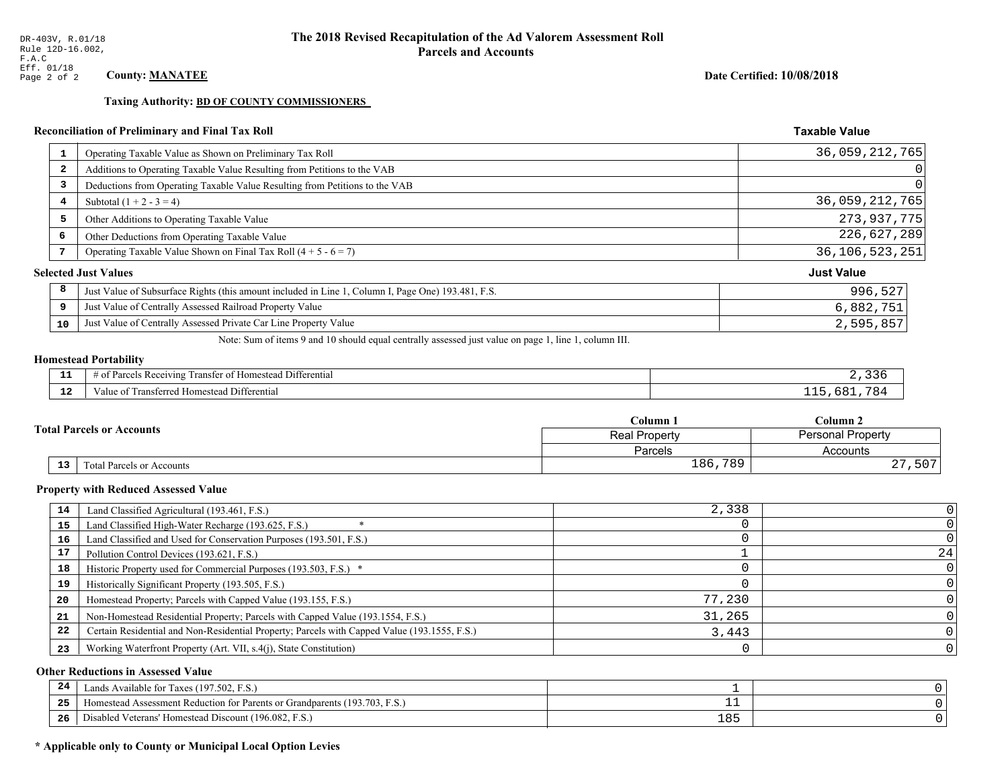**Taxing Authority: BD OF COUNTY COMMISSIONERS** 

# Reconciliation of Preliminary and Final Tax Roll

| $\mathbf{1}$            | Operating Taxable Value as Shown on Preliminary Tax Roll                                           | 36,059,212,765    |
|-------------------------|----------------------------------------------------------------------------------------------------|-------------------|
| $\overline{\mathbf{2}}$ | Additions to Operating Taxable Value Resulting from Petitions to the VAB                           | $\Omega$          |
| 3                       | Deductions from Operating Taxable Value Resulting from Petitions to the VAB                        | $\Omega$          |
| 4                       | Subtotal $(1 + 2 - 3 = 4)$                                                                         | 36, 059, 212, 765 |
| 5                       | Other Additions to Operating Taxable Value                                                         | 273,937,775       |
| 6                       | Other Deductions from Operating Taxable Value                                                      | 226,627,289       |
| 7                       | Operating Taxable Value Shown on Final Tax Roll $(4 + 5 - 6 = 7)$                                  | 36, 106, 523, 251 |
|                         | <b>Selected Just Values</b>                                                                        | <b>Just Value</b> |
| 8                       | Just Value of Subsurface Rights (this amount included in Line 1, Column I, Page One) 193.481, F.S. | 996,527           |
| 9                       | Just Value of Centrally Assessed Railroad Property Value                                           | 6,882,751         |
| 10                      | Just Value of Centrally Assessed Private Car Line Property Value                                   | 2,595,857         |

Note: Sum of items 9 and 10 should equal centrally assessed just value on page 1, line 1, column III.

# **Homestead Portability**

| - -          | .<br>$\cdots$<br>l Differential<br>l ransfer of Homestead .<br>s Receiving<br>arcel. |  |
|--------------|--------------------------------------------------------------------------------------|--|
| $\sim$<br>-- | Transferred Homestead Differential<br>Value of                                       |  |

|    | $\mathbb C$ olumn $\;$ .         |                                           | $C$ olumn 2         |  |
|----|----------------------------------|-------------------------------------------|---------------------|--|
|    | <b>Total Parcels or Accounts</b> | Personal Property<br><b>Real Property</b> |                     |  |
|    |                                  | Parcels                                   | Accounts            |  |
| 13 | Fotal Parcels or Accounts        | ,789<br>186                               | ה -<br>، ،<br>. J U |  |

#### **Property with Reduced Assessed Value**

| 14 | Land Classified Agricultural (193.461, F.S.)                                                 | 2,338  |    |
|----|----------------------------------------------------------------------------------------------|--------|----|
| 15 | Land Classified High-Water Recharge (193.625, F.S.)                                          |        |    |
| 16 | Land Classified and Used for Conservation Purposes (193.501, F.S.)                           |        |    |
| 17 | Pollution Control Devices (193.621, F.S.)                                                    |        | 24 |
| 18 | Historic Property used for Commercial Purposes (193.503, F.S.) *                             |        |    |
| 19 | Historically Significant Property (193.505, F.S.)                                            |        |    |
| 20 | Homestead Property; Parcels with Capped Value (193.155, F.S.)                                | 77,230 |    |
| 21 | Non-Homestead Residential Property; Parcels with Capped Value (193.1554, F.S.)               | 31,265 |    |
| 22 | Certain Residential and Non-Residential Property; Parcels with Capped Value (193.1555, F.S.) | 3,443  |    |
| 23 | Working Waterfront Property (Art. VII, s.4(j), State Constitution)                           |        |    |

#### **Other Reductions in Assessed Value**

| 24    | (197.502, F.S.)<br>Lands Available for Taxes (                                                    |     |  |
|-------|---------------------------------------------------------------------------------------------------|-----|--|
| - - - | (193.703)<br>ad Assessment Reduction for Parents or Grandparents ( <sup>16</sup> )<br>. iomestead |     |  |
| -26   | <sup>1</sup> Veterans' Homestead Discount (196.082, F.S.)<br>Disabled                             | 185 |  |

# \* Applicable only to County or Municipal Local Option Levies

Date Certified: 10/08/2018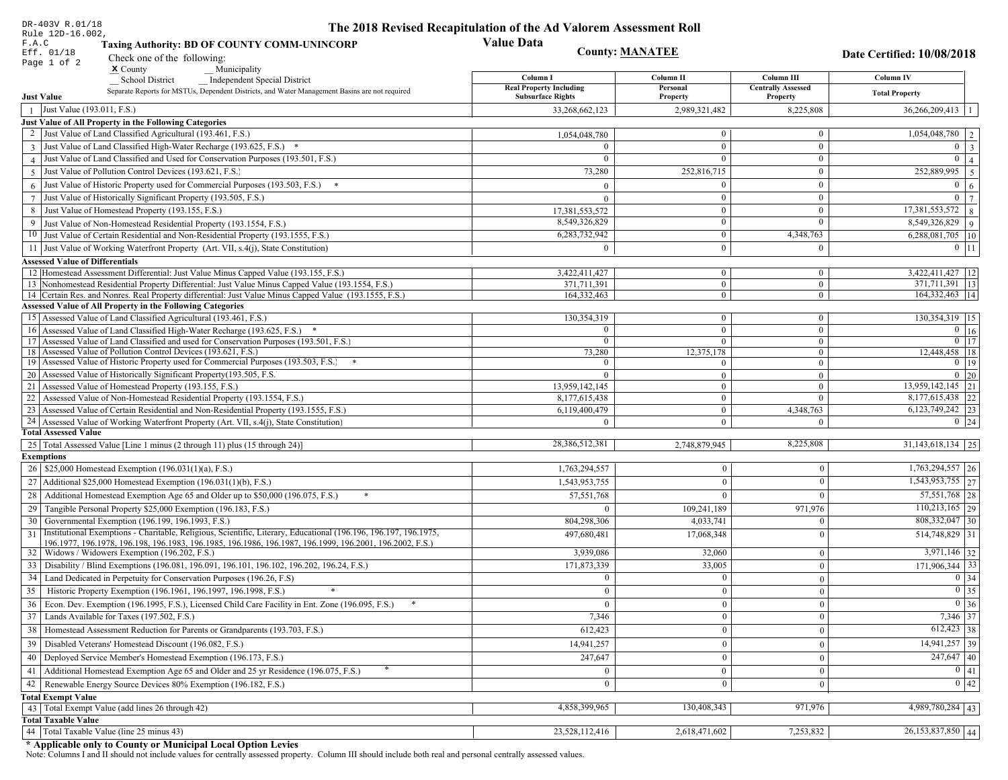| DR-403V R.01/18                                                                                                                                                                          | The 2018 Revised Recapitulation of the Ad Valorem Assessment Roll |                                  |                                       |                                 |
|------------------------------------------------------------------------------------------------------------------------------------------------------------------------------------------|-------------------------------------------------------------------|----------------------------------|---------------------------------------|---------------------------------|
| Rule 12D-16.002,<br>F.A.C<br><b>Taxing Authority: BD OF COUNTY COMM-UNINCORP</b>                                                                                                         | <b>Value Data</b>                                                 |                                  |                                       |                                 |
| Eff. 01/18<br>Check one of the following:                                                                                                                                                | <b>County: MANATEE</b>                                            |                                  |                                       | Date Certified: 10/08/2018      |
| Page 1 of 2<br>$x$ County<br>Municipality                                                                                                                                                |                                                                   |                                  |                                       |                                 |
| <b>School District</b><br><b>Independent Special District</b>                                                                                                                            | Column I                                                          | Column II                        | Column III                            | Column IV                       |
| Separate Reports for MSTUs, Dependent Districts, and Water Management Basins are not required<br><b>Just Value</b>                                                                       | <b>Real Property Including</b><br><b>Subsurface Rights</b>        | Personal<br>Property             | <b>Centrally Assessed</b><br>Property | <b>Total Property</b>           |
| Just Value (193.011, F.S.)<br>$\overline{1}$                                                                                                                                             | 33,268,662,123                                                    | 2,989,321,482                    | 8,225,808                             | 36,266,209,413                  |
| Just Value of All Property in the Following Categories                                                                                                                                   |                                                                   |                                  |                                       |                                 |
| 2 Just Value of Land Classified Agricultural (193.461, F.S.)                                                                                                                             | 1,054,048,780                                                     | $\overline{0}$                   | $\mathbf{0}$                          | 1,054,048,780                   |
| 3 Just Value of Land Classified High-Water Recharge (193.625, F.S.) *                                                                                                                    |                                                                   | $\overline{0}$                   | $\theta$                              | $\theta$                        |
| 4 Just Value of Land Classified and Used for Conservation Purposes (193.501, F.S.)                                                                                                       |                                                                   | $\Omega$                         | $\mathbf{0}$                          | $\theta$                        |
| Just Value of Pollution Control Devices (193.621, F.S.)<br>$\overline{5}$                                                                                                                | 73,280                                                            | 252,816,715                      | $\mathbf{0}$                          | 252,889,995<br>5 <sup>o</sup>   |
| $6$ Just Value of Historic Property used for Commercial Purposes (193.503, F.S.)                                                                                                         |                                                                   | $\theta$                         | $\mathbf{0}$                          | $\Omega$<br>6                   |
| 7 Just Value of Historically Significant Property (193.505, F.S.)                                                                                                                        | $\Omega$                                                          | $\theta$                         | $\mathbf{0}$                          | $\bf{0}$                        |
| 8 Just Value of Homestead Property (193.155, F.S.)                                                                                                                                       | 17,381,553,572                                                    | $\mathbf{0}$                     | $\mathbf{0}$                          | $17,381,553,572$   8            |
| Just Value of Non-Homestead Residential Property (193.1554, F.S.)<br>9                                                                                                                   | 8,549,326,829                                                     | $\overline{0}$                   | $\theta$                              | 8,549,326,829<br>$\overline{9}$ |
| 10 Just Value of Certain Residential and Non-Residential Property (193.1555, F.S.)                                                                                                       | 6,283,732,942                                                     | 0                                | 4,348,763                             | 6,288,081,705   10              |
| 11 Just Value of Working Waterfront Property (Art. VII, s.4(j), State Constitution)                                                                                                      |                                                                   | $\theta$                         | $\mathbf{0}$                          | $0 \vert 11$                    |
|                                                                                                                                                                                          |                                                                   |                                  |                                       |                                 |
| <b>Assessed Value of Differentials</b>                                                                                                                                                   |                                                                   |                                  |                                       | 3,422,411,427   12              |
| 12 Homestead Assessment Differential: Just Value Minus Capped Value (193.155, F.S.)<br>13 Nonhomestead Residential Property Differential: Just Value Minus Capped Value (193.1554, F.S.) | 3,422,411,427<br>371,711,391                                      | $\overline{0}$<br>$\overline{0}$ | $\mathbf{0}$<br>$\overline{0}$        | 371,711,391   13                |
| 14 Certain Res. and Nonres. Real Property differential: Just Value Minus Capped Value (193.1555, F.S.)                                                                                   | 164, 332, 463                                                     | $\overline{0}$                   | $\overline{0}$                        | 164, 332, 463   14              |
| <b>Assessed Value of All Property in the Following Categories</b>                                                                                                                        |                                                                   |                                  |                                       |                                 |
| 15 Assessed Value of Land Classified Agricultural (193.461, F.S.)                                                                                                                        | 130,354,319                                                       | $\overline{0}$                   | $\boldsymbol{0}$                      | 130, 354, 319   15              |
| 16 Assessed Value of Land Classified High-Water Recharge (193.625, F.S.) *                                                                                                               | $\Omega$                                                          | $\overline{0}$                   | $\mathbf{0}$                          | $\overline{0}$ 16               |
| 17 Assessed Value of Land Classified and used for Conservation Purposes (193.501, F.S.)                                                                                                  | $\Omega$                                                          | $\overline{0}$                   | $\overline{0}$                        | $0 \mid 17$                     |
| 18 Assessed Value of Pollution Control Devices (193.621, F.S.)                                                                                                                           | 73,280                                                            | 12,375,178                       | $\overline{0}$                        | 12,448,458 18                   |
| 19 Assessed Value of Historic Property used for Commercial Purposes (193.503, F.S.)                                                                                                      |                                                                   | $\mathbf{0}$                     | $\overline{0}$                        | $0$   19                        |
| 20 Assessed Value of Historically Significant Property (193.505, F.S.                                                                                                                    |                                                                   | $\overline{0}$                   | $\overline{0}$                        | $0\quad20$                      |
| 21 Assessed Value of Homestead Property (193.155, F.S.)                                                                                                                                  | 13,959,142,145                                                    | $\overline{0}$                   | $\theta$                              | 13,959,142,145 21               |
| 22   Assessed Value of Non-Homestead Residential Property (193.1554, F.S.)                                                                                                               | 8,177,615,438                                                     | $\overline{0}$                   | $\Omega$                              | 8,177,615,438 22                |
| 23 Assessed Value of Certain Residential and Non-Residential Property (193.1555, F.S.)                                                                                                   | 6,119,400,479                                                     | $\overline{0}$                   | 4,348,763                             | 6, 123, 749, 242 23             |
| 24 Assessed Value of Working Waterfront Property (Art. VII, s.4(j), State Constitution)                                                                                                  |                                                                   | $\overline{0}$                   | $\Omega$                              | $0 \mid 24$                     |
| <b>Total Assessed Value</b>                                                                                                                                                              |                                                                   |                                  |                                       |                                 |
| 25   Total Assessed Value [Line 1 minus (2 through 11) plus (15 through 24)]                                                                                                             | 28,386,512,381                                                    | 2,748,879,945                    | 8,225,808                             | $31,143,618,134$ 25             |
| <b>Exemptions</b>                                                                                                                                                                        |                                                                   |                                  |                                       |                                 |
| 26   \$25,000 Homestead Exemption (196.031(1)(a), F.S.)                                                                                                                                  | 1,763,294,557                                                     | $\mathbf{0}$                     | $\bf{0}$                              | 1,763,294,557 26                |
| 27   Additional \$25,000 Homestead Exemption (196.031(1)(b), F.S.)                                                                                                                       | 1,543,953,755                                                     | $\overline{0}$                   | $\mathbf{0}$                          | 1,543,953,755 27                |
| 28 Additional Homestead Exemption Age 65 and Older up to \$50,000 (196.075, F.S.)                                                                                                        | 57,551,768                                                        | $\overline{0}$                   | $\Omega$                              | 57,551,768 28                   |
| 29 Tangible Personal Property \$25,000 Exemption (196.183, F.S.)                                                                                                                         | $\theta$                                                          | 109,241,189                      | 971,976                               | $110,213,165$ 29                |
| 30 Governmental Exemption (196.199, 196.1993, F.S.)                                                                                                                                      | 804,298,306                                                       | 4,033,741                        | $\Omega$                              | 808, 332, 047 30                |
| Institutional Exemptions - Charitable, Religious, Scientific, Literary, Educational (196.196, 196.197, 196.1975,<br>31                                                                   | 497,680,481                                                       | 17,068,348                       | $\Omega$                              | 514,748,829 31                  |
| 196.1977, 196.1978, 196.198, 196.1983, 196.1985, 196.1986, 196.1987, 196.1999, 196.2001, 196.2002, F.S.)<br>32   Widows / Widowers Exemption (196.202, F.S.)                             | 3,939,086                                                         | 32,060                           | $\bf{0}$                              | $3,971,146$ 32                  |
| 33   Disability / Blind Exemptions (196.081, 196.091, 196.101, 196.102, 196.202, 196.24, F.S.)                                                                                           | 171,873,339                                                       | 33,005                           | $\mathbf{0}$                          | $171,906,344$ 33                |
| 34 Land Dedicated in Perpetuity for Conservation Purposes (196.26, F.S)                                                                                                                  | $\mathbf{0}$                                                      | $\overline{0}$                   |                                       | $0 \mid 34$                     |
| 35 Historic Property Exemption (196.1961, 196.1997, 196.1998, F.S.)                                                                                                                      | $\mathbf{0}$                                                      | $\vert 0 \vert$                  | $\mathbf{0}$                          | $\boxed{0}$ 35                  |
|                                                                                                                                                                                          |                                                                   |                                  | 0                                     | $0\vert 36$                     |
| 36 Econ. Dev. Exemption (196.1995, F.S.), Licensed Child Care Facility in Ent. Zone (196.095, F.S.)                                                                                      | $\overline{0}$                                                    | $\boldsymbol{0}$                 | $\mathbf{0}$                          |                                 |
| 37 Lands Available for Taxes (197.502, F.S.)                                                                                                                                             | 7,346                                                             | $\overline{0}$                   | $\bf{0}$                              | 7,346 37                        |
| 38   Homestead Assessment Reduction for Parents or Grandparents (193.703, F.S.)                                                                                                          | 612,423                                                           | $\overline{0}$                   | $\bf{0}$                              | $612,423$ 38                    |
| 39   Disabled Veterans' Homestead Discount (196.082, F.S.)                                                                                                                               | 14,941,257                                                        | $\mathbf{0}$                     | $\overline{0}$                        | $14,941,257$ 39                 |
| 40   Deployed Service Member's Homestead Exemption (196.173, F.S.)                                                                                                                       | 247,647                                                           | $\mathbf{0}$                     | $\bf{0}$                              | $\overline{247,647}$ 40         |
| 41   Additional Homestead Exemption Age 65 and Older and 25 yr Residence (196.075, F.S.)                                                                                                 | $\mathbf{0}$                                                      | $\overline{0}$                   | $\bf{0}$                              | $\boxed{0}$ 41                  |
| 42   Renewable Energy Source Devices 80% Exemption (196.182, F.S.)                                                                                                                       | $\bf{0}$                                                          | $\overline{0}$                   | $\bf{0}$                              | $\boxed{0}$ 42                  |
| <b>Total Exempt Value</b>                                                                                                                                                                |                                                                   |                                  |                                       |                                 |
| 43 Total Exempt Value (add lines 26 through 42)                                                                                                                                          | 4,858,399,965                                                     | 130,408,343                      | 971,976                               | $\overline{4,989,780,284 43}$   |
| <b>Total Taxable Value</b>                                                                                                                                                               |                                                                   |                                  |                                       |                                 |
| 44 Total Taxable Value (line 25 minus 43)                                                                                                                                                | 23,528,112,416                                                    | 2,618,471,602                    | 7,253,832                             | 26,153,837,850 44               |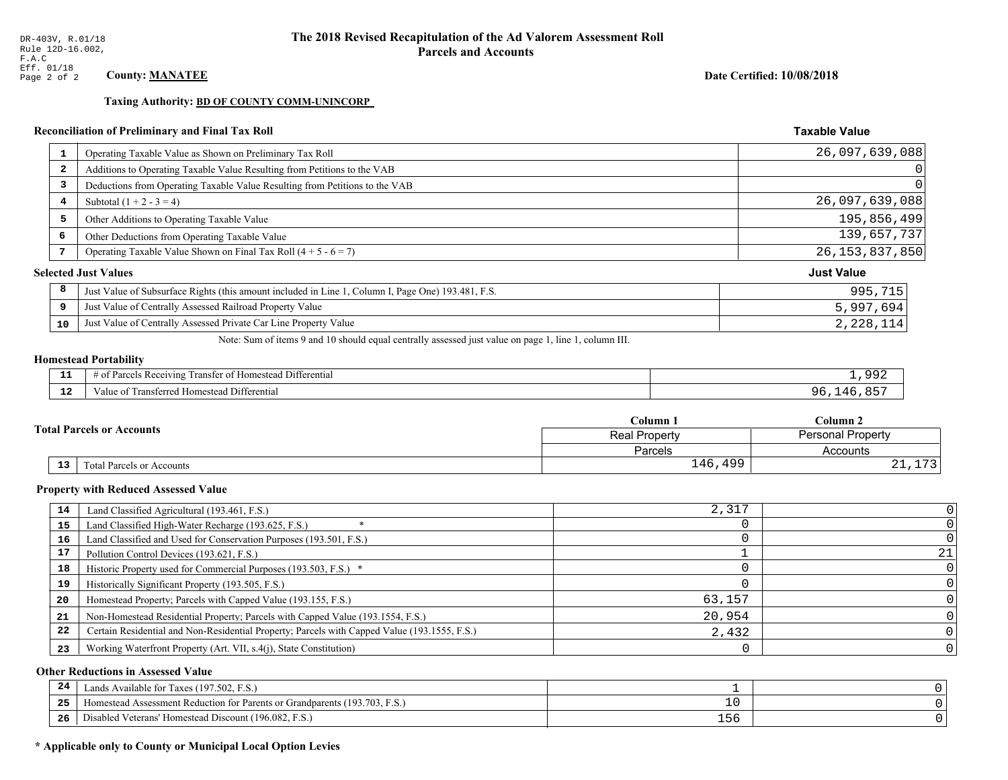**Taxing Authority: BD OF COUNTY COMM-UNINCORP** 

# Reconciliation of Preliminary and Final Tax Roll

| 1                       | Operating Taxable Value as Shown on Preliminary Tax Roll                                           | 26,097,639,088    |
|-------------------------|----------------------------------------------------------------------------------------------------|-------------------|
| $\overline{\mathbf{2}}$ | Additions to Operating Taxable Value Resulting from Petitions to the VAB                           | 0                 |
| 3                       | Deductions from Operating Taxable Value Resulting from Petitions to the VAB                        | 0                 |
| 4                       | Subtotal $(1 + 2 - 3 = 4)$                                                                         | 26,097,639,088    |
| 5                       | Other Additions to Operating Taxable Value                                                         | 195,856,499       |
| 6                       | Other Deductions from Operating Taxable Value                                                      | 139,657,737       |
|                         | Operating Taxable Value Shown on Final Tax Roll $(4 + 5 - 6 = 7)$                                  | 26, 153, 837, 850 |
|                         | <b>Selected Just Values</b>                                                                        | <b>Just Value</b> |
| 8                       | Just Value of Subsurface Rights (this amount included in Line 1, Column I, Page One) 193.481, F.S. | 995,715           |
| 9                       | Just Value of Centrally Assessed Railroad Property Value                                           | 5,997,694         |
| 10                      | Just Value of Centrally Assessed Private Car Line Property Value                                   | 2,228,114         |

Note: Sum of items 9 and 10 should equal centrally assessed just value on page 1, line 1, column III.

# **Homestead Portability**

| . | $\cdots$<br>. Differential<br>з кес.<br>eiving<br>r of Homesteac<br>ranster | aar      |
|---|-----------------------------------------------------------------------------|----------|
| . | Iomestead Differential<br>$\mathbf{a}$<br>аше<br>'nsien                     | <u>.</u> |

|    |                                  | Column 1                                         | $C$ olumn 2 |  |
|----|----------------------------------|--------------------------------------------------|-------------|--|
|    | <b>Total Parcels or Accounts</b> | <b>Personal Property</b><br><b>Real Property</b> |             |  |
|    |                                  | Parcels                                          | Accounts    |  |
| 13 | Fotal Parcels or Accounts        | 499<br>146                                       | .<br>∸ ∸    |  |

#### **Property with Reduced Assessed Value**

| 14 | Land Classified Agricultural (193.461, F.S.)                                                 | 2,317  |    |
|----|----------------------------------------------------------------------------------------------|--------|----|
| 15 | Land Classified High-Water Recharge (193.625, F.S.)                                          |        |    |
| 16 | Land Classified and Used for Conservation Purposes (193.501, F.S.)                           |        |    |
|    | Pollution Control Devices (193.621, F.S.)                                                    |        | 21 |
| 18 | Historic Property used for Commercial Purposes (193.503, F.S.) *                             |        |    |
| 19 | Historically Significant Property (193.505, F.S.)                                            |        |    |
| 20 | Homestead Property; Parcels with Capped Value (193.155, F.S.)                                | 63,157 |    |
| 21 | Non-Homestead Residential Property; Parcels with Capped Value (193.1554, F.S.)               | 20,954 |    |
| 22 | Certain Residential and Non-Residential Property; Parcels with Capped Value (193.1555, F.S.) | 2,432  |    |
| 23 | Working Waterfront Property (Art. VII, s.4(j), State Constitution)                           |        |    |

#### **Other Reductions in Assessed Value**

| 24    | Lands Available for Taxes (197.502, F.S.)                                  |                |  |
|-------|----------------------------------------------------------------------------|----------------|--|
| - - - | Homestead Assessment Reduction for Parents or Grandparents (193.703, F.S.) | ⊥∪             |  |
| -26   | F.S.<br>Disabled Veterans' Homestead Discount (196.082, F                  | $ \sim$<br>156 |  |

# \* Applicable only to County or Municipal Local Option Levies

Date Certified: 10/08/2018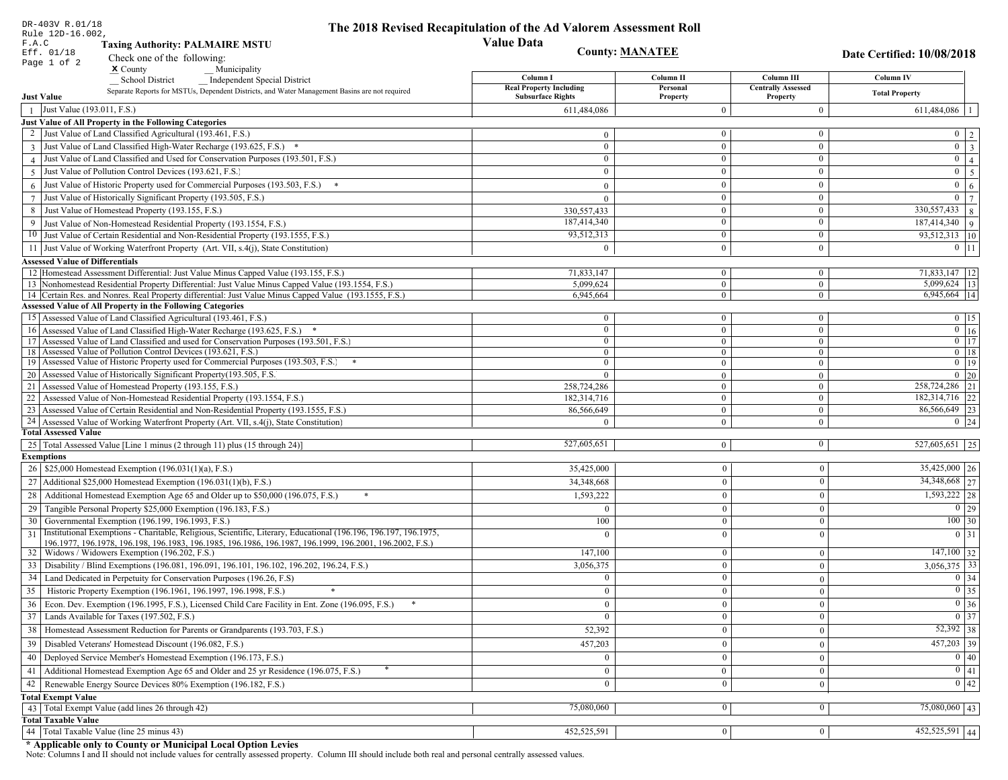| DR-403V R.01/18<br>Rule 12D-16.002,                                                                                                 | The 2018 Revised Recapitulation of the Ad Valorem Assessment Roll |                                |                                       |                                  |
|-------------------------------------------------------------------------------------------------------------------------------------|-------------------------------------------------------------------|--------------------------------|---------------------------------------|----------------------------------|
| F.A.C<br><b>Taxing Authority: PALMAIRE MSTU</b>                                                                                     | <b>Value Data</b>                                                 |                                |                                       |                                  |
| Eff. 01/18<br>Check one of the following:                                                                                           |                                                                   | <b>County: MANATEE</b>         |                                       | Date Certified: 10/08/2018       |
| Page 1 of 2<br>$\boldsymbol{\mathrm{x}}$ County<br>Municipality                                                                     |                                                                   |                                |                                       |                                  |
| School District<br><b>Independent Special District</b>                                                                              | Column I                                                          | Column <sub>II</sub>           | Column III                            | <b>Column IV</b>                 |
| Separate Reports for MSTUs, Dependent Districts, and Water Management Basins are not required<br><b>Just Value</b>                  | <b>Real Property Including</b><br><b>Subsurface Rights</b>        | Personal<br>Property           | <b>Centrally Assessed</b><br>Property | <b>Total Property</b>            |
| Just Value (193.011, F.S.)<br>$\mathbf{1}$                                                                                          | 611,484,086                                                       | $\Omega$                       | $\overline{0}$                        | 611,484,086                      |
| Just Value of All Property in the Following Categories                                                                              |                                                                   |                                |                                       |                                  |
| 2 Just Value of Land Classified Agricultural (193.461, F.S.)                                                                        | $\Omega$                                                          | $\overline{0}$                 | $\overline{0}$                        | $\overline{0}$<br>$\sqrt{2}$     |
| 3 Just Value of Land Classified High-Water Recharge (193.625, F.S.) *                                                               | $\Omega$                                                          | $\overline{0}$                 | $\overline{0}$                        | $\overline{0}$<br>$\overline{3}$ |
| 4 Just Value of Land Classified and Used for Conservation Purposes (193.501, F.S.)                                                  | $\overline{0}$                                                    | $\overline{0}$                 | $\bf{0}$                              | $\overline{0}$<br>$\overline{4}$ |
| Just Value of Pollution Control Devices (193.621, F.S.)<br>5                                                                        | $\Omega$                                                          | $\mathbf{0}$                   | $\bf{0}$                              | $\mathbf{0}$<br>$\overline{5}$   |
| 6 Just Value of Historic Property used for Commercial Purposes (193.503, F.S.)                                                      | $\overline{0}$                                                    | $\Omega$                       | $\bf{0}$                              | $\mathbf{0}$<br>$\sqrt{6}$       |
| Just Value of Historically Significant Property (193.505, F.S.)<br>$7\overline{ }$                                                  | $\overline{0}$                                                    | $\overline{0}$                 | $\mathbf{0}$                          | $\mathbf{0}$<br>$\overline{7}$   |
| Just Value of Homestead Property (193.155, F.S.)<br>8                                                                               | 330,557,433                                                       | $\bf{0}$                       | $\bf{0}$                              | 330, 557, 433<br>8               |
| Just Value of Non-Homestead Residential Property (193.1554, F.S.)<br>9                                                              | 187,414,340                                                       | $\overline{0}$                 | $\mathbf{0}$                          | 187,414,340 9                    |
| Just Value of Certain Residential and Non-Residential Property (193.1555, F.S.)<br>10                                               | 93,512,313                                                        | $\overline{0}$                 | $\mathbf{0}$                          | 93,512,313 10                    |
| 11 Just Value of Working Waterfront Property (Art. VII, s.4(j), State Constitution)                                                 | $\theta$                                                          | $\theta$                       | $\bf{0}$                              | $0$ 11                           |
| <b>Assessed Value of Differentials</b>                                                                                              |                                                                   |                                |                                       |                                  |
| 12 Homestead Assessment Differential: Just Value Minus Capped Value (193.155, F.S.)                                                 | 71,833,147                                                        | $\overline{0}$                 | $\mathbf{0}$                          | 71,833,147   12                  |
| 13 Nonhomestead Residential Property Differential: Just Value Minus Capped Value (193.1554, F.S.)                                   | 5,099,624                                                         | $\overline{0}$                 | $\overline{0}$                        | 5,099,624 13                     |
| 14 Certain Res. and Nonres. Real Property differential: Just Value Minus Capped Value (193.1555, F.S.)                              | 6,945,664                                                         | $\overline{0}$                 | $\overline{0}$                        | 6,945,664   14                   |
| <b>Assessed Value of All Property in the Following Categories</b>                                                                   |                                                                   |                                |                                       |                                  |
| 15 Assessed Value of Land Classified Agricultural (193.461, F.S.)                                                                   | $\bf{0}$                                                          | $\overline{0}$                 | $\bf{0}$                              | $0$   15                         |
| 16 Assessed Value of Land Classified High-Water Recharge (193.625, F.S.) *                                                          | $\mathbf{0}$                                                      | $\overline{0}$                 | $\mathbf{0}$                          | $\overline{0}$ 16                |
| 17 Assessed Value of Land Classified and used for Conservation Purposes (193.501, F.S.)                                             | $\bf{0}$                                                          | $\overline{0}$                 | $\mathbf{0}$                          | $\overline{0}$ $\overline{17}$   |
| 18 Assessed Value of Pollution Control Devices (193.621, F.S.)                                                                      | $\overline{0}$                                                    | $\overline{0}$                 | $\overline{0}$                        | $0$   18                         |
| 19 Assessed Value of Historic Property used for Commercial Purposes (193.503, F.S.) *                                               | $\overline{0}$                                                    | $\boldsymbol{0}$               | $\bf{0}$                              | $\boxed{0}$ 19                   |
| 20 Assessed Value of Historically Significant Property (193.505, F.S.                                                               | $\theta$                                                          | $\overline{0}$                 | $\mathbf{0}$                          | $0$ 20                           |
| 21 Assessed Value of Homestead Property (193.155, F.S.)<br>22 Assessed Value of Non-Homestead Residential Property (193.1554, F.S.) | 258,724,286                                                       | $\mathbf{0}$<br>$\overline{0}$ | $\overline{0}$<br>$\mathbf{0}$        | 258,724,286 21<br>182,314,716 22 |
| 23 Assessed Value of Certain Residential and Non-Residential Property (193.1555, F.S.)                                              | 182,314,716<br>86,566,649                                         | $\overline{0}$                 | $\bf{0}$                              | 86,566,649 23                    |
| 24 Assessed Value of Working Waterfront Property (Art. VII, s.4(j), State Constitution)                                             | $\Omega$                                                          | $\overline{0}$                 | $\mathbf{0}$                          | $0 \mid 24$                      |
| <b>Total Assessed Value</b>                                                                                                         |                                                                   |                                |                                       |                                  |
| 25 Total Assessed Value [Line 1 minus (2 through 11) plus (15 through 24)]                                                          | 527,605,651                                                       | $\overline{0}$                 | $\bf{0}$                              | $\overline{527,605,651}$ 25      |
| <b>Exemptions</b>                                                                                                                   |                                                                   |                                |                                       |                                  |
| 26   \$25,000 Homestead Exemption (196.031(1)(a), F.S.)                                                                             | 35,425,000                                                        | $\mathbf{0}$                   | $\bf{0}$                              | 35,425,000 26                    |
| 27   Additional \$25,000 Homestead Exemption $(196.031(1)(b), F.S.)$                                                                | 34,348,668                                                        | $\overline{0}$                 | $\overline{0}$                        | 34,348,668 27                    |
| 28 Additional Homestead Exemption Age 65 and Older up to \$50,000 (196.075, F.S.)                                                   | 1,593,222                                                         | $\theta$                       | $\Omega$                              | $1,593,222$ 28                   |
| Tangible Personal Property \$25,000 Exemption (196.183, F.S.)<br>29                                                                 | $\Omega$                                                          | $\mathbf{0}$                   | $\mathbf{0}$                          | 0 29                             |
| Governmental Exemption (196.199, 196.1993, F.S.)<br>30                                                                              | 100                                                               | $\Omega$                       | $\theta$                              | $100 \mid 30$                    |
| Institutional Exemptions - Charitable, Religious, Scientific, Literary, Educational (196.196, 196.197, 196.1975,                    |                                                                   | $\Omega$                       | $\theta$                              | $0 \mid 31$                      |
| 31<br>196.1977, 196.1978, 196.198, 196.1983, 196.1985, 196.1986, 196.1987, 196.1999, 196.2001, 196.2002, F.S.)                      |                                                                   |                                |                                       |                                  |
| 32   Widows / Widowers Exemption (196.202, F.S.)                                                                                    | 147,100                                                           |                                | $\bf{0}$                              | $147,100$ 32                     |
| 33   Disability / Blind Exemptions (196.081, 196.091, 196.101, 196.102, 196.202, 196.24, F.S.)                                      | 3,056,375                                                         | $\Omega$                       | $\overline{0}$                        | $3,056,375$ 33                   |
| Land Dedicated in Perpetuity for Conservation Purposes (196.26, F.S)                                                                | $\theta$                                                          | $\overline{0}$                 | $\theta$                              | $0 \mid 34$                      |
| 35 Historic Property Exemption (196.1961, 196.1997, 196.1998, F.S.)                                                                 | $\overline{0}$                                                    | v.                             | $\mathbf{0}$                          | $\boxed{0}$ 35                   |
| 36 Econ. Dev. Exemption (196.1995, F.S.), Licensed Child Care Facility in Ent. Zone (196.095, F.S.)                                 | $\overline{0}$                                                    | $\mathbf{0}$                   | $\mathbf{0}$                          | $0 \mid 36$                      |
| 37 Lands Available for Taxes (197.502, F.S.)                                                                                        | $\overline{0}$                                                    | $\bf{0}$                       | $\overline{0}$                        | $\overline{0}$ 37                |
| 38   Homestead Assessment Reduction for Parents or Grandparents (193.703, F.S.)                                                     | 52,392                                                            | $\mathbf{0}$                   | $\overline{0}$                        | 52,392 38                        |
| Disabled Veterans' Homestead Discount (196.082, F.S.)<br>39                                                                         | 457,203                                                           | $\theta$                       | $\mathbf{0}$                          | $457,203$ 39                     |
| Deployed Service Member's Homestead Exemption (196.173, F.S.)<br>40                                                                 | $\overline{0}$                                                    | $\overline{0}$                 | $\mathbf{0}$                          | $\overline{0}$ 40                |
| Additional Homestead Exemption Age 65 and Older and 25 yr Residence (196.075, F.S.)                                                 |                                                                   | $\mathbf{0}$                   |                                       | $\overline{0}$ 41                |
| 41                                                                                                                                  | $\overline{0}$                                                    |                                | $\mathbf{0}$                          |                                  |
| Renewable Energy Source Devices 80% Exemption (196.182, F.S.)<br>42                                                                 | $\overline{0}$                                                    | $\mathbf{0}$                   | $\mathbf{0}$                          | 0 42                             |
| <b>Total Exempt Value</b><br>43 Total Exempt Value (add lines 26 through 42)                                                        | 75,080,060                                                        | 0 <sup>1</sup>                 | $\bf{0}$                              | $75,080,060$ 43                  |
| <b>Total Taxable Value</b>                                                                                                          |                                                                   |                                |                                       |                                  |
| 44 Total Taxable Value (line 25 minus 43)                                                                                           | 452,525,591                                                       | 0                              | $\mathbf{0}$                          | $452,525,591$ 44                 |
|                                                                                                                                     |                                                                   |                                |                                       |                                  |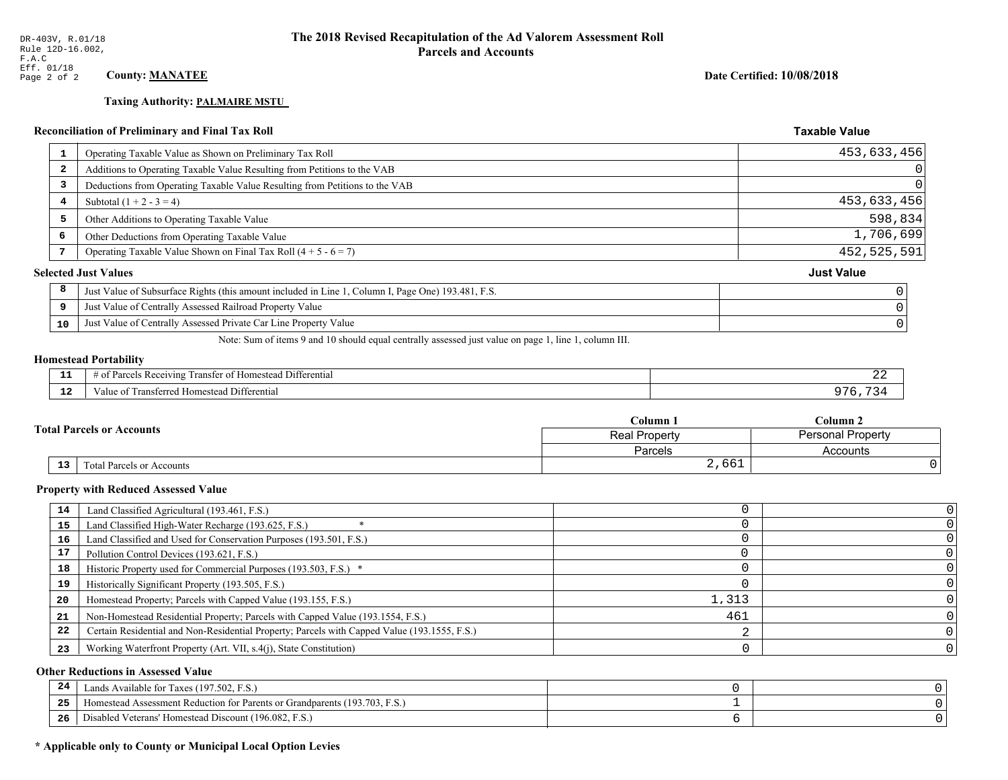# **Taxing Authority: PALMAIRE MSTU**

# Reconciliation of Preliminary and Final Tax Roll

| 1                       | Operating Taxable Value as Shown on Preliminary Tax Roll                                           | 453,633,456       |
|-------------------------|----------------------------------------------------------------------------------------------------|-------------------|
| $\overline{\mathbf{2}}$ | Additions to Operating Taxable Value Resulting from Petitions to the VAB                           |                   |
| 3                       | Deductions from Operating Taxable Value Resulting from Petitions to the VAB                        |                   |
| 4                       | Subtotal $(1 + 2 - 3 = 4)$                                                                         | 453,633,456       |
| 5                       | Other Additions to Operating Taxable Value                                                         | 598,834           |
| 6                       | Other Deductions from Operating Taxable Value                                                      | 1,706,699         |
|                         | Operating Taxable Value Shown on Final Tax Roll $(4 + 5 - 6 = 7)$                                  | 452,525,591       |
|                         | <b>Selected Just Values</b>                                                                        | <b>Just Value</b> |
| 8                       | Just Value of Subsurface Rights (this amount included in Line 1, Column I, Page One) 193.481, F.S. |                   |
| 9                       | Just Value of Centrally Assessed Railroad Property Value                                           |                   |
| 10                      | Just Value of Centrally Assessed Private Car Line Property Value                                   |                   |
|                         |                                                                                                    |                   |

Note: Sum of items 9 and 10 should equal centrally assessed just value on page 1, line 1, column III.

#### **Homestead Portability**

| --                   | $ -$<br>. Differential<br>ranster of<br>Parce<br>ceiving<br>: Homestead<br>OТ<br>, , , , , , | - 2012 |
|----------------------|----------------------------------------------------------------------------------------------|--------|
| $\sim$ $\sim$<br>. . | Transferred Homestead Differential<br>∕alu                                                   |        |

| Column .                         |                                           | $C$ olumn 2 |  |
|----------------------------------|-------------------------------------------|-------------|--|
| <b>Total Parcels or Accounts</b> | <b>Personal Property</b><br>Real Property |             |  |
|                                  | Parcels                                   | Accounts    |  |
| 13<br>Total Parcels or Accounts  | 2,661                                     |             |  |

#### **Property with Reduced Assessed Value**

| 14 | Land Classified Agricultural (193.461, F.S.)                                                 |       |  |
|----|----------------------------------------------------------------------------------------------|-------|--|
| 15 | Land Classified High-Water Recharge (193.625, F.S.)                                          |       |  |
| 16 | Land Classified and Used for Conservation Purposes (193.501, F.S.)                           |       |  |
| 17 | Pollution Control Devices (193.621, F.S.)                                                    |       |  |
| 18 | Historic Property used for Commercial Purposes (193.503, F.S.) *                             |       |  |
| 19 | Historically Significant Property (193.505, F.S.)                                            |       |  |
| 20 | Homestead Property; Parcels with Capped Value (193.155, F.S.)                                | 1,313 |  |
| 21 | Non-Homestead Residential Property; Parcels with Capped Value (193.1554, F.S.)               | 461   |  |
| 22 | Certain Residential and Non-Residential Property; Parcels with Capped Value (193.1555, F.S.) |       |  |
| 23 | Working Waterfront Property (Art. VII, s.4(j), State Constitution)                           |       |  |

#### **Other Reductions in Assessed Value**

| 24    | Lands Available for Taxes (197.502, F.S.)                                  |  |
|-------|----------------------------------------------------------------------------|--|
| - - - | Iomestead Assessment Reduction for Parents or Grandparents (193.703, F.S.) |  |
| -26   | Disabled Veterans' Homestead Discount (196.082, F.S.)                      |  |

# \* Applicable only to County or Municipal Local Option Levies

Date Certified: 10/08/2018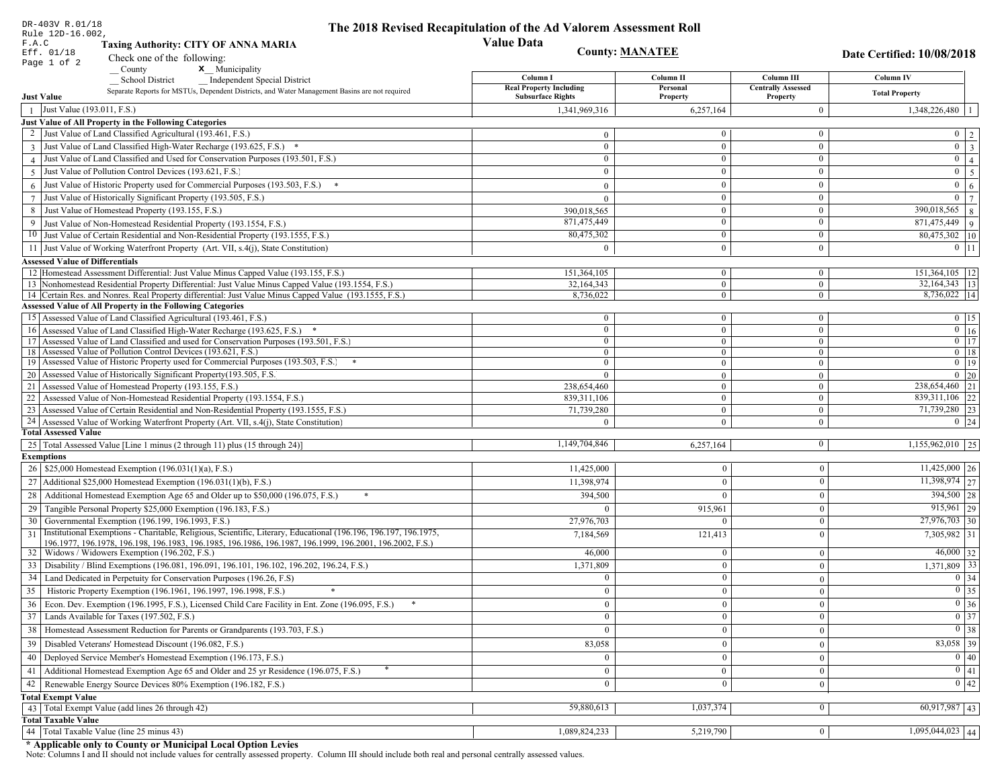| DR-403V R.01/18<br>Rule 12D-16.002,                                                                                                                                                                                                | The 2018 Revised Recapitulation of the Ad Valorem Assessment Roll |                        |                                       |                                |
|------------------------------------------------------------------------------------------------------------------------------------------------------------------------------------------------------------------------------------|-------------------------------------------------------------------|------------------------|---------------------------------------|--------------------------------|
| F.A.C<br><b>Taxing Authority: CITY OF ANNA MARIA</b>                                                                                                                                                                               | <b>Value Data</b>                                                 |                        |                                       |                                |
| Eff. 01/18<br>Check one of the following:                                                                                                                                                                                          |                                                                   | <b>County: MANATEE</b> |                                       | Date Certified: 10/08/2018     |
| Page 1 of 2<br><b>x</b> Municipality<br>County                                                                                                                                                                                     |                                                                   |                        |                                       |                                |
| <b>Independent Special District</b><br><b>School District</b>                                                                                                                                                                      | Column I                                                          | Column II              | Column III                            | Column IV                      |
| Separate Reports for MSTUs, Dependent Districts, and Water Management Basins are not required<br><b>Just Value</b>                                                                                                                 | <b>Real Property Including</b><br><b>Subsurface Rights</b>        | Personal<br>Property   | <b>Centrally Assessed</b><br>Property | <b>Total Property</b>          |
| Just Value (193.011, F.S.)                                                                                                                                                                                                         | 1,341,969,316                                                     | 6,257,164              | $\overline{0}$                        | $1,348,226,480$   1            |
| Just Value of All Property in the Following Categories                                                                                                                                                                             |                                                                   |                        |                                       |                                |
| 2 Just Value of Land Classified Agricultural (193.461, F.S.)                                                                                                                                                                       | $\bf{0}$                                                          | $\overline{0}$         | $\overline{0}$                        | $0 \mid 2 \mid$                |
| 3 Just Value of Land Classified High-Water Recharge (193.625, F.S.) *                                                                                                                                                              | $\mathbf{0}$                                                      | $\mathbf{0}$           | $\mathbf{0}$                          | $0 \mid 3$                     |
| 4 Just Value of Land Classified and Used for Conservation Purposes (193.501, F.S.)                                                                                                                                                 | $\mathbf{0}$                                                      | $\mathbf{0}$           | $\overline{0}$                        | $0 \mid 4 \mid$                |
| 5 Just Value of Pollution Control Devices (193.621, F.S.)                                                                                                                                                                          | $\mathbf{0}$                                                      | $\theta$               | $\mathbf{0}$                          | $0 \mid 5$                     |
| Just Value of Historic Property used for Commercial Purposes (193.503, F.S.)<br>6                                                                                                                                                  | $\theta$                                                          | $\theta$               | $\mathbf{0}$                          | 6 <sup>1</sup><br>$\mathbf{0}$ |
| 7 Just Value of Historically Significant Property (193.505, F.S.)                                                                                                                                                                  | $\mathbf{0}$                                                      | $\theta$               | $\overline{0}$                        | $0 \mid 7$                     |
| 8 Just Value of Homestead Property (193.155, F.S.)                                                                                                                                                                                 | 390,018,565                                                       | $\mathbf{0}$           | $\overline{0}$                        | $390,018,565$ 8                |
| Just Value of Non-Homestead Residential Property (193.1554, F.S.)<br>9                                                                                                                                                             | 871,475,449                                                       | $\theta$               | $\mathbf{0}$                          | $\overline{871,475,449}$ 9     |
| 10 Just Value of Certain Residential and Non-Residential Property (193.1555, F.S.)                                                                                                                                                 | 80,475,302                                                        | $\mathbf{0}$           | $\overline{0}$                        | 80,475,302 10                  |
| 11 Just Value of Working Waterfront Property (Art. VII, s.4(j), State Constitution)                                                                                                                                                | $\theta$                                                          | $\Omega$               | $\mathbf{0}$                          | $0$   11                       |
| <b>Assessed Value of Differentials</b>                                                                                                                                                                                             |                                                                   |                        |                                       |                                |
| 12 Homestead Assessment Differential: Just Value Minus Capped Value (193.155, F.S.)                                                                                                                                                | 151,364,105                                                       | $\overline{0}$         | $\overline{0}$                        | 151,364,105   12               |
| 13 Nonhomestead Residential Property Differential: Just Value Minus Capped Value (193.1554, F.S.)                                                                                                                                  | 32.164.343                                                        | $\mathbf{0}$           | $\overline{0}$                        | $\overline{32,164,343}$ 13     |
| 14 Certain Res. and Nonres. Real Property differential: Just Value Minus Capped Value (193.1555, F.S.)                                                                                                                             | 8,736,022                                                         | $\overline{0}$         | $\mathbf{0}$                          | 8,736,022 14                   |
| <b>Assessed Value of All Property in the Following Categories</b>                                                                                                                                                                  |                                                                   |                        |                                       |                                |
| 15 Assessed Value of Land Classified Agricultural (193.461, F.S.)                                                                                                                                                                  | $\bf{0}$                                                          | $\overline{0}$         | $\bf{0}$                              | $0$   15                       |
| 16 Assessed Value of Land Classified High-Water Recharge (193.625, F.S.) *                                                                                                                                                         | $\overline{0}$                                                    | $\overline{0}$         | $\overline{0}$                        | $\overline{0}$ 16              |
| 17 Assessed Value of Land Classified and used for Conservation Purposes (193.501, F.S.)                                                                                                                                            | $\bf{0}$                                                          | $\mathbf{0}$           | $\overline{0}$                        | $\boxed{0}$ 17                 |
| 18 Assessed Value of Pollution Control Devices (193.621, F.S.)                                                                                                                                                                     | $\overline{0}$                                                    | $\overline{0}$         | $\overline{0}$                        | $0$   18                       |
| 19 Assessed Value of Historic Property used for Commercial Purposes (193.503, F.S.) *                                                                                                                                              | $\bf{0}$                                                          | $\mathbf{0}$           | $\bf{0}$                              | $\boxed{0}$ 19                 |
| 20 Assessed Value of Historically Significant Property (193.505, F.S.                                                                                                                                                              | $\theta$                                                          | $\overline{0}$         | $\overline{0}$                        | $0 \mid 20$                    |
| 21 Assessed Value of Homestead Property (193.155, F.S.)                                                                                                                                                                            | 238,654,460                                                       | $\mathbf{0}$           | $\overline{0}$                        | 238,654,460 21                 |
| 22 Assessed Value of Non-Homestead Residential Property (193.1554, F.S.)                                                                                                                                                           | 839,311,106                                                       | $\overline{0}$         | $\overline{0}$                        | 839, 311, 106 22               |
| 23 Assessed Value of Certain Residential and Non-Residential Property (193.1555, F.S.)                                                                                                                                             | 71,739,280                                                        | $\overline{0}$         | $\overline{0}$                        | 71,739,280 23                  |
| 24 Assessed Value of Working Waterfront Property (Art. VII, s.4(j), State Constitution)<br><b>Total Assessed Value</b>                                                                                                             | $\Omega$                                                          | $\Omega$               | $\overline{0}$                        | $0 \mid 24$                    |
|                                                                                                                                                                                                                                    | 1,149,704,846                                                     | 6,257,164              | 0                                     | $1,155,962,010$ 25             |
| 25   Total Assessed Value [Line 1 minus (2 through 11) plus (15 through 24)]<br><b>Exemptions</b>                                                                                                                                  |                                                                   |                        |                                       |                                |
| 26   \$25,000 Homestead Exemption (196.031(1)(a), F.S.)                                                                                                                                                                            | 11,425,000                                                        | $\overline{0}$         | $\boldsymbol{0}$                      | $11,425,000$ 26                |
| 27   Additional \$25,000 Homestead Exemption $(196.031(1)(b), F.S.)$                                                                                                                                                               | 11,398,974                                                        | $\overline{0}$         | $\bf{0}$                              | 11,398,974 27                  |
|                                                                                                                                                                                                                                    |                                                                   |                        |                                       |                                |
| 28<br>Additional Homestead Exemption Age 65 and Older up to \$50,000 (196.075, F.S.)                                                                                                                                               | 394,500                                                           | $\Omega$               | $\mathbf{0}$                          | 394,500 28                     |
| Tangible Personal Property \$25,000 Exemption (196.183, F.S.)<br>29                                                                                                                                                                | $\Omega$                                                          | 915,961                | $\boldsymbol{0}$                      | $915,961$ 29                   |
| Governmental Exemption (196.199, 196.1993, F.S.)<br>30                                                                                                                                                                             | 27,976,703                                                        | $\Omega$               | $\boldsymbol{0}$                      | 27,976,703 30                  |
| Institutional Exemptions - Charitable, Religious, Scientific, Literary, Educational (196.196, 196.197, 196.1975,<br>31<br>196.1977, 196.1978, 196.198, 196.1983, 196.1985, 196.1986, 196.1987, 196.1999, 196.2001, 196.2002, F.S.) | 7,184,569                                                         | 121,413                | $\bf{0}$                              | 7,305,982 31                   |
| Widows / Widowers Exemption (196.202, F.S.)<br>32                                                                                                                                                                                  | 46,000                                                            | $\Omega$               | $\bf{0}$                              | $46,000$ 32                    |
| 33<br>Disability / Blind Exemptions (196.081, 196.091, 196.101, 196.102, 196.202, 196.24, F.S.)                                                                                                                                    | 1,371,809                                                         | $\overline{0}$         | $\mathbf{0}$                          | 1,371,809 33                   |
| 34<br>Land Dedicated in Perpetuity for Conservation Purposes (196.26, F.S)                                                                                                                                                         | $\mathbf{0}$                                                      | $\mathbf{0}$           | $\mathbf{0}$                          | 0 34                           |
| Historic Property Exemption (196.1961, 196.1997, 196.1998, F.S.)<br>35                                                                                                                                                             | $\overline{0}$                                                    | $\vert 0 \vert$        | 0                                     | $\boxed{0}$ 35                 |
| Econ. Dev. Exemption (196.1995, F.S.), Licensed Child Care Facility in Ent. Zone (196.095, F.S.)                                                                                                                                   | $\overline{0}$                                                    | $\mathbf{0}$           | $\bf{0}$                              | $0 \mid 36$                    |
| 36<br>37<br>Lands Available for Taxes (197.502, F.S.)                                                                                                                                                                              | $\overline{0}$                                                    | $\bf{0}$               | $\bf{0}$                              | $\boxed{0}$ 37                 |
| Homestead Assessment Reduction for Parents or Grandparents (193.703, F.S.)                                                                                                                                                         |                                                                   |                        |                                       | $0 \mid 38$                    |
| 38                                                                                                                                                                                                                                 | $\overline{0}$                                                    | $\mathbf{0}$           | $\mathbf{0}$                          |                                |
| Disabled Veterans' Homestead Discount (196.082, F.S.)<br>39                                                                                                                                                                        | 83,058                                                            | $\Omega$               | $\bf{0}$                              | 83,058 39                      |
| Deployed Service Member's Homestead Exemption (196.173, F.S.)<br>40                                                                                                                                                                | $\overline{0}$                                                    | $\overline{0}$         | $\bf{0}$                              | $\boxed{0}$ 40                 |
| Additional Homestead Exemption Age 65 and Older and 25 yr Residence (196.075, F.S.)<br>41                                                                                                                                          | $\overline{0}$                                                    | $\mathbf{0}$           | $\boldsymbol{0}$                      | 0 41                           |
| Renewable Energy Source Devices 80% Exemption (196.182, F.S.)<br>42                                                                                                                                                                | $\overline{0}$                                                    | $\mathbf{0}$           | $\bf{0}$                              | $0 \mid 42$                    |
| <b>Total Exempt Value</b>                                                                                                                                                                                                          |                                                                   |                        |                                       |                                |
| 43 Total Exempt Value (add lines 26 through 42)                                                                                                                                                                                    | 59,880,613                                                        | 1,037,374              | $\overline{0}$                        | $60,917,987$ 43                |
| <b>Total Taxable Value</b>                                                                                                                                                                                                         |                                                                   |                        |                                       |                                |
| 44 Total Taxable Value (line 25 minus 43)                                                                                                                                                                                          | 1,089,824,233                                                     | 5,219,790              | $\boldsymbol{0}$                      | $1,095,044,023$ 44             |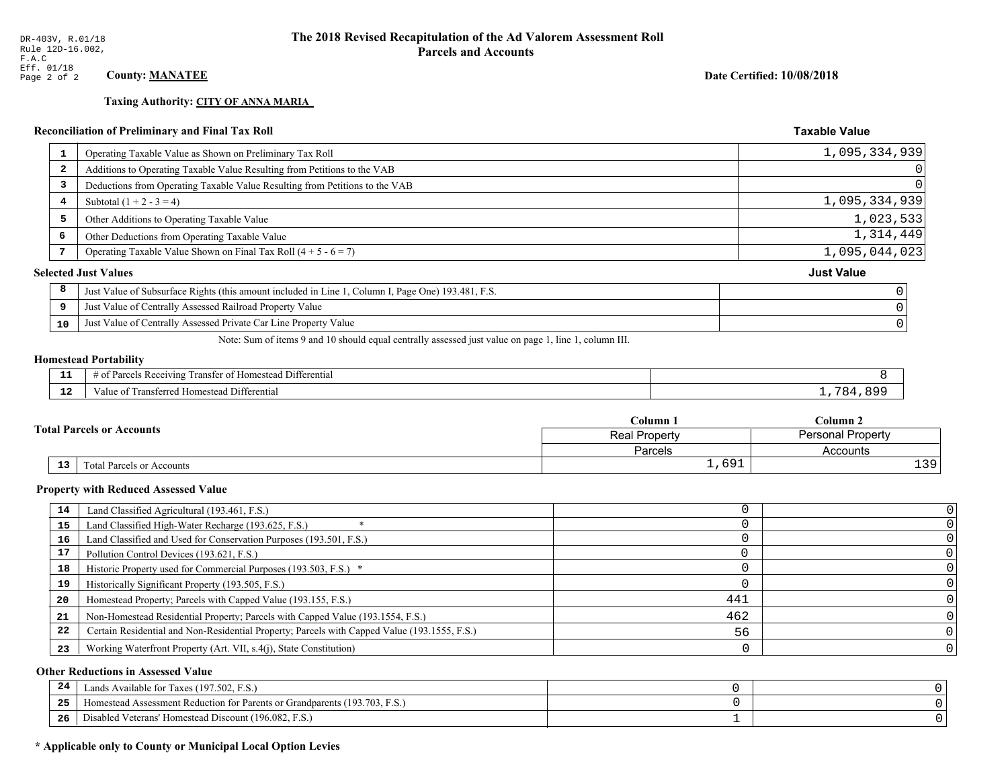#### **Taxing Authority: CITY OF ANNA MARIA**

# Reconciliation of Preliminary and Final Tax Roll

| 1  | Operating Taxable Value as Shown on Preliminary Tax Roll                                           | 1,095,334,939     |
|----|----------------------------------------------------------------------------------------------------|-------------------|
| -2 | Additions to Operating Taxable Value Resulting from Petitions to the VAB                           | $\Omega$          |
| 3  | Deductions from Operating Taxable Value Resulting from Petitions to the VAB                        | $\Omega$          |
| 4  | Subtotal $(1 + 2 - 3 = 4)$                                                                         | 1,095,334,939     |
| 5  | Other Additions to Operating Taxable Value                                                         | 1,023,533         |
| 6  | Other Deductions from Operating Taxable Value                                                      | 1,314,449         |
|    | Operating Taxable Value Shown on Final Tax Roll $(4 + 5 - 6 = 7)$                                  | 1,095,044,023     |
|    | <b>Selected Just Values</b>                                                                        | <b>Just Value</b> |
| 8  | Just Value of Subsurface Rights (this amount included in Line 1, Column I, Page One) 193.481, F.S. |                   |
| 9  | Just Value of Centrally Assessed Railroad Property Value                                           |                   |
| 10 | Just Value of Centrally Assessed Private Car Line Property Value                                   |                   |
|    |                                                                                                    |                   |

Note: Sum of items 9 and 10 should equal centrally assessed just value on page 1, line 1, column III.

#### **Homestead Portability**

ł,

| .<br>---    | l Differentia<br>$\sim$ $-$<br>ceivin<br>ΩŤ<br>. Rec<br>ranster<br>arce<br>$\sqrt{2}$<br>$\cdots$<br>$\cdots$ |     |
|-------------|---------------------------------------------------------------------------------------------------------------|-----|
| $\sim$<br>. | ransferred Homestead Differential<br>alue                                                                     | . . |

| Column 1                         |  |                                           | $\mathbb C$ olumn 2 |  |  |
|----------------------------------|--|-------------------------------------------|---------------------|--|--|
| <b>Total Parcels or Accounts</b> |  | <b>Personal Property</b><br>Real Property |                     |  |  |
|                                  |  | <b>Parcels</b>                            | Accounts            |  |  |
| 13<br>Total Parcels or Accounts  |  | 1,691                                     | 120 <sub>1</sub>    |  |  |

#### **Property with Reduced Assessed Value**

| 14 | Land Classified Agricultural (193.461, F.S.)                                                 |     |  |
|----|----------------------------------------------------------------------------------------------|-----|--|
| 15 | Land Classified High-Water Recharge (193.625, F.S.)                                          |     |  |
| 16 | Land Classified and Used for Conservation Purposes (193.501, F.S.)                           |     |  |
| 17 | Pollution Control Devices (193.621, F.S.)                                                    |     |  |
| 18 | Historic Property used for Commercial Purposes (193.503, F.S.) *                             |     |  |
| 19 | Historically Significant Property (193.505, F.S.)                                            |     |  |
| 20 | Homestead Property; Parcels with Capped Value (193.155, F.S.)                                | 441 |  |
| 21 | Non-Homestead Residential Property; Parcels with Capped Value (193.1554, F.S.)               | 462 |  |
| 22 | Certain Residential and Non-Residential Property; Parcels with Capped Value (193.1555, F.S.) | 56  |  |
| 23 | Working Waterfront Property (Art. VII, s.4(j), State Constitution)                           |     |  |

#### **Other Reductions in Assessed Value**

| -44 | Available for Taxes (197.502, F.S.)                                          |  |
|-----|------------------------------------------------------------------------------|--|
| 25  | 'omestead Assessment Reduction for Parents or Grandparents $(193.703, F.S.)$ |  |
| 26  | isabled Veterans' Homestead Discount (196.082, F.S.)                         |  |

# \* Applicable only to County or Municipal Local Option Levies

Date Certified: 10/08/2018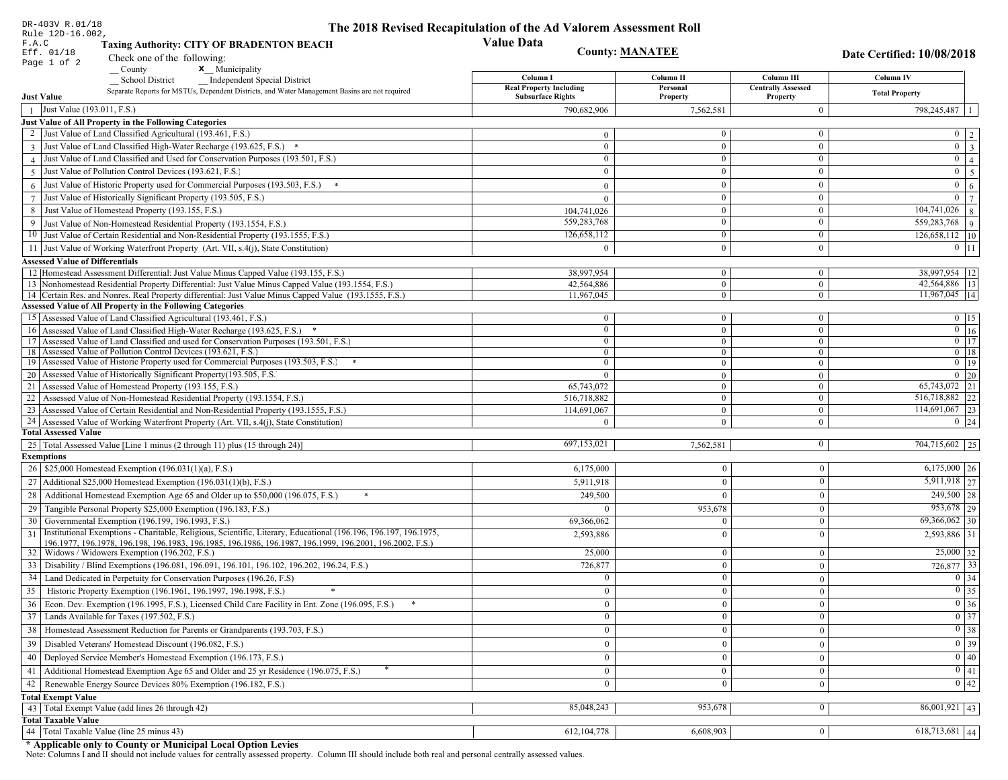| DR-403V R.01/18                                                                                                                                                             | The 2018 Revised Recapitulation of the Ad Valorem Assessment Roll |                              |                              |                                 |  |
|-----------------------------------------------------------------------------------------------------------------------------------------------------------------------------|-------------------------------------------------------------------|------------------------------|------------------------------|---------------------------------|--|
| Rule 12D-16.002,<br><b>Value Data</b><br>F.A.C<br><b>Taxing Authority: CITY OF BRADENTON BEACH</b>                                                                          |                                                                   |                              |                              |                                 |  |
| Eff. 01/18<br>Check one of the following:                                                                                                                                   |                                                                   | <b>County: MANATEE</b>       |                              | Date Certified: 10/08/2018      |  |
| Page 1 of 2<br><b>x</b> Municipality<br>County                                                                                                                              |                                                                   |                              |                              |                                 |  |
| <b>School District</b><br><b>Independent Special District</b>                                                                                                               | Column I                                                          | Column II                    | Column III                   | Column IV                       |  |
| Separate Reports for MSTUs, Dependent Districts, and Water Management Basins are not required                                                                               | <b>Real Property Including</b>                                    | Personal                     | <b>Centrally Assessed</b>    | <b>Total Property</b>           |  |
| <b>Just Value</b>                                                                                                                                                           | <b>Subsurface Rights</b>                                          | Property                     | Property                     |                                 |  |
| Just Value (193.011, F.S.)                                                                                                                                                  | 790,682,906                                                       | 7,562,581                    | $\overline{0}$               | 798,245,487   1                 |  |
| Just Value of All Property in the Following Categories<br>Just Value of Land Classified Agricultural (193.461, F.S.)                                                        |                                                                   | $\overline{0}$               | $\mathbf{0}$                 |                                 |  |
|                                                                                                                                                                             | $\Omega$                                                          |                              |                              | $0 \mid 2$<br>$\boxed{0}$ 3     |  |
| 3 Just Value of Land Classified High-Water Recharge (193.625, F.S.) *<br>Just Value of Land Classified and Used for Conservation Purposes (193.501, F.S.)                   | $\mathbf{0}$<br>$\mathbf{0}$                                      | $\mathbf{0}$<br>$\mathbf{0}$ | $\mathbf{0}$<br>$\mathbf{0}$ | $\overline{0}$   4              |  |
|                                                                                                                                                                             | $\Omega$                                                          | $\overline{0}$               | $\boldsymbol{0}$             |                                 |  |
| Just Value of Pollution Control Devices (193.621, F.S.)<br>5                                                                                                                |                                                                   |                              |                              | $0 \mid 5$                      |  |
| Just Value of Historic Property used for Commercial Purposes (193.503, F.S.) *                                                                                              | $\mathbf{0}$                                                      | $\overline{0}$               | $\mathbf{0}$                 | $0 \mid 6$                      |  |
| Just Value of Historically Significant Property (193.505, F.S.)<br>$7\phantom{.0}$                                                                                          | $\overline{0}$                                                    | $\overline{0}$               | $\boldsymbol{0}$             | $\overline{0}$   $\overline{7}$ |  |
| Just Value of Homestead Property (193.155, F.S.)<br>8                                                                                                                       | 104,741,026                                                       | $\overline{0}$               | $\boldsymbol{0}$             | $\boxed{104,741,026}$ 8         |  |
| Just Value of Non-Homestead Residential Property (193.1554, F.S.)<br>9                                                                                                      | 559,283,768                                                       | $\overline{0}$               | $\bf{0}$                     | 559,283,768   9                 |  |
| 10 Just Value of Certain Residential and Non-Residential Property (193.1555, F.S.)                                                                                          | 126,658,112                                                       | $\overline{0}$               | $\bf{0}$                     | $126,658,112$ 10                |  |
| 11 Just Value of Working Waterfront Property (Art. VII, s.4(j), State Constitution)                                                                                         | $\theta$                                                          | $\overline{0}$               | $\mathbf{0}$                 | $0$   11                        |  |
| <b>Assessed Value of Differentials</b>                                                                                                                                      |                                                                   |                              |                              |                                 |  |
| 12 Homestead Assessment Differential: Just Value Minus Capped Value (193.155, F.S.)                                                                                         | 38.997.954                                                        | $\overline{0}$               | $\boldsymbol{0}$             | 38,997,954   12                 |  |
| 13 Nonhomestead Residential Property Differential: Just Value Minus Capped Value (193.1554, F.S.)                                                                           | 42,564,886                                                        | $\overline{0}$               | $\boldsymbol{0}$             | 42,564,886 13                   |  |
| 14 Certain Res. and Nonres. Real Property differential: Just Value Minus Capped Value (193.1555, F.S.)<br><b>Assessed Value of All Property in the Following Categories</b> | 11,967,045                                                        | $\overline{0}$               | $\boldsymbol{0}$             | $11,967,045$  14                |  |
| 15 Assessed Value of Land Classified Agricultural (193.461, F.S.)                                                                                                           | $\theta$                                                          | $\mathbf{0}$                 | $\bf{0}$                     | $0 \t15$                        |  |
| 16 Assessed Value of Land Classified High-Water Recharge (193.625, F.S.)                                                                                                    | $\theta$                                                          | $\overline{0}$               | $\boldsymbol{0}$             | $\boxed{0}$ $\boxed{16}$        |  |
| 17 Assessed Value of Land Classified and used for Conservation Purposes (193.501, F.S.)                                                                                     | $\theta$                                                          | $\overline{0}$               | $\mathbf{0}$                 | $0$ 17                          |  |
| Assessed Value of Pollution Control Devices (193.621, F.S.)<br>18                                                                                                           | $\Omega$                                                          | $\overline{0}$               | $\boldsymbol{0}$             | $\overline{0}$ 18               |  |
| Assessed Value of Historic Property used for Commercial Purposes (193.503, F.S.) *<br>19                                                                                    | $\mathbf{0}$                                                      | $\overline{0}$               | $\boldsymbol{0}$             | $\overline{0}$ 19               |  |
| Assessed Value of Historically Significant Property (193.505, F.S.<br>20                                                                                                    | $\Omega$                                                          | $\overline{0}$               | $\overline{0}$               | $0\quad20$                      |  |
| Assessed Value of Homestead Property (193.155, F.S.)<br>21                                                                                                                  | 65,743,072                                                        | $\overline{0}$               | $\boldsymbol{0}$             | 65,743,072 21                   |  |
| 22<br>Assessed Value of Non-Homestead Residential Property (193.1554, F.S.)                                                                                                 | 516,718,882                                                       | $\overline{0}$               | $\boldsymbol{0}$             | 516,718,882 22                  |  |
| 23<br>Assessed Value of Certain Residential and Non-Residential Property (193.1555, F.S.)                                                                                   | 114,691,067                                                       | $\overline{0}$               | $\bf{0}$                     | 114,691,067 23                  |  |
| 24 Assessed Value of Working Waterfront Property (Art. VII, s.4(j), State Constitution)                                                                                     | $\Omega$                                                          | $\overline{0}$               | $\boldsymbol{0}$             | $0 \mid 24$                     |  |
| <b>Total Assessed Value</b>                                                                                                                                                 |                                                                   |                              |                              |                                 |  |
| 25   Total Assessed Value [Line 1 minus (2 through 11) plus (15 through 24)]                                                                                                | 697,153,021                                                       | 7,562,581                    | $\bf{0}$                     | 704,715,602 25                  |  |
| <b>Exemptions</b>                                                                                                                                                           |                                                                   |                              |                              |                                 |  |
| 26   \$25,000 Homestead Exemption (196.031(1)(a), F.S.)                                                                                                                     | 6,175,000                                                         | $\boldsymbol{0}$             | $\overline{0}$               | $6,175,000$ 26                  |  |
| 27   Additional \$25,000 Homestead Exemption $(196.031(1)(b), F.S.)$                                                                                                        | 5,911,918                                                         | $\boldsymbol{0}$             | $\Omega$                     | $5,911,918$ 27                  |  |
| Additional Homestead Exemption Age 65 and Older up to \$50,000 (196.075, F.S.)<br>28                                                                                        | 249,500                                                           | $\bf{0}$                     | $\Omega$                     | $249,500$   28                  |  |
| 29 Tangible Personal Property \$25,000 Exemption (196.183, F.S.)                                                                                                            |                                                                   | 953,678                      | $\Omega$                     | 953,678 29                      |  |
| 30 Governmental Exemption (196.199, 196.1993, F.S.)                                                                                                                         | 69,366,062                                                        | $\bf{0}$                     | $\mathbf{0}$                 | $69,366,062$ 30                 |  |
| Institutional Exemptions - Charitable, Religious, Scientific, Literary, Educational (196.196, 196.197, 196.1975,<br>31                                                      | 2,593,886                                                         | $\Omega$                     | $\Omega$                     | 2,593,886 31                    |  |
| 196.1977, 196.1978, 196.198, 196.1983, 196.1985, 196.1986, 196.1987, 196.1999, 196.2001, 196.2002, F.S.)                                                                    |                                                                   |                              |                              |                                 |  |
| 32   Widows / Widowers Exemption (196.202, F.S.)                                                                                                                            | 25,000                                                            | $\bf{0}$                     | $\mathbf{0}$                 | $25,000$ 32                     |  |
| Disability / Blind Exemptions (196.081, 196.091, 196.101, 196.102, 196.202, 196.24, F.S.)<br>33                                                                             | 726,877                                                           | $\overline{0}$               | $\Omega$                     | 726,877 33                      |  |
| 34 Land Dedicated in Perpetuity for Conservation Purposes (196.26, F.S)                                                                                                     |                                                                   | $\mathbf{0}$                 | $\Omega$                     | $0 \mid 34$                     |  |
| Historic Property Exemption (196.1961, 196.1997, 196.1998, F.S.)<br>35<br>$*$                                                                                               | $\Omega$                                                          | $\theta$                     |                              | $\boxed{0}$ 35                  |  |
| 36 Econ. Dev. Exemption (196.1995, F.S.), Licensed Child Care Facility in Ent. Zone (196.095, F.S.)                                                                         | $\mathbf{0}$                                                      | $\mathbf{0}$                 | $\theta$                     | $\boxed{0}$ 36                  |  |
| 37 Lands Available for Taxes (197.502, F.S.)                                                                                                                                | $\mathbf{0}$                                                      | $\bf{0}$                     | $\mathbf{0}$                 | $\overline{0}$ 37               |  |
| 38   Homestead Assessment Reduction for Parents or Grandparents (193.703, F.S.)                                                                                             | $\mathbf{0}$                                                      | $\Omega$                     | $\Omega$                     | $\boxed{0}$ 38                  |  |
| 39   Disabled Veterans' Homestead Discount (196.082, F.S.)                                                                                                                  | $\mathbf{0}$                                                      | $\boldsymbol{0}$             | $\Omega$                     | $0 \mid 39$                     |  |
| Deployed Service Member's Homestead Exemption (196.173, F.S.)<br>40                                                                                                         | $\mathbf{0}$                                                      | $\boldsymbol{0}$             | $\mathbf{0}$                 | 0 40                            |  |
| Additional Homestead Exemption Age 65 and Older and 25 yr Residence (196.075, F.S.)<br>41                                                                                   | $\overline{0}$                                                    | $\mathbf{0}$                 | $\mathbf{0}$                 | 0 41                            |  |
| Renewable Energy Source Devices 80% Exemption (196.182, F.S.)<br>42                                                                                                         | $\mathbf{0}$                                                      | $\Omega$                     | $\theta$                     | 0 42                            |  |
| <b>Total Exempt Value</b>                                                                                                                                                   |                                                                   |                              |                              |                                 |  |
| 43 Total Exempt Value (add lines 26 through 42)                                                                                                                             | 85,048,243                                                        | 953,678                      | $\mathbf{0}$                 | $86,001,921$ 43                 |  |
| <b>Total Taxable Value</b>                                                                                                                                                  |                                                                   |                              |                              |                                 |  |
| 44 Total Taxable Value (line 25 minus 43)                                                                                                                                   | 612, 104, 778                                                     | 6,608,903                    | $\mathbf{0}$                 | $\overline{618,713,681}$ 44     |  |
|                                                                                                                                                                             |                                                                   |                              |                              |                                 |  |

DR-403V R.01/18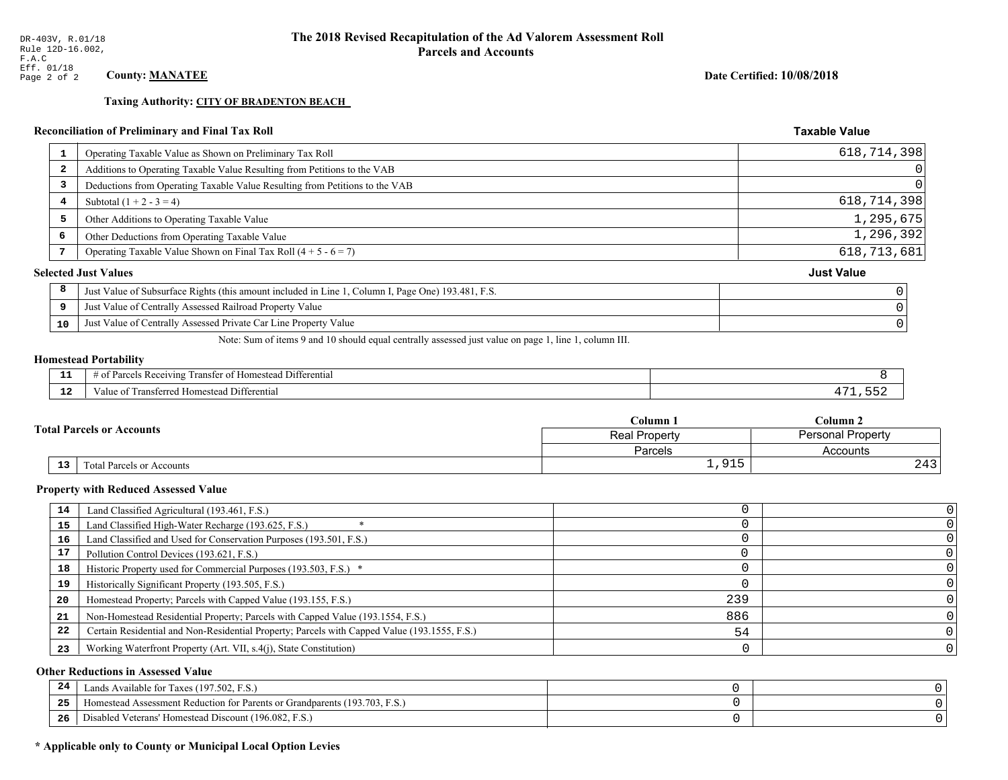# Reconciliation of Preliminary and Final Tax Roll

| 1                       | Operating Taxable Value as Shown on Preliminary Tax Roll                                           | 618,714,398       |
|-------------------------|----------------------------------------------------------------------------------------------------|-------------------|
| $\overline{\mathbf{2}}$ | Additions to Operating Taxable Value Resulting from Petitions to the VAB                           | 0                 |
| 3                       | Deductions from Operating Taxable Value Resulting from Petitions to the VAB                        | $\Omega$          |
| 4                       | Subtotal $(1 + 2 - 3 = 4)$                                                                         | 618,714,398       |
| 5                       | Other Additions to Operating Taxable Value                                                         | 1,295,675         |
| 6                       | Other Deductions from Operating Taxable Value                                                      | 1,296,392         |
|                         | Operating Taxable Value Shown on Final Tax Roll $(4 + 5 - 6 = 7)$                                  | 618, 713, 681     |
|                         | <b>Selected Just Values</b>                                                                        | <b>Just Value</b> |
| 8                       | Just Value of Subsurface Rights (this amount included in Line 1, Column I, Page One) 193.481, F.S. |                   |
| 9                       | Just Value of Centrally Assessed Railroad Property Value                                           |                   |
| 10                      | Just Value of Centrally Assessed Private Car Line Property Value                                   |                   |
|                         |                                                                                                    |                   |

Note: Sum of items 9 and 10 should equal centrally assessed just value on page 1, line 1, column III.

#### **Homestead Portability**

| .<br>---    | $\cdots$<br>⊥ Differentia!<br>Receivin<br>ranster<br>$\sim$<br>-arce<br>$\sqrt{2}$<br>$\cdots$<br>$\cdot$<br>,,,,, |  |
|-------------|--------------------------------------------------------------------------------------------------------------------|--|
| $\sim$<br>. | i Differential<br>alue<br>l Homestead<br>i fansiefteg                                                              |  |

| <b>Total Parcels or Accounts</b> |                           | Column 1      | $_{\rm Column\,2}$       |  |
|----------------------------------|---------------------------|---------------|--------------------------|--|
|                                  |                           | Real Property | <b>Personal Property</b> |  |
|                                  |                           | Parcels       | Accounts                 |  |
| 13                               | Total Parcels or Accounts | 915           | ົ 1 ິ<br>Z4 3            |  |

#### **Property with Reduced Assessed Value**

| 14 | Land Classified Agricultural (193.461, F.S.)                                                 |     |  |
|----|----------------------------------------------------------------------------------------------|-----|--|
| 15 | Land Classified High-Water Recharge (193.625, F.S.)                                          |     |  |
| 16 | Land Classified and Used for Conservation Purposes (193.501, F.S.)                           |     |  |
| 17 | Pollution Control Devices (193.621, F.S.)                                                    |     |  |
| 18 | Historic Property used for Commercial Purposes (193.503, F.S.) *                             |     |  |
| 19 | Historically Significant Property (193.505, F.S.)                                            |     |  |
| 20 | Homestead Property; Parcels with Capped Value (193.155, F.S.)                                | 239 |  |
| 21 | Non-Homestead Residential Property; Parcels with Capped Value (193.1554, F.S.)               | 886 |  |
| 22 | Certain Residential and Non-Residential Property; Parcels with Capped Value (193.1555, F.S.) | 54  |  |
| 23 | Working Waterfront Property (Art. VII, s.4(j), State Constitution)                           |     |  |

#### **Other Reductions in Assessed Value**

| -44 | Available for Taxes (197.502, F.S.)                                            |  |
|-----|--------------------------------------------------------------------------------|--|
| 25  | (193.703, F.S.<br>Homestead Assessment Reduction for Parents or Grandparents ( |  |
| 26  | Disabled Veterans' Homestead Discount (196.082, F.S.)                          |  |

# \* Applicable only to County or Municipal Local Option Levies

Date Certified: 10/08/2018

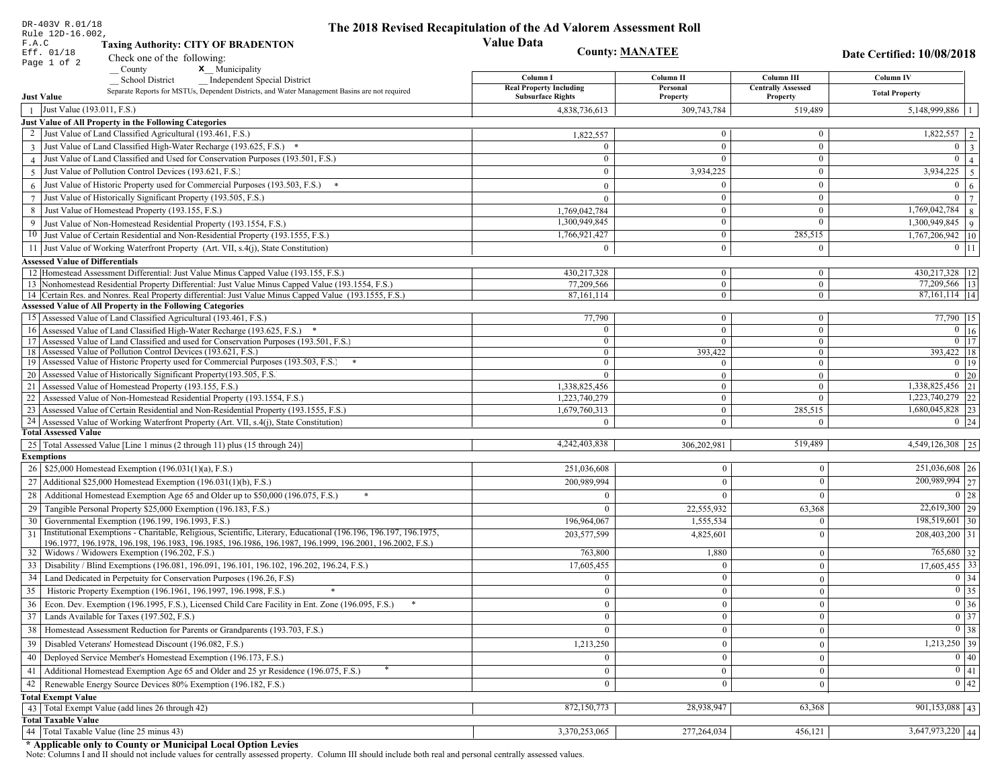|                   | DR-403V R.01/18                                                                                                                                                                                                              | The 2018 Revised Recapitulation of the Ad Valorem Assessment Roll |                           |                                  |                                                            |  |
|-------------------|------------------------------------------------------------------------------------------------------------------------------------------------------------------------------------------------------------------------------|-------------------------------------------------------------------|---------------------------|----------------------------------|------------------------------------------------------------|--|
|                   | Rule 12D-16.002,<br><b>Value Data</b><br>F.A.C<br><b>Taxing Authority: CITY OF BRADENTON</b>                                                                                                                                 |                                                                   |                           |                                  |                                                            |  |
|                   | <b>County: MANATEE</b><br>Eff. 01/18<br>Check one of the following:                                                                                                                                                          |                                                                   |                           |                                  | Date Certified: 10/08/2018                                 |  |
| Page 1 of 2       | <b>x</b> Municipality<br>County                                                                                                                                                                                              |                                                                   |                           |                                  |                                                            |  |
|                   | <b>School District</b><br><b>Independent Special District</b>                                                                                                                                                                | Column I                                                          | Column II                 | Column III                       | Column IV                                                  |  |
|                   | Separate Reports for MSTUs, Dependent Districts, and Water Management Basins are not required                                                                                                                                | <b>Real Property Including</b>                                    | Personal                  | <b>Centrally Assessed</b>        | <b>Total Property</b>                                      |  |
| <b>Just Value</b> |                                                                                                                                                                                                                              | <b>Subsurface Rights</b>                                          | Property                  | Property                         |                                                            |  |
| $\mathbf{1}$      | Just Value (193.011, F.S.)                                                                                                                                                                                                   | 4,838,736,613                                                     | 309,743,784               | 519,489                          | 5,148,999,886                                              |  |
|                   | Just Value of All Property in the Following Categories<br>Just Value of Land Classified Agricultural (193.461, F.S.)                                                                                                         |                                                                   | $\overline{0}$            | $\mathbf{0}$                     | $\overline{1,822,557}$   2                                 |  |
|                   |                                                                                                                                                                                                                              | 1,822,557                                                         |                           |                                  |                                                            |  |
|                   | 3 Just Value of Land Classified High-Water Recharge (193.625, F.S.) *                                                                                                                                                        | $\Omega$                                                          | $\overline{0}$            | $\mathbf{0}$                     | $\overline{0}$   3                                         |  |
|                   | 4 Just Value of Land Classified and Used for Conservation Purposes (193.501, F.S.)                                                                                                                                           | $\overline{0}$                                                    | $\overline{0}$            | $\mathbf{0}$                     | $0 \mid 4 \mid$                                            |  |
|                   | 5 Just Value of Pollution Control Devices (193.621, F.S.)                                                                                                                                                                    | $\Omega$                                                          | 3,934,225                 | $\boldsymbol{0}$                 | 3,934,225<br>$5\overline{5}$                               |  |
|                   | 6 Just Value of Historic Property used for Commercial Purposes (193.503, F.S.) $*$                                                                                                                                           | $\mathbf{0}$                                                      | $\theta$                  | $\mathbf{0}$                     | $\overline{0}$<br>6 <sup>6</sup>                           |  |
|                   | 7 Just Value of Historically Significant Property (193.505, F.S.)                                                                                                                                                            | $\mathbf{0}$                                                      | $\overline{0}$            | $\mathbf{0}$                     | $\overline{0}$<br>$\overline{7}$                           |  |
| 8                 | Just Value of Homestead Property (193.155, F.S.)                                                                                                                                                                             | 1,769,042,784                                                     | $\theta$                  | $\Omega$                         | 1,769,042,784<br>8                                         |  |
|                   | 9 Just Value of Non-Homestead Residential Property (193.1554, F.S.)                                                                                                                                                          | 1,300,949,845                                                     | $\theta$                  | $\mathbf{0}$                     | $1,300,949,845$ 9                                          |  |
|                   | 10 Just Value of Certain Residential and Non-Residential Property (193.1555, F.S.)                                                                                                                                           | 1,766,921,427                                                     | $\bf{0}$                  | 285,515                          | 1,767,206,942 10                                           |  |
|                   | 11 Just Value of Working Waterfront Property (Art. VII, s.4(j), State Constitution)                                                                                                                                          | $\theta$                                                          | $\mathbf{0}$              | $\mathbf{0}$                     | $0$   11                                                   |  |
|                   | <b>Assessed Value of Differentials</b>                                                                                                                                                                                       |                                                                   |                           |                                  |                                                            |  |
|                   | 12 Homestead Assessment Differential: Just Value Minus Capped Value (193.155, F.S.)                                                                                                                                          | 430,217,328                                                       | $\overline{0}$            | $\overline{0}$                   | 430,217,328   12                                           |  |
|                   | 13 Nonhomestead Residential Property Differential: Just Value Minus Capped Value (193.1554, F.S.)                                                                                                                            | 77,209,566                                                        | $\overline{0}$            | $\mathbf{0}$                     | 77,209,566   13                                            |  |
|                   | 14 Certain Res. and Nonres. Real Property differential: Just Value Minus Capped Value (193.1555, F.S.)                                                                                                                       | 87,161,114                                                        | $\overline{0}$            | $\bf{0}$                         | 87,161,114   14                                            |  |
|                   | <b>Assessed Value of All Property in the Following Categories</b>                                                                                                                                                            |                                                                   |                           |                                  |                                                            |  |
|                   | 15 Assessed Value of Land Classified Agricultural (193.461, F.S.)                                                                                                                                                            | 77,790                                                            | $\mathbf{0}$              | $\bf{0}$                         | 77,790 15                                                  |  |
|                   | 16 Assessed Value of Land Classified High-Water Recharge (193.625, F.S.) *                                                                                                                                                   |                                                                   | $\overline{0}$            | $\mathbf{0}$                     | $\overline{0}$ $\overline{16}$                             |  |
|                   | 17 Assessed Value of Land Classified and used for Conservation Purposes (193.501, F.S.)<br>18 Assessed Value of Pollution Control Devices (193.621, F.S.)                                                                    | $\mathbf{0}$<br>$\Omega$                                          | $\overline{0}$            | $\boldsymbol{0}$                 | $\overline{0}$ 17<br>$393,422$ 18                          |  |
|                   | 19 Assessed Value of Historic Property used for Commercial Purposes (193.503, F.S.)                                                                                                                                          | $\Omega$                                                          | 393,422<br>$\overline{0}$ | $\mathbf{0}$<br>$\boldsymbol{0}$ | $0 \mid 19$                                                |  |
|                   | 20 Assessed Value of Historically Significant Property (193.505, F.S.                                                                                                                                                        | $\Omega$                                                          | $\overline{0}$            | $\mathbf{0}$                     | $0 \mid 20$                                                |  |
|                   | 21 Assessed Value of Homestead Property (193.155, F.S.)                                                                                                                                                                      | 1,338,825,456                                                     | $\mathbf{0}$              | $\Omega$                         | $\overline{1,338,825,456}$ 21                              |  |
|                   | 22 Assessed Value of Non-Homestead Residential Property (193.1554, F.S.)                                                                                                                                                     | 1,223,740,279                                                     | $\mathbf{0}$              | $\theta$                         | $1,223,740,279$ 22                                         |  |
|                   | 23 Assessed Value of Certain Residential and Non-Residential Property (193.1555, F.S.)                                                                                                                                       | 1,679,760,313                                                     | $\mathbf{0}$              | 285,515                          | 1,680,045,828 23                                           |  |
|                   | 24 Assessed Value of Working Waterfront Property (Art. VII, s.4(j), State Constitution)                                                                                                                                      | $\Omega$                                                          | $\overline{0}$            | $\Omega$                         | $0 \mid 24$                                                |  |
|                   | <b>Total Assessed Value</b>                                                                                                                                                                                                  |                                                                   |                           |                                  |                                                            |  |
|                   | 25   Total Assessed Value [Line 1 minus (2 through 11) plus (15 through 24)]                                                                                                                                                 | 4,242,403,838                                                     | 306,202,981               | 519,489                          | 4,549,126,308 25                                           |  |
| <b>Exemptions</b> |                                                                                                                                                                                                                              |                                                                   |                           |                                  |                                                            |  |
|                   | 26   \$25,000 Homestead Exemption (196.031(1)(a), F.S.)                                                                                                                                                                      | 251,036,608                                                       | $\overline{0}$            | $\mathbf{0}$                     | $251,036,608$ 26                                           |  |
|                   | 27   Additional \$25,000 Homestead Exemption (196.031(1)(b), F.S.)                                                                                                                                                           | 200,989,994                                                       | $\theta$                  | $\Omega$                         | 200,989,994 27                                             |  |
|                   | Additional Homestead Exemption Age 65 and Older up to \$50,000 (196.075, F.S.)                                                                                                                                               | $\Omega$                                                          |                           | $\theta$                         | $0 \mid 28$                                                |  |
| 28                |                                                                                                                                                                                                                              |                                                                   |                           |                                  | $\overline{22,619,300}$ 29                                 |  |
|                   | 29 Tangible Personal Property \$25,000 Exemption (196.183, F.S.)                                                                                                                                                             |                                                                   | 22,555,932                | 63,368                           |                                                            |  |
|                   | 30 Governmental Exemption (196.199, 196.1993, F.S.)                                                                                                                                                                          | 196,964,067                                                       | 1,555,534                 | $\theta$                         | $198,519,601$ 30                                           |  |
| 31                | Institutional Exemptions - Charitable, Religious, Scientific, Literary, Educational (196.196, 196.197, 196.1975,<br>196.1977, 196.1978, 196.198, 196.1983, 196.1985, 196.1986, 196.1987, 196.1999, 196.2001, 196.2002, F.S.) | 203,577,599                                                       | 4,825,601                 | $\Omega$                         | $208,403,200$ 31                                           |  |
|                   | 32   Widows / Widowers Exemption (196.202, F.S.)                                                                                                                                                                             | 763,800                                                           | 1,880                     | $\mathbf{0}$                     | $765,680$ 32                                               |  |
| 33                | Disability / Blind Exemptions (196.081, 196.091, 196.101, 196.102, 196.202, 196.24, F.S.)                                                                                                                                    | 17,605,455                                                        |                           | $\theta$                         | $17,605,455$ 33                                            |  |
|                   | 34 Land Dedicated in Perpetuity for Conservation Purposes (196.26, F.S)                                                                                                                                                      |                                                                   |                           | $\theta$                         | $0 \mid 34$                                                |  |
| 35                | Historic Property Exemption (196.1961, 196.1997, 196.1998, F.S.)<br>$*$                                                                                                                                                      | $\theta$                                                          | $\Omega$                  | $\mathbf{0}$                     | $\boxed{0}$ 35                                             |  |
|                   | 36 Econ. Dev. Exemption (196.1995, F.S.), Licensed Child Care Facility in Ent. Zone (196.095, F.S.)                                                                                                                          | $\mathbf{0}$                                                      | $\mathbf{0}$              | $\mathbf{0}$                     | $\begin{array}{ c c } \hline 0 & 36 \\ \hline \end{array}$ |  |
|                   | 37 Lands Available for Taxes (197.502, F.S.)                                                                                                                                                                                 | $\mathbf{0}$                                                      |                           | $\mathbf{0}$                     | $\boxed{0}$ 37                                             |  |
|                   |                                                                                                                                                                                                                              |                                                                   | $\overline{0}$            |                                  |                                                            |  |
|                   | 38   Homestead Assessment Reduction for Parents or Grandparents (193.703, F.S.)                                                                                                                                              | $\theta$                                                          | $\Omega$                  | $\mathbf{0}$                     | $\boxed{0}$ 38                                             |  |
|                   | 39   Disabled Veterans' Homestead Discount (196.082, F.S.)                                                                                                                                                                   | 1,213,250                                                         | $\overline{0}$            | $\mathbf{0}$                     | $1,213,250$ 39                                             |  |
| 40                | Deployed Service Member's Homestead Exemption (196.173, F.S.)                                                                                                                                                                | $\mathbf{0}$                                                      | $\mathbf{0}$              | $\mathbf{0}$                     | 0 40                                                       |  |
| 41                | Additional Homestead Exemption Age 65 and Older and 25 yr Residence (196.075, F.S.)                                                                                                                                          | $\mathbf{0}$                                                      | $\mathbf{0}$              | $\mathbf{0}$                     | 0 41                                                       |  |
|                   | 42   Renewable Energy Source Devices 80% Exemption (196.182, F.S.)                                                                                                                                                           | $\mathbf{0}$                                                      |                           | $\theta$                         | $\boxed{0}$ 42                                             |  |
|                   | <b>Total Exempt Value</b>                                                                                                                                                                                                    |                                                                   |                           |                                  |                                                            |  |
|                   | 43 Total Exempt Value (add lines 26 through 42)                                                                                                                                                                              | 872,150,773                                                       | 28,938,947                | 63,368                           | $\overline{901,153,088}$ 43                                |  |
|                   | <b>Total Taxable Value</b>                                                                                                                                                                                                   |                                                                   |                           |                                  |                                                            |  |
|                   | 44   Total Taxable Value (line 25 minus 43)                                                                                                                                                                                  | 3,370,253,065                                                     | 277,264,034               | 456,121                          | $3,647,973,220$ 44                                         |  |

DR-403V R.01/18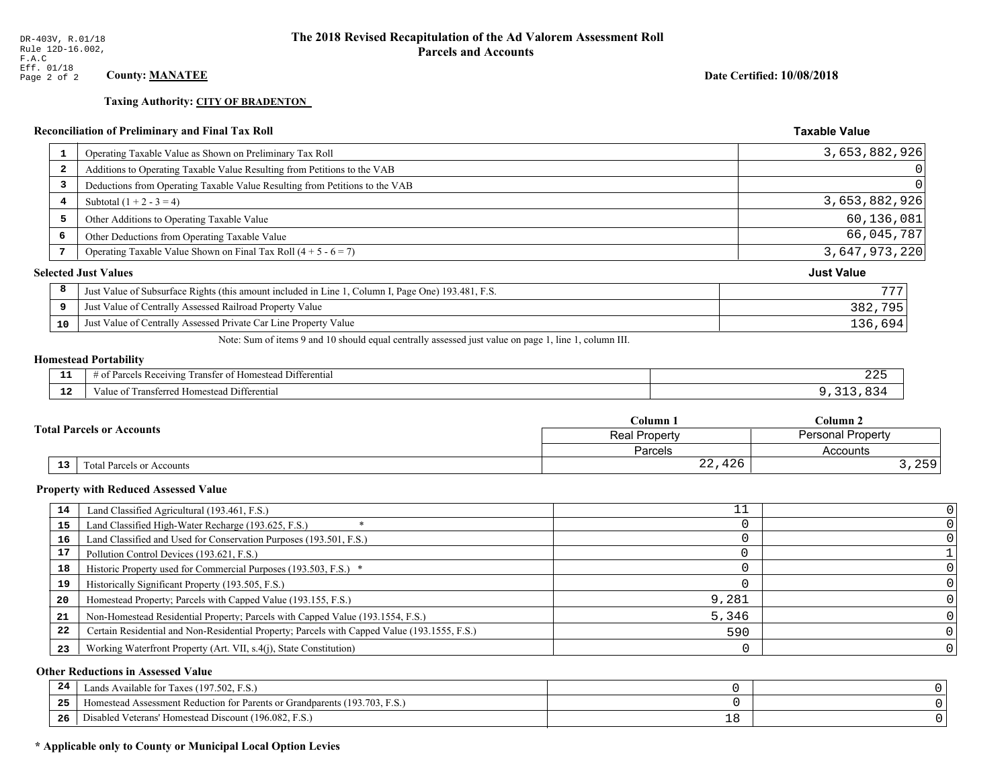**Taxing Authority: CITY OF BRADENTON** 

Date Certified: 10/08/2018

#### **Taxable Value Reconciliation of Preliminary and Final Tax Roll** Operating Taxable Value as Shown on Preliminary Tax Roll 3,653,882,926  $\mathbf{1}$  $\Omega$  $\overline{a}$ Additions to Operating Taxable Value Resulting from Petitions to the VAB  $\mathbf 0$  $\overline{3}$ Deductions from Operating Taxable Value Resulting from Petitions to the VAB  $\overline{\mathbf{4}}$ Subtotal  $(1 + 2 - 3 = 4)$ 3,653,882,926 60,136,081 5 Other Additions to Operating Taxable Value 66,045,787  $\epsilon$ Other Deductions from Operating Taxable Value  $\overline{7}$ Operating Taxable Value Shown on Final Tax Roll  $(4 + 5 - 6 = 7)$ 3,647,973,220 **Selected Just Values Just Value** 8 777 Just Value of Subsurface Rights (this amount included in Line 1, Column I, Page One) 193.481, F.S.  $\overline{9}$ Just Value of Centrally Assessed Railroad Property Value 382,795 Just Value of Centrally Assessed Private Car Line Property Value 10 136,694

Note: Sum of items 9 and 10 should equal centrally assessed just value on page 1, line 1, column III.

#### **Homestead Portability**

| - -<br>---   | $\sim$ $\sim$<br>Differential<br>: Rec<br>enving<br>ำ∩†<br>rancter<br>$\cdots$ | 445 |
|--------------|--------------------------------------------------------------------------------|-----|
| $\sim$<br>-- | Differential<br>' ransterred<br>Homestead,<br>anue oi                          |     |

| <b>Fotal Parcels or Accounts</b> |                           | Column <sub>1</sub> | Column <sub>2</sub>      |  |
|----------------------------------|---------------------------|---------------------|--------------------------|--|
|                                  |                           | Real Property       | <b>Personal Property</b> |  |
|                                  |                           | Parcels             | Accounts                 |  |
| 13                               | Total Parcels or Accounts | 426<br>っっ<br>44,    | 250'<br>, 2 J J          |  |

#### **Property with Reduced Assessed Value**

| 14 | Land Classified Agricultural (193.461, F.S.)                                                 |       |  |
|----|----------------------------------------------------------------------------------------------|-------|--|
| 15 | Land Classified High-Water Recharge (193.625, F.S.)                                          |       |  |
| 16 | Land Classified and Used for Conservation Purposes (193.501, F.S.)                           |       |  |
| 17 | Pollution Control Devices (193.621, F.S.)                                                    |       |  |
| 18 | Historic Property used for Commercial Purposes (193.503, F.S.) *                             |       |  |
| 19 | Historically Significant Property (193.505, F.S.)                                            |       |  |
| 20 | Homestead Property; Parcels with Capped Value (193.155, F.S.)                                | 9,281 |  |
| 21 | Non-Homestead Residential Property; Parcels with Capped Value (193.1554, F.S.)               | 5,346 |  |
| 22 | Certain Residential and Non-Residential Property; Parcels with Capped Value (193.1555, F.S.) | 590   |  |
| 23 | Working Waterfront Property (Art. VII, s.4(j), State Constitution)                           |       |  |

#### **Other Reductions in Assessed Value**

| -44 | Available for Taxes (197.502, F.S.)                                    |   |  |
|-----|------------------------------------------------------------------------|---|--|
| 25  | stead Assessment Reduction for Parents or Grandparents (193.703, F.S., |   |  |
| 26  | isabled Veterans' Homestead Discount (196.082, F.S.)                   | ᅩ |  |

#### \* Applicable only to County or Municipal Local Option Levies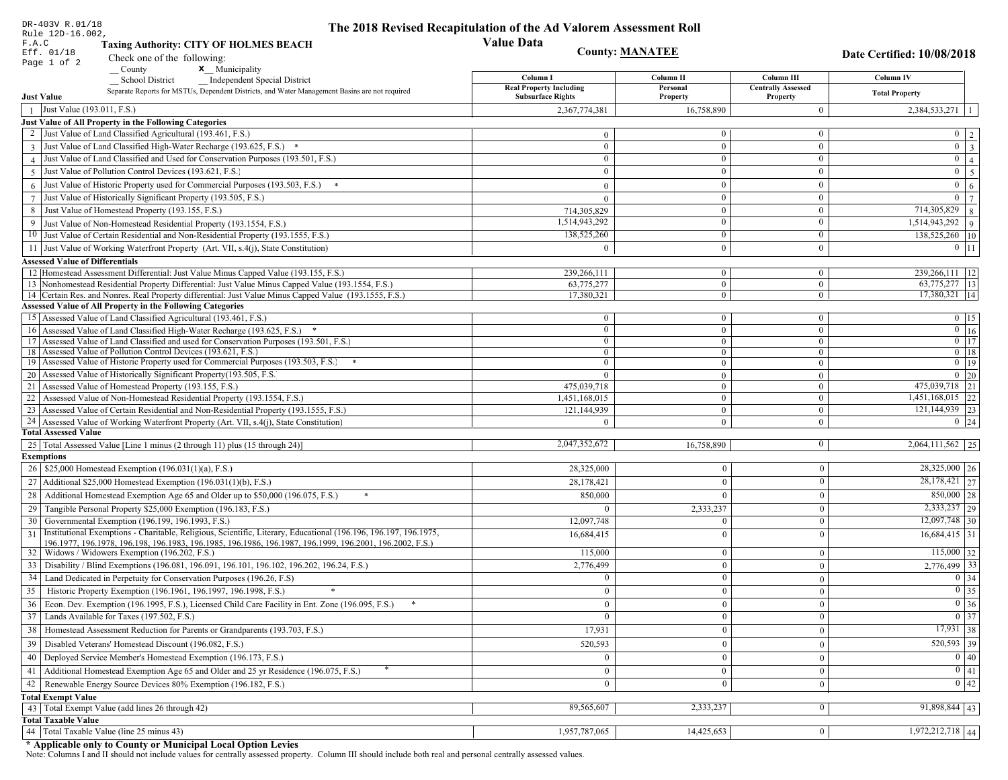| DR-403V R.01/18                                                                                 |                                                                                                                                                             | The 2018 Revised Recapitulation of the Ad Valorem Assessment Roll |                                |                              |                                                            |
|-------------------------------------------------------------------------------------------------|-------------------------------------------------------------------------------------------------------------------------------------------------------------|-------------------------------------------------------------------|--------------------------------|------------------------------|------------------------------------------------------------|
| Rule 12D-16.002,<br><b>Value Data</b><br>F.A.C<br><b>Taxing Authority: CITY OF HOLMES BEACH</b> |                                                                                                                                                             |                                                                   |                                |                              |                                                            |
| <b>County: MANATEE</b><br>Eff. 01/18                                                            |                                                                                                                                                             |                                                                   |                                |                              | <b>Date Certified: 10/08/2018</b>                          |
| Page 1 of 2                                                                                     | Check one of the following:<br>x Municipality<br>County                                                                                                     |                                                                   |                                |                              |                                                            |
|                                                                                                 | <b>School District</b><br><b>Independent Special District</b>                                                                                               | Column I                                                          | Column II                      | Column III                   | Column IV                                                  |
|                                                                                                 | Separate Reports for MSTUs, Dependent Districts, and Water Management Basins are not required                                                               | <b>Real Property Including</b>                                    | Personal                       | <b>Centrally Assessed</b>    | <b>Total Property</b>                                      |
| <b>Just Value</b>                                                                               |                                                                                                                                                             | <b>Subsurface Rights</b>                                          | Property                       | Property                     |                                                            |
| Just Value (193.011, F.S.)<br>$\mathbf{1}$                                                      |                                                                                                                                                             | 2,367,774,381                                                     | 16,758,890                     | $\mathbf{0}$                 | 2,384,533,271                                              |
|                                                                                                 | Just Value of All Property in the Following Categories<br>Just Value of Land Classified Agricultural (193.461, F.S.)                                        |                                                                   | $\mathbf{0}$                   | $\mathbf{0}$                 |                                                            |
|                                                                                                 |                                                                                                                                                             | $\theta$<br>$\Omega$                                              | $\overline{0}$                 | $\mathbf{0}$                 | $\begin{array}{c c} 0 & 2 \\ \hline 0 & 3 \end{array}$     |
|                                                                                                 | 3 Just Value of Land Classified High-Water Recharge (193.625, F.S.) *<br>4 Just Value of Land Classified and Used for Conservation Purposes (193.501, F.S.) | $\overline{0}$                                                    | $\mathbf{0}$                   | $\mathbf{0}$                 | $0 \mid 4$                                                 |
|                                                                                                 | 5 Just Value of Pollution Control Devices (193.621, F.S.)                                                                                                   | $\Omega$                                                          | $\mathbf{0}$                   | $\boldsymbol{0}$             | $\mathbf{0}$<br>$5\overline{)}$                            |
|                                                                                                 | 6 Just Value of Historic Property used for Commercial Purposes (193.503, F.S.) $*$                                                                          |                                                                   | $\overline{0}$                 | $\mathbf{0}$                 | $\overline{0}$                                             |
|                                                                                                 | 7 Just Value of Historically Significant Property (193.505, F.S.)                                                                                           | $\mathbf{0}$                                                      | $\mathbf{0}$                   | $\mathbf{0}$                 | $6\overline{6}$<br>$\mathbf{0}$<br>$7^{\circ}$             |
|                                                                                                 | Just Value of Homestead Property (193.155, F.S.)                                                                                                            | $\overline{0}$                                                    | $\theta$                       | $\mathbf{0}$                 | 714,305,829<br>8                                           |
| 8                                                                                               |                                                                                                                                                             | 714,305,829<br>1,514,943,292                                      | $\theta$                       | $\boldsymbol{0}$             | $1,514,943,292$ 9                                          |
|                                                                                                 | 9 Just Value of Non-Homestead Residential Property (193.1554, F.S.)<br>10 Just Value of Certain Residential and Non-Residential Property (193.1555, F.S.)   | 138,525,260                                                       | $\bf{0}$                       | $\mathbf{0}$                 | 138,525,260 10                                             |
|                                                                                                 | 11 Just Value of Working Waterfront Property (Art. VII, s.4(j), State Constitution)                                                                         | $\theta$                                                          | $\theta$                       | $\mathbf{0}$                 | $0$   11                                                   |
| <b>Assessed Value of Differentials</b>                                                          |                                                                                                                                                             |                                                                   |                                |                              |                                                            |
|                                                                                                 | 12 Homestead Assessment Differential: Just Value Minus Capped Value (193.155, F.S.)                                                                         | 239,266,111                                                       | $\overline{0}$                 | $\mathbf{0}$                 | 239,266,111   12                                           |
|                                                                                                 | 13 Nonhomestead Residential Property Differential: Just Value Minus Capped Value (193.1554, F.S.)                                                           | 63,775,277                                                        | $\overline{0}$                 | $\mathbf{0}$                 | 63,775,277 13                                              |
|                                                                                                 | 14 Certain Res. and Nonres. Real Property differential: Just Value Minus Capped Value (193.1555, F.S.)                                                      | 17,380,321                                                        | $\overline{0}$                 | $\bf{0}$                     | 17,380,321   14                                            |
|                                                                                                 | <b>Assessed Value of All Property in the Following Categories</b>                                                                                           |                                                                   |                                |                              |                                                            |
|                                                                                                 | 15 Assessed Value of Land Classified Agricultural (193.461, F.S.)                                                                                           | $\mathbf{0}$                                                      | $\mathbf{0}$                   | $\bf{0}$                     | $0 \mid 15$                                                |
|                                                                                                 | 16 Assessed Value of Land Classified High-Water Recharge (193.625, F.S.) *                                                                                  | $\Omega$                                                          | $\overline{0}$                 | $\mathbf{0}$                 | $\boxed{0}$ $\boxed{16}$                                   |
|                                                                                                 | 17 Assessed Value of Land Classified and used for Conservation Purposes (193.501, F.S.)                                                                     | $\mathbf{0}$                                                      | $\overline{0}$                 | $\boldsymbol{0}$             | $\overline{0}$ 17                                          |
|                                                                                                 | 18 Assessed Value of Pollution Control Devices (193.621, F.S.)<br>19 Assessed Value of Historic Property used for Commercial Purposes (193.503, F.S.)       | $\Omega$<br>$\Omega$                                              | $\overline{0}$                 | $\mathbf{0}$                 | $0$ 18<br>$0$ 19                                           |
|                                                                                                 | 20 Assessed Value of Historically Significant Property (193.505, F.S.                                                                                       | $\Omega$                                                          | $\mathbf{0}$<br>$\overline{0}$ | $\boldsymbol{0}$             | $0 \mid 20$                                                |
|                                                                                                 | 21 Assessed Value of Homestead Property (193.155, F.S.)                                                                                                     | 475,039,718                                                       | $\overline{0}$                 | $\bf{0}$<br>$\boldsymbol{0}$ | 475,039,718 21                                             |
|                                                                                                 | 22 Assessed Value of Non-Homestead Residential Property (193.1554, F.S.)                                                                                    | 1,451,168,015                                                     | $\overline{0}$                 | $\bf{0}$                     | $1,451,168,015$ 22                                         |
|                                                                                                 | 23 Assessed Value of Certain Residential and Non-Residential Property (193.1555, F.S.)                                                                      | 121,144,939                                                       | $\mathbf{0}$                   | $\bf{0}$                     | 121, 144, 939 23                                           |
|                                                                                                 | 24 Assessed Value of Working Waterfront Property (Art. VII, s.4(j), State Constitution)                                                                     | $\Omega$                                                          | $\overline{0}$                 | $\overline{0}$               | $0 \mid 24$                                                |
| <b>Total Assessed Value</b>                                                                     |                                                                                                                                                             |                                                                   |                                |                              |                                                            |
|                                                                                                 | 25   Total Assessed Value [Line 1 minus (2 through 11) plus (15 through 24)]                                                                                | 2,047,352,672                                                     | 16,758,890                     | 0                            | $2,064,111,562$   25                                       |
| <b>Exemptions</b>                                                                               |                                                                                                                                                             |                                                                   |                                |                              |                                                            |
|                                                                                                 | 26   \$25,000 Homestead Exemption (196.031(1)(a), F.S.)                                                                                                     | 28,325,000                                                        | $\overline{0}$                 | $\mathbf{0}$                 | 28,325,000 26                                              |
|                                                                                                 | 27   Additional \$25,000 Homestead Exemption (196.031(1)(b), F.S.)                                                                                          | 28,178,421                                                        | $\theta$                       | $\mathbf{0}$                 | $28,178,421$ 27                                            |
| 28                                                                                              | Additional Homestead Exemption Age 65 and Older up to \$50,000 (196.075, F.S.)                                                                              | 850,000                                                           |                                | $\mathbf{0}$                 | $850,000$ 28                                               |
|                                                                                                 | 29 Tangible Personal Property \$25,000 Exemption (196.183, F.S.)                                                                                            |                                                                   | 2,333,237                      | $\mathbf{0}$                 | 2,333,237 29                                               |
|                                                                                                 | 30 Governmental Exemption (196.199, 196.1993, F.S.)                                                                                                         | 12,097,748                                                        | $\overline{0}$                 | $\mathbf{0}$                 | $12,097,748$ 30                                            |
| 31                                                                                              | Institutional Exemptions - Charitable, Religious, Scientific, Literary, Educational (196.196.196.197. 196.1975,                                             | 16,684,415                                                        | 0                              | $\Omega$                     | $16,684,415$ 31                                            |
|                                                                                                 | 196.1977, 196.1978, 196.198, 196.1983, 196.1985, 196.1986, 196.1987, 196.1999, 196.2001, 196.2002, F.S.)                                                    |                                                                   |                                |                              | $115,000$ 32                                               |
|                                                                                                 | 32   Widows / Widowers Exemption (196.202, F.S.)                                                                                                            | 115,000                                                           | $\theta$<br>$\Omega$           | $\mathbf{0}$                 |                                                            |
| 33                                                                                              | Disability / Blind Exemptions (196.081, 196.091, 196.101, 196.102, 196.202, 196.24, F.S.)                                                                   | 2,776,499                                                         |                                | $\theta$                     | $2,776,499$ 33                                             |
|                                                                                                 | 34 Land Dedicated in Perpetuity for Conservation Purposes (196.26, F.S)                                                                                     |                                                                   |                                | $\theta$                     | $0 \mid 34$                                                |
| 35                                                                                              | Historic Property Exemption (196.1961, 196.1997, 196.1998, F.S.)<br>$*$                                                                                     | $\theta$                                                          | $\Omega$                       | $\mathbf{0}$                 | $\boxed{0}$ 35                                             |
|                                                                                                 | 36 Econ. Dev. Exemption (196.1995, F.S.), Licensed Child Care Facility in Ent. Zone (196.095, F.S.)                                                         | $\mathbf{0}$                                                      | $\mathbf{0}$                   | $\mathbf{0}$                 | $\begin{array}{ c c } \hline 0 & 36 \\ \hline \end{array}$ |
|                                                                                                 | 37 Lands Available for Taxes (197.502, F.S.)                                                                                                                | $\mathbf{0}$                                                      | $\overline{0}$                 | $\mathbf{0}$                 | $\boxed{0}$ 37                                             |
|                                                                                                 | 38   Homestead Assessment Reduction for Parents or Grandparents (193.703, F.S.)                                                                             | 17,931                                                            | $\Omega$                       | $\mathbf{0}$                 | $17,931$ 38                                                |
|                                                                                                 | 39   Disabled Veterans' Homestead Discount (196.082, F.S.)                                                                                                  | 520,593                                                           | $\overline{0}$                 | $\mathbf{0}$                 | $520,593$ 39                                               |
| 40                                                                                              | Deployed Service Member's Homestead Exemption (196.173, F.S.)                                                                                               | $\theta$                                                          | $\theta$                       | $\mathbf{0}$                 | $\boxed{0}$ 40                                             |
| 41                                                                                              | Additional Homestead Exemption Age 65 and Older and 25 yr Residence (196.075, F.S.)                                                                         | $\mathbf{0}$                                                      | $\mathbf{0}$                   | $\boldsymbol{0}$             | 0 41                                                       |
|                                                                                                 | 42   Renewable Energy Source Devices 80% Exemption (196.182, F.S.)                                                                                          | $\mathbf{0}$                                                      |                                | $\mathbf{0}$                 | $\boxed{0}$ 42                                             |
| <b>Total Exempt Value</b>                                                                       |                                                                                                                                                             |                                                                   |                                |                              |                                                            |
|                                                                                                 | 43 Total Exempt Value (add lines 26 through 42)                                                                                                             | 89,565,607                                                        | 2,333,237                      | $\mathbf{0}$                 | $91,898,844$ 43                                            |
| <b>Total Taxable Value</b>                                                                      |                                                                                                                                                             |                                                                   |                                |                              |                                                            |
|                                                                                                 | 44 Total Taxable Value (line 25 minus 43)                                                                                                                   | 1,957,787,065                                                     | 14,425,653                     | $\overline{0}$               | $1,972,212,718$ 44                                         |

DR-403V R.01/18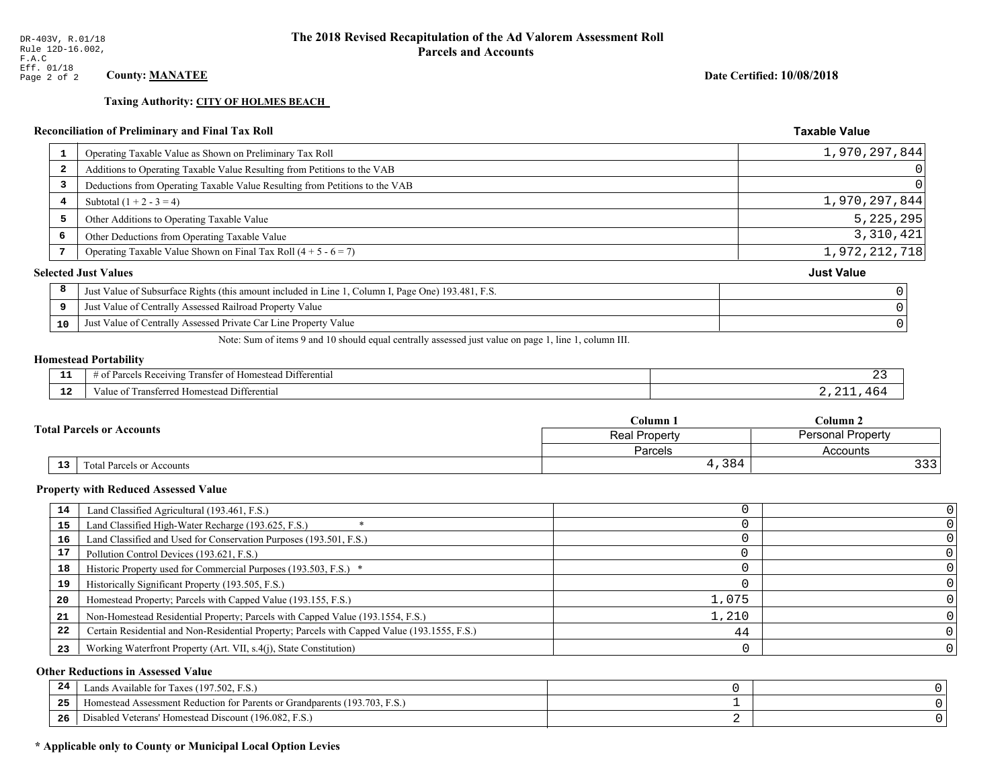**Taxing Authority: CITY OF HOLMES BEACH** 

# Reconciliation of Preliminary and Final Tax Roll

| 1  | Operating Taxable Value as Shown on Preliminary Tax Roll                                           | 1,970,297,844     |
|----|----------------------------------------------------------------------------------------------------|-------------------|
| 2  | Additions to Operating Taxable Value Resulting from Petitions to the VAB                           | $\overline{0}$    |
| 3  | Deductions from Operating Taxable Value Resulting from Petitions to the VAB                        | 0                 |
| 4  | Subtotal $(1 + 2 - 3 = 4)$                                                                         | 1,970,297,844     |
| 5  | Other Additions to Operating Taxable Value                                                         | 5, 225, 295       |
| 6  | Other Deductions from Operating Taxable Value                                                      | 3,310,421         |
|    | Operating Taxable Value Shown on Final Tax Roll $(4 + 5 - 6 = 7)$                                  | 1,972,212,718     |
|    | <b>Selected Just Values</b>                                                                        | <b>Just Value</b> |
| 8  | Just Value of Subsurface Rights (this amount included in Line 1, Column I, Page One) 193.481, F.S. |                   |
| 9  | Just Value of Centrally Assessed Railroad Property Value                                           |                   |
| 10 | Just Value of Centrally Assessed Private Car Line Property Value                                   |                   |
|    |                                                                                                    |                   |

Note: Sum of items 9 and 10 should equal centrally assessed just value on page 1, line 1, column III.

#### **Homestead Portability**

l,

| - -           | .<br>Differential<br>ranster<br>Receiving<br>$\sim$<br>. arce:<br>-01<br>$\cdots$<br>,,,,,, |  |
|---------------|---------------------------------------------------------------------------------------------|--|
| $\sim$<br>-44 | l Differential<br>alue<br>l Homestead<br>паняеней                                           |  |

|                                  | Column 1       | $C$ olumn 2              |  |
|----------------------------------|----------------|--------------------------|--|
| <b>Total Parcels or Accounts</b> | Real Property  | <b>Personal Property</b> |  |
|                                  | <b>Parcels</b> | Accounts                 |  |
| 13<br>Total Parcels or Accounts  | 4,384          | っっっ                      |  |

#### **Property with Reduced Assessed Value**

| 14 | Land Classified Agricultural (193.461, F.S.)                                                 |       |  |
|----|----------------------------------------------------------------------------------------------|-------|--|
| 15 | Land Classified High-Water Recharge (193.625, F.S.)                                          |       |  |
| 16 | Land Classified and Used for Conservation Purposes (193.501, F.S.)                           |       |  |
| 17 | Pollution Control Devices (193.621, F.S.)                                                    |       |  |
| 18 | Historic Property used for Commercial Purposes (193.503, F.S.) *                             |       |  |
| 19 | Historically Significant Property (193.505, F.S.)                                            |       |  |
| 20 | Homestead Property; Parcels with Capped Value (193.155, F.S.)                                | 1,075 |  |
| 21 | Non-Homestead Residential Property; Parcels with Capped Value (193.1554, F.S.)               | 1,210 |  |
| 22 | Certain Residential and Non-Residential Property; Parcels with Capped Value (193.1555, F.S.) | 44    |  |
| 23 | Working Waterfront Property (Art. VII, s.4(j), State Constitution)                           |       |  |

#### **Other Reductions in Assessed Value**

| 24    | Lands Available for Taxes (197.502, F.S.)                                  |  |
|-------|----------------------------------------------------------------------------|--|
| - - - | Iomestead Assessment Reduction for Parents or Grandparents (193.703, F.S.) |  |
| -26   | Disabled Veterans' Homestead Discount (196.082, F.S.)                      |  |

# \* Applicable only to County or Municipal Local Option Levies

Date Certified: 10/08/2018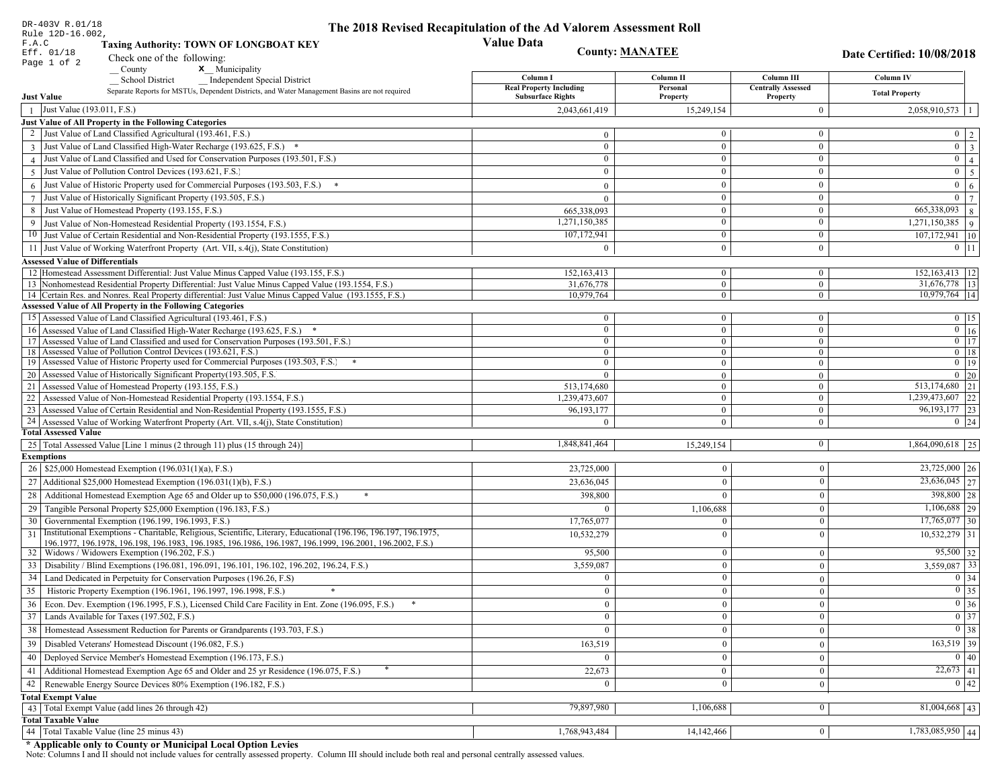| DR-403V R.01/18                                                                                                                                                             |                                                       | The 2018 Revised Recapitulation of the Ad Valorem Assessment Roll |                                |                                    |                                                  |
|-----------------------------------------------------------------------------------------------------------------------------------------------------------------------------|-------------------------------------------------------|-------------------------------------------------------------------|--------------------------------|------------------------------------|--------------------------------------------------|
| Rule 12D-16.002.<br>F.A.C<br><b>Taxing Authority: TOWN OF LONGBOAT KEY</b>                                                                                                  |                                                       | <b>Value Data</b>                                                 |                                |                                    |                                                  |
| Eff. 01/18                                                                                                                                                                  | <b>County: MANATEE</b><br>Check one of the following: |                                                                   |                                | <b>Date Certified: 10/08/2018</b>  |                                                  |
| Page 1 of 2<br><b>x</b> Municipality<br>County                                                                                                                              |                                                       |                                                                   |                                |                                    |                                                  |
| <b>School District</b><br><b>Independent Special District</b>                                                                                                               |                                                       | Column I                                                          | Column II                      | Column III                         | Column IV                                        |
| Separate Reports for MSTUs, Dependent Districts, and Water Management Basins are not required                                                                               |                                                       | <b>Real Property Including</b><br><b>Subsurface Rights</b>        | Personal                       | <b>Centrally Assessed</b>          | <b>Total Property</b>                            |
| <b>Just Value</b>                                                                                                                                                           |                                                       |                                                                   | Property                       | Property                           |                                                  |
| Just Value (193.011, F.S.)                                                                                                                                                  |                                                       | 2,043,661,419                                                     | 15,249,154                     | $\overline{0}$                     | $2,058,910,573$   1                              |
| Just Value of All Property in the Following Categories<br>2 Just Value of Land Classified Agricultural (193.461, F.S.)                                                      |                                                       |                                                                   | $\overline{0}$                 | $\bf{0}$                           |                                                  |
|                                                                                                                                                                             |                                                       | $\mathbf{0}$<br>$\mathbf{0}$                                      | $\overline{0}$                 | $\mathbf{0}$                       | $0 \mid 2$<br>$\boxed{0}$ 3                      |
| 3 Just Value of Land Classified High-Water Recharge (193.625, F.S.)<br>4 Just Value of Land Classified and Used for Conservation Purposes (193.501, F.S.)                   |                                                       | $\bf{0}$                                                          | $\overline{0}$                 |                                    | $\overline{0}\mid 4$                             |
| 5 Just Value of Pollution Control Devices (193.621, F.S.)                                                                                                                   |                                                       | $\theta$                                                          | $\overline{0}$                 | $\bf{0}$<br>$\boldsymbol{0}$       |                                                  |
|                                                                                                                                                                             |                                                       |                                                                   |                                |                                    | $0 \mid 5$                                       |
| 6 Just Value of Historic Property used for Commercial Purposes (193.503, F.S.) $*$                                                                                          |                                                       | $\theta$                                                          | $\overline{0}$                 | $\mathbf{0}$                       | $0 \mid 6$                                       |
| Just Value of Historically Significant Property (193.505, F.S.)                                                                                                             |                                                       | $\theta$                                                          | $\overline{0}$                 | $\boldsymbol{0}$                   | $\overline{0}$   7                               |
| Just Value of Homestead Property (193.155, F.S.)<br>8                                                                                                                       |                                                       | 665,338,093                                                       | $\overline{0}$                 | $\mathbf{0}$                       | 665,338,093<br> 8                                |
| 9 Just Value of Non-Homestead Residential Property (193.1554, F.S.)                                                                                                         |                                                       | 1,271,150,385                                                     | $\overline{0}$                 | $\boldsymbol{0}$                   | $\overline{1,271,150,385}$   9                   |
| 10 Just Value of Certain Residential and Non-Residential Property (193.1555, F.S.)                                                                                          |                                                       | 107,172,941                                                       | $\mathbf{0}$                   | $\bf{0}$                           | $107,172,941$ 10                                 |
| 11 Just Value of Working Waterfront Property (Art. VII, s.4(j), State Constitution)                                                                                         |                                                       | $\theta$                                                          | $\overline{0}$                 | $\boldsymbol{0}$                   | $0$ 11                                           |
| <b>Assessed Value of Differentials</b>                                                                                                                                      |                                                       |                                                                   |                                |                                    |                                                  |
| 12 Homestead Assessment Differential: Just Value Minus Capped Value (193.155, F.S.)                                                                                         |                                                       | 152, 163, 413                                                     | $\mathbf{0}$                   | $\bf{0}$                           | 152, 163, 413   12                               |
| 13 Nonhomestead Residential Property Differential: Just Value Minus Capped Value (193.1554, F.S.)                                                                           |                                                       | 31,676,778                                                        | $\overline{0}$                 | $\overline{0}$                     | 31,676,778   13                                  |
| 14 Certain Res. and Nonres. Real Property differential: Just Value Minus Capped Value (193.1555, F.S.)<br><b>Assessed Value of All Property in the Following Categories</b> |                                                       | 10,979,764                                                        | $\overline{0}$                 | $\overline{0}$                     | 10,979,764   14                                  |
|                                                                                                                                                                             |                                                       |                                                                   |                                |                                    | $0 \t15$                                         |
| 15 Assessed Value of Land Classified Agricultural (193.461, F.S.)                                                                                                           |                                                       | $\mathbf{0}$<br>$\mathbf{0}$                                      | $\mathbf{0}$<br>$\overline{0}$ | $\boldsymbol{0}$<br>$\overline{0}$ | $\boxed{0}$ $\boxed{16}$                         |
| 16 Assessed Value of Land Classified High-Water Recharge (193.625, F.S.)<br>17 Assessed Value of Land Classified and used for Conservation Purposes (193.501, F.S.)         |                                                       | $\mathbf{0}$                                                      | $\mathbf{0}$                   | $\bf{0}$                           | $0$   17                                         |
| 18 Assessed Value of Pollution Control Devices (193.621, F.S.)                                                                                                              |                                                       | $\mathbf{0}$                                                      | $\overline{0}$                 | $\overline{0}$                     | $0 \mid 18$                                      |
| 19 Assessed Value of Historic Property used for Commercial Purposes (193.503, F.S.)                                                                                         |                                                       | $\theta$                                                          | $\overline{0}$                 | $\mathbf{0}$                       | $0$   19                                         |
| 20 Assessed Value of Historically Significant Property (193.505, F.S.)                                                                                                      |                                                       | $\Omega$                                                          | $\mathbf{0}$                   | $\overline{0}$                     | $0 \mid 20$                                      |
| 21 Assessed Value of Homestead Property (193.155, F.S.)                                                                                                                     |                                                       | 513,174,680                                                       | $\overline{0}$                 | $\boldsymbol{0}$                   | 513,174,680 21                                   |
| 22 Assessed Value of Non-Homestead Residential Property (193.1554, F.S.)                                                                                                    |                                                       | 1,239,473,607                                                     | $\overline{0}$                 | $\boldsymbol{0}$                   | 1,239,473,607 22                                 |
| 23 Assessed Value of Certain Residential and Non-Residential Property (193.1555, F.S.)                                                                                      |                                                       | 96, 193, 177                                                      | $\mathbf{0}$                   | $\boldsymbol{0}$                   | 96, 193, 177 23                                  |
| 24 Assessed Value of Working Waterfront Property (Art. VII, s.4(j), State Constitution                                                                                      |                                                       | $\Omega$                                                          | $\overline{0}$                 | $\overline{0}$                     | $0 \mid 24$                                      |
| <b>Total Assessed Value</b>                                                                                                                                                 |                                                       |                                                                   |                                |                                    |                                                  |
| 25 Total Assessed Value [Line 1 minus (2 through 11) plus (15 through 24)]                                                                                                  |                                                       | 1,848,841,464                                                     | 15,249,154                     | $\bf{0}$                           | $1,864,090,618$ 25                               |
| <b>Exemptions</b>                                                                                                                                                           |                                                       |                                                                   |                                |                                    |                                                  |
| 26   \$25,000 Homestead Exemption (196.031(1)(a), F.S.)                                                                                                                     |                                                       | 23,725,000                                                        | $\mathbf{0}$                   | $\mathbf{0}$                       | $23,725,000$ 26                                  |
| 27   Additional \$25,000 Homestead Exemption $(196.031(1)(b), F.S.)$                                                                                                        |                                                       | 23,636,045                                                        | $\theta$                       | $\theta$                           | $\overline{23,636,045}$ 27                       |
| Additional Homestead Exemption Age 65 and Older up to \$50,000 (196.075, F.S.)<br>28                                                                                        |                                                       | 398,800                                                           | $\theta$                       | $\mathbf{0}$                       | 398,800 28                                       |
| 29 Tangible Personal Property \$25,000 Exemption (196.183, F.S.)                                                                                                            |                                                       |                                                                   | 1,106,688                      | $\mathbf{0}$                       | $1,106,688$ 29                                   |
| Governmental Exemption (196.199, 196.1993, F.S.)<br>30                                                                                                                      |                                                       | 17,765,077                                                        | $\overline{0}$                 | $\mathbf{0}$                       | $17,765,077$ 30                                  |
| Institutional Exemptions - Charitable, Religious, Scientific, Literary, Educational (196.196, 196.197, 196.1975,<br>31                                                      |                                                       | 10,532,279                                                        | $\Omega$                       | $\theta$                           | $10,532,279$ 31                                  |
| 196.1977, 196.1978, 196.198, 196.1983, 196.1985, 196.1986, 196.1987, 196.1999, 196.2001, 196.2002, F.S.)                                                                    |                                                       |                                                                   |                                |                                    |                                                  |
| Widows / Widowers Exemption (196.202, F.S.)<br>32                                                                                                                           |                                                       | 95,500                                                            | 0                              | $\theta$                           | $95,500$ 32                                      |
| Disability / Blind Exemptions (196.081, 196.091, 196.101, 196.102, 196.202, 196.24, F.S.)<br>33                                                                             |                                                       | 3,559,087                                                         | $\theta$                       | $\mathbf{0}$                       | $3,559,087$ 33                                   |
| Land Dedicated in Perpetuity for Conservation Purposes (196.26, F.S)                                                                                                        |                                                       |                                                                   | $\overline{0}$                 | $\Omega$                           | $0 \mid 34$                                      |
| 35 Historic Property Exemption (196.1961, 196.1997, 196.1998, F.S.)                                                                                                         |                                                       |                                                                   | $\overline{0}$                 | $\boldsymbol{0}$                   | $\boxed{0}$ 35                                   |
| 36 Econ. Dev. Exemption (196.1995, F.S.), Licensed Child Care Facility in Ent. Zone (196.095, F.S.)                                                                         |                                                       | $\overline{0}$                                                    | $\overline{0}$                 | $\mathbf{0}$                       | $\boxed{0}$ 36                                   |
| 37 Lands Available for Taxes (197.502, F.S.)                                                                                                                                |                                                       | $\bf{0}$                                                          | $\mathbf{0}$                   | $\mathbf{0}$                       | $\boxed{0}$ 37                                   |
| 38   Homestead Assessment Reduction for Parents or Grandparents (193.703, F.S.)                                                                                             |                                                       | $\Omega$                                                          | $\overline{0}$                 | $\mathbf{0}$                       | $\begin{array}{ c c } \hline 0 & 38 \end{array}$ |
| 39   Disabled Veterans' Homestead Discount (196.082, F.S.)                                                                                                                  |                                                       | 163,519                                                           | $\theta$                       | $\mathbf{0}$                       | $\overline{163,519}$ 39                          |
| 40   Deployed Service Member's Homestead Exemption (196.173, F.S.)                                                                                                          |                                                       | $\Omega$                                                          | $\overline{0}$                 | $\mathbf{0}$                       | $\boxed{0}$ $\boxed{40}$                         |
| Additional Homestead Exemption Age 65 and Older and 25 yr Residence (196.075, F.S.)<br>41                                                                                   |                                                       | 22,673                                                            | $\mathbf{0}$                   | $\mathbf{0}$                       | $22,673$   41                                    |
| 42   Renewable Energy Source Devices 80% Exemption (196.182, F.S.)                                                                                                          |                                                       |                                                                   | 0                              | $\mathbf{0}$                       | 0 42                                             |
|                                                                                                                                                                             |                                                       |                                                                   |                                |                                    |                                                  |
| <b>Total Exempt Value</b><br>43 Total Exempt Value (add lines 26 through 42)                                                                                                |                                                       | 79,897,980                                                        | 1,106,688                      | $\mathbf{0}$                       | $81,004,668$   43                                |
| <b>Total Taxable Value</b>                                                                                                                                                  |                                                       |                                                                   |                                |                                    |                                                  |
| 44   Total Taxable Value (line 25 minus 43)                                                                                                                                 |                                                       | 1,768,943,484                                                     | 14, 142, 466                   | $\bf{0}$                           | $1,783,085,950$ 44                               |
|                                                                                                                                                                             |                                                       |                                                                   |                                |                                    |                                                  |

DR-403V R.01/18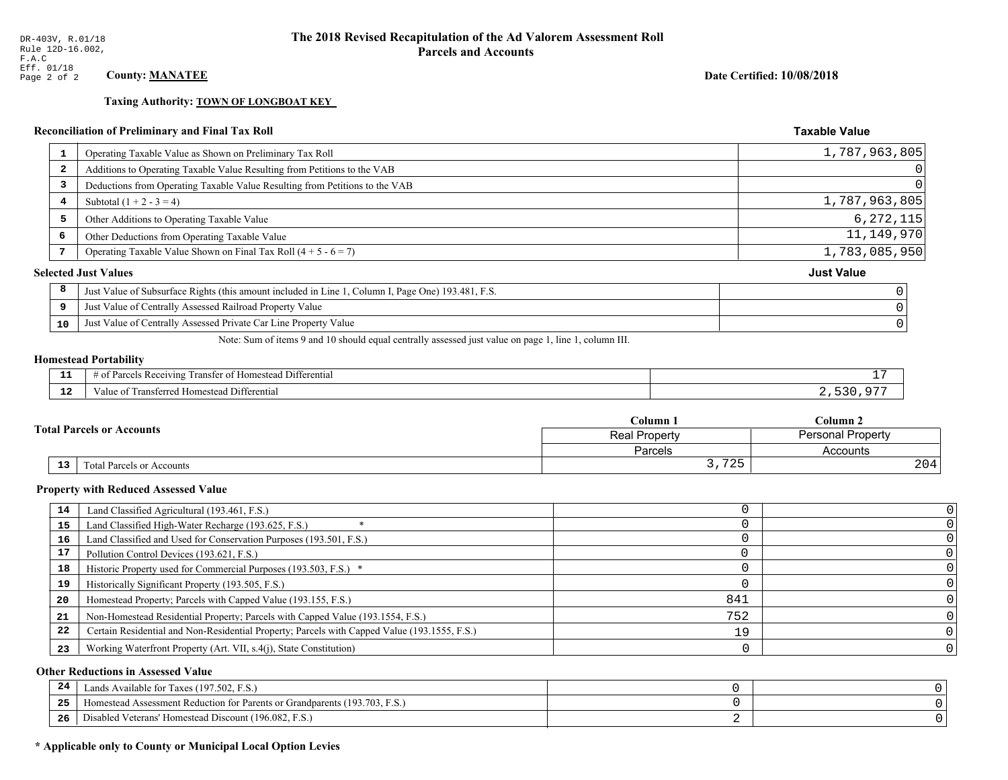**Taxing Authority: TOWN OF LONGBOAT KEY** 

# Reconciliation of Preliminary and Final Tax Roll

| 1                       | Operating Taxable Value as Shown on Preliminary Tax Roll                                           | 1,787,963,805     |
|-------------------------|----------------------------------------------------------------------------------------------------|-------------------|
| $\overline{\mathbf{2}}$ | Additions to Operating Taxable Value Resulting from Petitions to the VAB                           | $\Omega$          |
| 3                       | Deductions from Operating Taxable Value Resulting from Petitions to the VAB                        | $\Omega$          |
| 4                       | Subtotal $(1 + 2 - 3 = 4)$                                                                         | 1,787,963,805     |
| 5                       | Other Additions to Operating Taxable Value                                                         | 6, 272, 115       |
| 6                       | Other Deductions from Operating Taxable Value                                                      | 11,149,970        |
|                         | Operating Taxable Value Shown on Final Tax Roll $(4 + 5 - 6 = 7)$                                  | 1,783,085,950     |
|                         | <b>Selected Just Values</b>                                                                        | <b>Just Value</b> |
| 8                       | Just Value of Subsurface Rights (this amount included in Line 1, Column I, Page One) 193.481, F.S. |                   |
| 9                       | Just Value of Centrally Assessed Railroad Property Value                                           |                   |
| 10                      | Just Value of Centrally Assessed Private Car Line Property Value                                   |                   |
|                         |                                                                                                    |                   |

Note: Sum of items 9 and 10 should equal centrally assessed just value on page 1, line 1, column III.

#### **Homestead Portability**

| .           | $\sim$ $\sim$<br>ranster<br>Differential<br>Receiving<br>$-+$<br>iestes<br>---<br>' 01<br>. arce -<br>n |  |
|-------------|---------------------------------------------------------------------------------------------------------|--|
| $\sim$<br>. | rone<br>Differential<br>alue<br><b>Homestea</b><br>.                                                    |  |

| <b>Total Parcels or Accounts</b> |    |                           | Column 1                     | $C$ olumn 2              |  |
|----------------------------------|----|---------------------------|------------------------------|--------------------------|--|
|                                  |    |                           | <b>Real Property</b>         | <b>Personal Property</b> |  |
|                                  |    |                           | Parcels                      | Accounts                 |  |
|                                  | 13 | Fotal Parcels or Accounts | $\mathbf{A}$<br>ر ہے ،<br>ິ. | 204                      |  |

#### **Property with Reduced Assessed Value**

| 14 | Land Classified Agricultural (193.461, F.S.)                                                 |     |  |
|----|----------------------------------------------------------------------------------------------|-----|--|
| 15 | Land Classified High-Water Recharge (193.625, F.S.)                                          |     |  |
| 16 | Land Classified and Used for Conservation Purposes (193.501, F.S.)                           |     |  |
| 17 | Pollution Control Devices (193.621, F.S.)                                                    |     |  |
| 18 | Historic Property used for Commercial Purposes (193.503, F.S.) *                             |     |  |
| 19 | Historically Significant Property (193.505, F.S.)                                            |     |  |
| 20 | Homestead Property; Parcels with Capped Value (193.155, F.S.)                                | 841 |  |
| 21 | Non-Homestead Residential Property; Parcels with Capped Value (193.1554, F.S.)               | 752 |  |
| 22 | Certain Residential and Non-Residential Property; Parcels with Capped Value (193.1555, F.S.) | 19  |  |
| 23 | Working Waterfront Property (Art. VII, s.4(j), State Constitution)                           |     |  |

#### **Other Reductions in Assessed Value**

| -44 | Available for Taxes (197.502, F.S.)                                          |  |
|-----|------------------------------------------------------------------------------|--|
| 25  | 'omestead Assessment Reduction for Parents or Grandparents $(193.703, F.S.)$ |  |
| 26  | isabled Veterans' Homestead Discount (196.082, F.S.)                         |  |

# \* Applicable only to County or Municipal Local Option Levies

Date Certified: 10/08/2018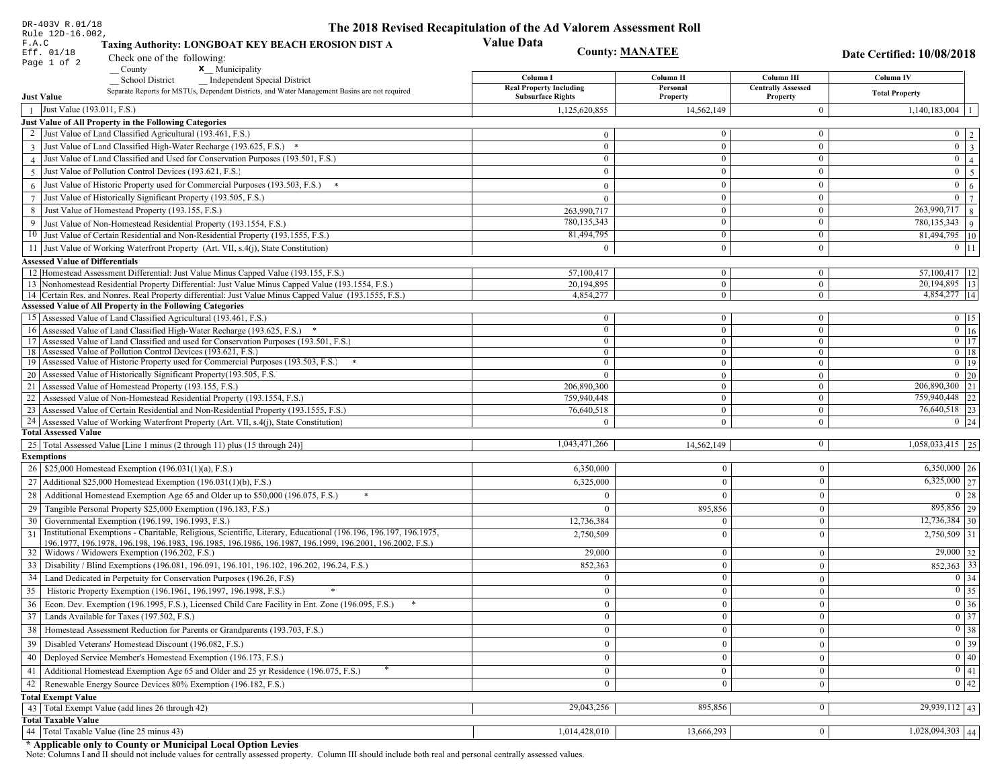| DR-403V R.01/18<br>Rule 12D-16.002,                                                                                                                                                                         | The 2018 Revised Recapitulation of the Ad Valorem Assessment Roll |                                |                                       |                                      |
|-------------------------------------------------------------------------------------------------------------------------------------------------------------------------------------------------------------|-------------------------------------------------------------------|--------------------------------|---------------------------------------|--------------------------------------|
| F.A.C<br>Taxing Authority: LONGBOAT KEY BEACH EROSION DIST A<br>Eff. 01/18<br>Check one of the following:                                                                                                   | <b>Value Data</b>                                                 | <b>County: MANATEE</b>         |                                       | <b>Date Certified: 10/08/2018</b>    |
| Page 1 of 2<br>$\sqrt{\frac{1}{1}}$ County<br>$\mathbf{x}$ Municipality                                                                                                                                     | Column I                                                          | Column II                      | Column III                            | Column IV                            |
| <b>School District</b><br><b>Independent Special District</b><br>Separate Reports for MSTUs, Dependent Districts, and Water Management Basins are not required<br><b>Just Value</b>                         | <b>Real Property Including</b><br><b>Subsurface Rights</b>        | Personal<br>Property           | <b>Centrally Assessed</b><br>Property | <b>Total Property</b>                |
| Just Value (193.011, F.S.)                                                                                                                                                                                  | 1,125,620,855                                                     | 14,562,149                     | $\theta$                              | $1,140,183,004$   1                  |
| Just Value of All Property in the Following Categories                                                                                                                                                      |                                                                   |                                |                                       |                                      |
| 2 Just Value of Land Classified Agricultural (193.461, F.S.)                                                                                                                                                | $\overline{0}$                                                    | 0                              | $\bf{0}$                              | $0 \mid 2$                           |
| 3 Just Value of Land Classified High-Water Recharge (193.625, F.S.) *                                                                                                                                       | $\mathbf{0}$                                                      | $\theta$                       | $\theta$                              | $\boldsymbol{0}$<br>$\frac{1}{3}$    |
| 4 Just Value of Land Classified and Used for Conservation Purposes (193.501, F.S.)                                                                                                                          | $\overline{0}$                                                    | $\theta$                       | $\mathbf{0}$                          | $0 \mid 4$                           |
| 5 Just Value of Pollution Control Devices (193.621, F.S.)                                                                                                                                                   | $\mathbf{0}$                                                      | $\overline{0}$                 | $\mathbf{0}$                          | $0 \mid 5$                           |
| 6 Just Value of Historic Property used for Commercial Purposes (193.503, F.S.) $*$                                                                                                                          | $\mathbf{0}$                                                      | $\theta$                       | $\theta$                              | $\bf{0}$                             |
|                                                                                                                                                                                                             | $\theta$                                                          | $\overline{0}$                 | $\mathbf{0}$                          | 6<br>$0 \mid 7$                      |
| 7 Just Value of Historically Significant Property (193.505, F.S.)<br>8 Just Value of Homestead Property (193.155, F.S.)                                                                                     |                                                                   | $\overline{0}$                 | $\boldsymbol{0}$                      | $\overline{263,990,717}$ 8           |
|                                                                                                                                                                                                             | 263,990,717<br>780,135,343                                        | $\theta$                       | $\mathbf{0}$                          |                                      |
| 9 Just Value of Non-Homestead Residential Property (193.1554, F.S.)                                                                                                                                         | 81,494,795                                                        | $\mathbf{0}$                   | $\bf{0}$                              | 780, 135, 343<br>9 <sup>°</sup>      |
| 10 Just Value of Certain Residential and Non-Residential Property (193.1555, F.S.)                                                                                                                          |                                                                   |                                | $\mathbf{0}$                          | 81,494,795   10                      |
| 11 Just Value of Working Waterfront Property (Art. VII, s.4(j), State Constitution)                                                                                                                         | $\mathbf{0}$                                                      | $\overline{0}$                 |                                       | $0$   11                             |
| <b>Assessed Value of Differentials</b>                                                                                                                                                                      |                                                                   |                                |                                       |                                      |
| 12 Homestead Assessment Differential: Just Value Minus Capped Value (193.155, F.S.)                                                                                                                         | 57,100,417                                                        | $\mathbf{0}$<br>$\overline{0}$ | $\mathbf{0}$<br>$\theta$              | 57,100,417   12<br>20, 194, 895   13 |
| 13 Nonhomestead Residential Property Differential: Just Value Minus Capped Value (193.1554, F.S.)<br>14 Certain Res. and Nonres. Real Property differential: Just Value Minus Capped Value (193.1555, F.S.) | 20,194,895<br>4,854,277                                           | $\mathbf{0}$                   | $\overline{0}$                        | 4,854,277 14                         |
| Assessed Value of All Property in the Following Categories                                                                                                                                                  |                                                                   |                                |                                       |                                      |
| 15 Assessed Value of Land Classified Agricultural (193.461, F.S.)                                                                                                                                           | $\mathbf{0}$                                                      | $\Omega$                       | $\mathbf{0}$                          | $0$ 15                               |
| 16 Assessed Value of Land Classified High-Water Recharge (193.625, F.S.) *                                                                                                                                  | $\mathbf{0}$                                                      | $\overline{0}$                 | $\theta$                              | $0 \mid 16$                          |
| 17 Assessed Value of Land Classified and used for Conservation Purposes (193.501, F.S.)                                                                                                                     | $\overline{0}$                                                    | $\Omega$                       | $\mathbf{0}$                          | $0 \mid 17$                          |
| 18 Assessed Value of Pollution Control Devices (193.621, F.S.)                                                                                                                                              | $\overline{0}$                                                    | $\overline{0}$                 | $\overline{0}$                        | $0$ 18                               |
| 19 Assessed Value of Historic Property used for Commercial Purposes (193.503, F.S.)<br>$*$                                                                                                                  | $\overline{0}$                                                    | $\overline{0}$                 | $\overline{0}$                        | $0$ 19                               |
| 20 Assessed Value of Historically Significant Property (193.505, F.S.                                                                                                                                       | $\theta$                                                          | $\Omega$                       | $\mathbf{0}$                          | $0\vert 20$                          |
| 21 Assessed Value of Homestead Property (193.155, F.S.)                                                                                                                                                     | 206,890,300                                                       | $\overline{0}$                 | $\mathbf{0}$                          | 206,890,300 21                       |
| 22<br>Assessed Value of Non-Homestead Residential Property (193.1554, F.S.)                                                                                                                                 | 759,940,448                                                       | $\overline{0}$                 | $\mathbf{0}$                          | 759,940,448 22                       |
| 23 Assessed Value of Certain Residential and Non-Residential Property (193.1555, F.S.)                                                                                                                      | 76,640,518                                                        | $\overline{0}$                 | $\mathbf{0}$                          | 76,640,518 23                        |
| 24 Assessed Value of Working Waterfront Property (Art. VII, s.4(j), State Constitution)                                                                                                                     |                                                                   | $\theta$                       | $\theta$                              | $0 \quad 24$                         |
| <b>Total Assessed Value</b>                                                                                                                                                                                 |                                                                   |                                |                                       |                                      |
| 25   Total Assessed Value [Line 1 minus (2 through 11) plus (15 through 24)]                                                                                                                                | 1,043,471,266                                                     | 14,562,149                     | $\overline{0}$                        | $1,058,033,415$   25                 |
| <b>Exemptions</b>                                                                                                                                                                                           |                                                                   |                                |                                       |                                      |
| 26   \$25,000 Homestead Exemption (196.031(1)(a), F.S.)                                                                                                                                                     | 6,350,000                                                         | $\overline{0}$                 | $\bf{0}$                              | $6,350,000$ 26                       |
| 27   Additional \$25,000 Homestead Exemption $(196.031(1)(b), F.S.)$                                                                                                                                        | 6,325,000                                                         | $\overline{0}$                 | $\Omega$                              | $6,325,000$ 27                       |
| 28 Additional Homestead Exemption Age 65 and Older up to \$50,000 (196.075, F.S.)                                                                                                                           | $\Omega$                                                          | $\Omega$                       | $\mathbf{0}$                          | $0 \mid 28$                          |
| 29 Tangible Personal Property \$25,000 Exemption (196.183, F.S.)                                                                                                                                            | $\theta$                                                          | 895,856                        | $\bf{0}$                              | 895,856 29                           |
| 30 Governmental Exemption (196.199, 196.1993, F.S.)                                                                                                                                                         | 12,736,384                                                        | $\Omega$                       | $\Omega$                              | $\overline{12,736,384}$ 30           |
| 31 Institutional Exemptions - Charitable, Religious, Scientific, Literary, Educational (196.196, 196.197, 196.1975,                                                                                         | 2,750,509                                                         | $\overline{0}$                 | $\mathbf{0}$                          | 2,750,509 31                         |
| 196.1977, 196.1978, 196.198, 196.1983, 196.1985, 196.1986, 196.1987, 196.1999, 196.2001, 196.2002, F.S.)<br>32   Widows / Widowers Exemption (196.202, F.S.)                                                | 29,000                                                            | $\overline{0}$                 | $\bf{0}$                              | $29,000$ 32                          |
| 33 Disability / Blind Exemptions (196.081, 196.091, 196.101, 196.102, 196.202, 196.24, F.S.)                                                                                                                | 852,363                                                           | $\overline{0}$                 | $\Omega$                              | $852,363$ 33                         |
| 34 Land Dedicated in Perpetuity for Conservation Purposes (196.26, F.S)                                                                                                                                     | $\theta$                                                          | $\overline{0}$                 |                                       | $0 \mid 34$                          |
| 35 Historic Property Exemption (196.1961, 196.1997, 196.1998, F.S.)                                                                                                                                         |                                                                   |                                | $\mathbf{0}$                          | $\boxed{0}$ 35                       |
|                                                                                                                                                                                                             | $\mathbf{0}$                                                      | 0                              | $\vert 0 \vert$                       |                                      |
| 36 Econ. Dev. Exemption (196.1995, F.S.), Licensed Child Care Facility in Ent. Zone (196.095, F.S.)                                                                                                         | $\overline{0}$                                                    | $\overline{0}$                 | $\bf{0}$                              | $0 \mid 36$                          |
| 37 Lands Available for Taxes (197.502, F.S.)                                                                                                                                                                | $\mathbf{0}$                                                      | $\overline{0}$                 | $\bf{0}$                              | $\overline{0}$ 37                    |
| 38   Homestead Assessment Reduction for Parents or Grandparents (193.703, F.S.)                                                                                                                             | $\overline{0}$                                                    | $\overline{0}$                 | $\bf{0}$                              | $\boxed{0}$ 38                       |
| 39   Disabled Veterans' Homestead Discount (196.082, F.S.)                                                                                                                                                  | $\mathbf{0}$                                                      | $\overline{0}$                 | $\bf{0}$                              | $\boxed{0}$ 39                       |
| 40   Deployed Service Member's Homestead Exemption (196.173, F.S.)                                                                                                                                          | $\mathbf{0}$                                                      | $\overline{0}$                 | $\bf{0}$                              | $\boxed{0}$ 40                       |
| 41   Additional Homestead Exemption Age 65 and Older and 25 yr Residence (196.075, F.S.)                                                                                                                    | $\mathbf{0}$                                                      | $\mathbf{0}$                   | $\bf{0}$                              | $\boxed{0}$ 41                       |
| 42 Renewable Energy Source Devices 80% Exemption (196.182, F.S.)                                                                                                                                            | $\mathbf{0}$                                                      | $\overline{0}$                 | $\bf{0}$                              | 0 42                                 |
| <b>Total Exempt Value</b>                                                                                                                                                                                   |                                                                   |                                |                                       |                                      |
| 43 Total Exempt Value (add lines 26 through 42)                                                                                                                                                             | 29,043,256                                                        | 895,856                        | $\bf{0}$                              | $\overline{29,939,112}$ 43           |
| <b>Total Taxable Value</b>                                                                                                                                                                                  |                                                                   |                                |                                       |                                      |
| 44   Total Taxable Value (line 25 minus 43)                                                                                                                                                                 | 1,014,428,010                                                     | 13,666,293                     | $\bf{0}$                              | $1,028,094,303$ 44                   |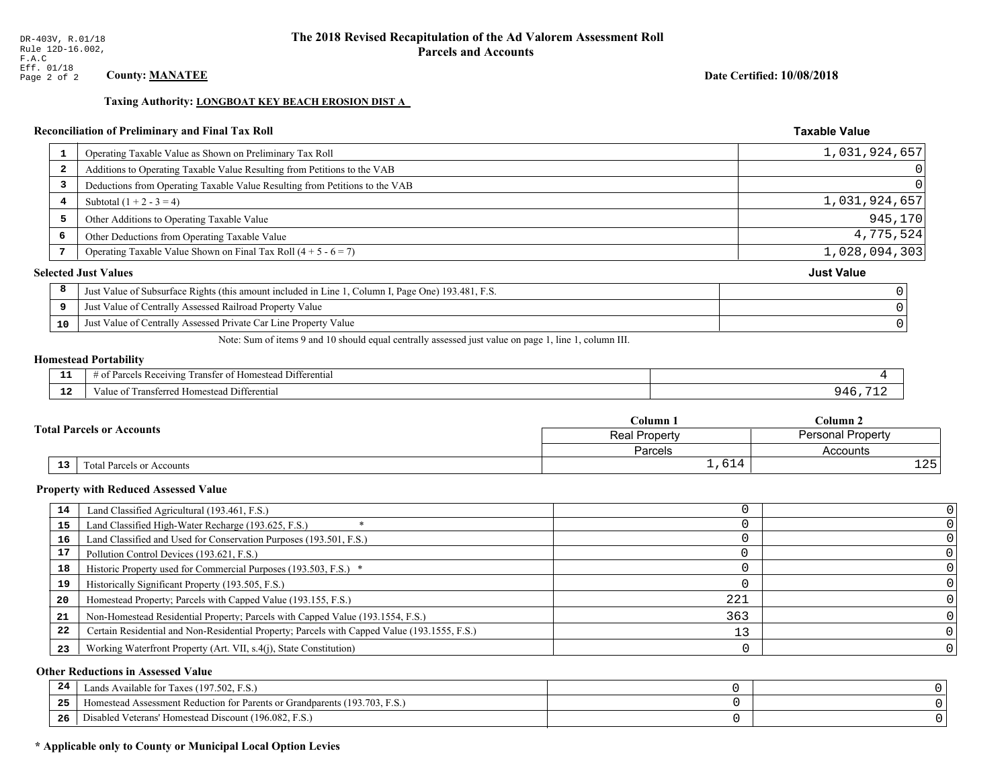# Taxing Authority: LONGBOAT KEY BEACH EROSION DIST A

# Reconciliation of Preliminary and Final Tax Roll

| 1                       | Operating Taxable Value as Shown on Preliminary Tax Roll                                           | 1,031,924,657 |
|-------------------------|----------------------------------------------------------------------------------------------------|---------------|
| $\overline{\mathbf{2}}$ | Additions to Operating Taxable Value Resulting from Petitions to the VAB                           |               |
| 3                       | Deductions from Operating Taxable Value Resulting from Petitions to the VAB                        |               |
| 4                       | Subtotal $(1 + 2 - 3 = 4)$                                                                         | 1,031,924,657 |
| 5                       | Other Additions to Operating Taxable Value                                                         | 945, 170      |
| 6                       | Other Deductions from Operating Taxable Value                                                      | 4,775,524     |
|                         | Operating Taxable Value Shown on Final Tax Roll $(4 + 5 - 6 = 7)$                                  | 1,028,094,303 |
|                         | <b>Selected Just Values</b>                                                                        | Just Value    |
| 8                       | Just Value of Subsurface Rights (this amount included in Line 1, Column I, Page One) 193.481, F.S. |               |
| 9                       | Just Value of Centrally Assessed Railroad Property Value                                           |               |
| 10                      | Just Value of Centrally Assessed Private Car Line Property Value                                   |               |
|                         |                                                                                                    |               |

Note: Sum of items 9 and 10 should equal centrally assessed just value on page 1, line 1, column III.

#### **Homestead Portability**

l,

| - -         | --<br>. Differential<br>$\ldots$ cis Receiving T<br>ranster<br>$\sim$<br>i Homestead<br>. arce <sup>,</sup><br>-01<br>. . |  |
|-------------|---------------------------------------------------------------------------------------------------------------------------|--|
| $\sim$<br>. | ransterred<br>l Homestead Differential<br>alue                                                                            |  |

|                                  |                           | Column 1      | $C$ olumn 2              |  |
|----------------------------------|---------------------------|---------------|--------------------------|--|
| <b>Fotal Parcels or Accounts</b> |                           | Real Property | <b>Personal Property</b> |  |
|                                  |                           | Parcels       | Accounts                 |  |
| 13 <sub>1</sub>                  | Total Parcels or Accounts | 1,614         | 1つに<br>ᆂᅀᇰ               |  |

#### **Property with Reduced Assessed Value**

| 14 | Land Classified Agricultural (193.461, F.S.)                                                 |     |  |
|----|----------------------------------------------------------------------------------------------|-----|--|
|    |                                                                                              |     |  |
| 15 | Land Classified High-Water Recharge (193.625, F.S.)                                          |     |  |
| 16 | Land Classified and Used for Conservation Purposes (193.501, F.S.)                           |     |  |
| 17 | Pollution Control Devices (193.621, F.S.)                                                    |     |  |
| 18 | Historic Property used for Commercial Purposes (193.503, F.S.) *                             |     |  |
| 19 | Historically Significant Property (193.505, F.S.)                                            |     |  |
| 20 | Homestead Property; Parcels with Capped Value (193.155, F.S.)                                | 221 |  |
| 21 | Non-Homestead Residential Property; Parcels with Capped Value (193.1554, F.S.)               | 363 |  |
| 22 | Certain Residential and Non-Residential Property; Parcels with Capped Value (193.1555, F.S.) |     |  |
| 23 | Working Waterfront Property (Art. VII, s.4(j), State Constitution)                           |     |  |

#### **Other Reductions in Assessed Value**

| 24    | Lands Available for Taxes (197.502, F.S.)                                               |  |
|-------|-----------------------------------------------------------------------------------------|--|
| - - - | <sup>1</sup> Homestead Assessment Reduction for Parents or Grandparents (193.703, F.S.) |  |
| -26   | Disabled Veterans' Homestead Discount (196.082, F.S.)                                   |  |

# \* Applicable only to County or Municipal Local Option Levies

**Taxable Value** 

Date Certified: 10/08/2018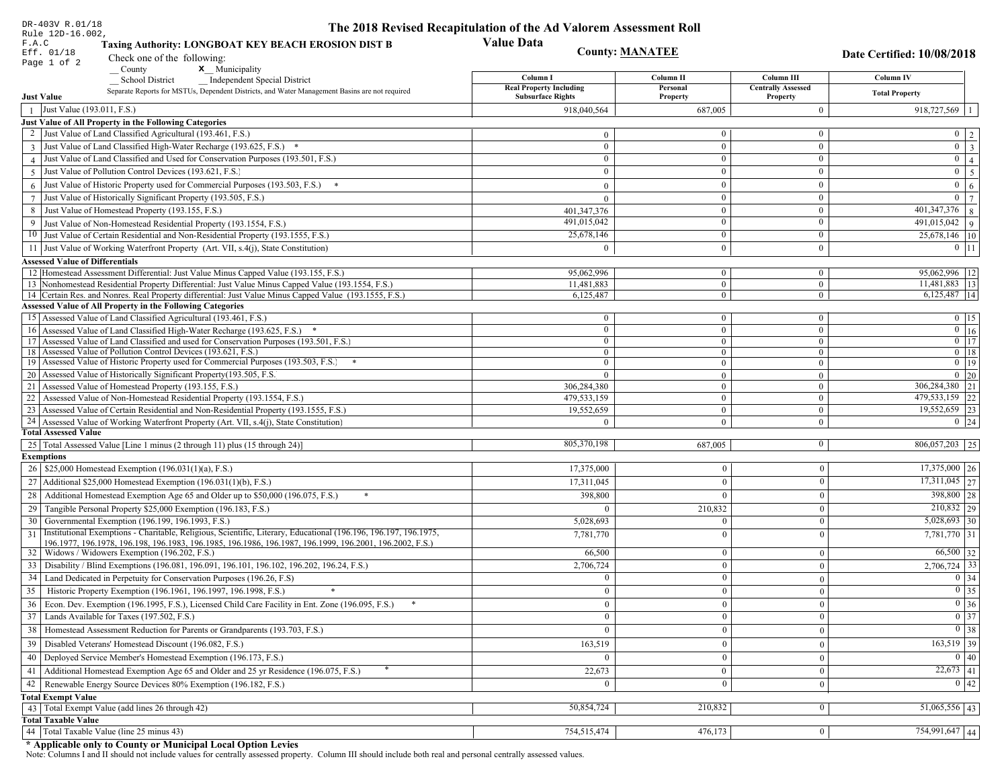| DR-403V R.01/18                                                                                                                                              | The 2018 Revised Recapitulation of the Ad Valorem Assessment Roll |                        |                                       |                                                     |
|--------------------------------------------------------------------------------------------------------------------------------------------------------------|-------------------------------------------------------------------|------------------------|---------------------------------------|-----------------------------------------------------|
| Rule 12D-16.002,<br>F.A.C<br>Taxing Authority: LONGBOAT KEY BEACH EROSION DIST B                                                                             | <b>Value Data</b>                                                 |                        |                                       |                                                     |
| Eff. 01/18<br>Check one of the following:                                                                                                                    |                                                                   | <b>County: MANATEE</b> |                                       | Date Certified: 10/08/2018                          |
| Page 1 of 2<br>County<br>x Municipality                                                                                                                      |                                                                   |                        |                                       |                                                     |
| <b>School District</b><br><b>Independent Special District</b>                                                                                                | Column I                                                          | Column II              | Column III                            | Column IV                                           |
| Separate Reports for MSTUs, Dependent Districts, and Water Management Basins are not required<br><b>Just Value</b>                                           | <b>Real Property Including</b><br><b>Subsurface Rights</b>        | Personal<br>Property   | <b>Centrally Assessed</b><br>Property | <b>Total Property</b>                               |
| Just Value (193.011, F.S.)<br>$\overline{1}$                                                                                                                 | 918,040,564                                                       | 687,005                | $\boldsymbol{0}$                      | $918,727,569$   1                                   |
| Just Value of All Property in the Following Categories                                                                                                       |                                                                   |                        |                                       |                                                     |
| 2 Just Value of Land Classified Agricultural (193.461, F.S.)                                                                                                 | $\mathbf{0}$                                                      | $\mathbf{0}$           | $\boldsymbol{0}$                      | $0 \mid 2$                                          |
| 3 Just Value of Land Classified High-Water Recharge (193.625, F.S.) *                                                                                        | $\mathbf{0}$                                                      | $\boldsymbol{0}$       | $\boldsymbol{0}$                      | $0 \mid 3$                                          |
| 4 Just Value of Land Classified and Used for Conservation Purposes (193.501, F.S.)                                                                           | $\overline{0}$                                                    | $\boldsymbol{0}$       | $\boldsymbol{0}$                      | $\overline{0}$ 4                                    |
| Just Value of Pollution Control Devices (193.621, F.S.)<br>$\overline{5}$                                                                                    | $\mathbf{0}$                                                      | $\mathbf{0}$           | $\boldsymbol{0}$                      | $\overline{0}$ 5                                    |
| $6$ Just Value of Historic Property used for Commercial Purposes (193.503, F.S.) $*$                                                                         | $\Omega$                                                          | $\Omega$               | $\boldsymbol{0}$                      | $0 \quad 6$                                         |
| 7 Just Value of Historically Significant Property (193.505, F.S.)                                                                                            | $\mathbf{0}$                                                      | $\mathbf{0}$           | $\boldsymbol{0}$                      | $0 \mid 7 \mid$                                     |
| 8 Just Value of Homestead Property (193.155, F.S.)                                                                                                           | 401,347,376                                                       | $\mathbf{0}$           | $\boldsymbol{0}$                      | $401,347,376$ 8                                     |
| 9 Just Value of Non-Homestead Residential Property (193.1554, F.S.)                                                                                          | 491,015,042                                                       | $\overline{0}$         | $\boldsymbol{0}$                      | $\overline{491,015,042}$   9                        |
| 10 Just Value of Certain Residential and Non-Residential Property (193.1555, F.S.)                                                                           | 25,678,146                                                        | $\mathbf{0}$           | $\boldsymbol{0}$                      | 25,678,146 10                                       |
| 11 Just Value of Working Waterfront Property (Art. VII, s.4(j), State Constitution)                                                                          | $\theta$                                                          | $\theta$               | $\mathbf{0}$                          | $0 \mid 11$                                         |
|                                                                                                                                                              |                                                                   |                        |                                       |                                                     |
| <b>Assessed Value of Differentials</b><br>12 Homestead Assessment Differential: Just Value Minus Capped Value (193.155, F.S.)                                | 95,062,996                                                        | $\overline{0}$         | $\boldsymbol{0}$                      | 95,062,996   12                                     |
| 13 Nonhomestead Residential Property Differential: Just Value Minus Capped Value (193.1554, F.S.)                                                            | 11,481,883                                                        | $\mathbf{0}$           | $\mathbf{0}$                          | $11,481,883$   13                                   |
| 14 Certain Res. and Nonres. Real Property differential: Just Value Minus Capped Value (193.1555, F.S.)                                                       | 6,125,487                                                         | $\mathbf{0}$           | $\mathbf{0}$                          | $6,125,487$   14                                    |
| <b>Assessed Value of All Property in the Following Categories</b>                                                                                            |                                                                   |                        |                                       |                                                     |
| 15 Assessed Value of Land Classified Agricultural (193.461, F.S.)                                                                                            | $\mathbf{0}$                                                      | $\mathbf{0}$           | $\mathbf{0}$                          | $0 \mid 15$                                         |
| 16 Assessed Value of Land Classified High-Water Recharge (193.625, F.S.)                                                                                     | $\overline{0}$                                                    | $\mathbf{0}$           | $\boldsymbol{0}$                      | $\overline{0}$ 16                                   |
| 17 Assessed Value of Land Classified and used for Conservation Purposes (193.501, F.S.)                                                                      | $\overline{0}$                                                    | $\mathbf{0}$           | $\mathbf{0}$                          | $0 \mid 17$                                         |
| 18 Assessed Value of Pollution Control Devices (193.621, F.S.)                                                                                               | $\mathbf{0}$                                                      | $\mathbf{0}$           | $\overline{0}$                        | $0$ 18                                              |
| 19 Assessed Value of Historic Property used for Commercial Purposes (193.503, F.S.)                                                                          | $\overline{0}$                                                    | $\mathbf{0}$           | $\mathbf{0}$                          | $0 \t19$                                            |
| 20 Assessed Value of Historically Significant Property (193.505, F.S.                                                                                        | $\theta$                                                          | $\overline{0}$         | $\overline{0}$                        | $0\quad20$                                          |
| 21 Assessed Value of Homestead Property (193.155, F.S.)                                                                                                      | 306,284,380                                                       | $\overline{0}$         | $\mathbf{0}$                          | $\overline{306,284,380}$ 21                         |
| 22 Assessed Value of Non-Homestead Residential Property (193.1554, F.S.)                                                                                     | 479,533,159                                                       | $\overline{0}$         | $\overline{0}$                        | 479,533,159 22                                      |
| 23 Assessed Value of Certain Residential and Non-Residential Property (193.1555, F.S.)                                                                       | 19,552,659                                                        | $\mathbf{0}$           | $\mathbf{0}$                          | 19,552,659 23                                       |
| 24 Assessed Value of Working Waterfront Property (Art. VII, s.4(j), State Constitution                                                                       | $\Omega$                                                          | $\overline{0}$         | $\mathbf{0}$                          | $0 \mid 24$                                         |
| <b>Total Assessed Value</b>                                                                                                                                  |                                                                   |                        |                                       |                                                     |
| 25   Total Assessed Value [Line 1 minus (2 through 11) plus (15 through 24)]                                                                                 | 805,370,198                                                       | 687,005                | $\bf{0}$                              | $806,057,203$ 25                                    |
| <b>Exemptions</b>                                                                                                                                            |                                                                   |                        |                                       |                                                     |
| 26   \$25,000 Homestead Exemption (196.031(1)(a), F.S.)                                                                                                      | 17,375,000                                                        | $\mathbf{0}$           | $\overline{0}$                        | $17,375,000$ 26                                     |
| 27   Additional \$25,000 Homestead Exemption (196.031(1)(b), F.S.)                                                                                           | 17,311,045                                                        | $\theta$               | $\theta$                              | $\overline{17,311,045}$ 27                          |
| 28 Additional Homestead Exemption Age 65 and Older up to \$50,000 (196.075, F.S.)                                                                            | 398,800                                                           | $\Omega$               | $\Omega$                              | 398,800 28                                          |
| 29 Tangible Personal Property \$25,000 Exemption (196.183, F.S.)                                                                                             | $\theta$                                                          | 210,832                | $\Omega$                              | $210,832$ 29                                        |
| 30 Governmental Exemption (196.199, 196.1993, F.S.)                                                                                                          | 5,028,693                                                         | $\Omega$               | $\Omega$                              | $5,028,693$ 30                                      |
| Institutional Exemptions - Charitable, Religious, Scientific, Literary, Educational (196.196, 196.197, 196.1975,<br>31                                       | 7,781,770                                                         | $\Omega$               | $\Omega$                              | 7,781,770 31                                        |
| 196.1977, 196.1978, 196.198, 196.1983, 196.1985, 196.1986, 196.1987, 196.1999, 196.2001, 196.2002, F.S.)<br>32   Widows / Widowers Exemption (196.202, F.S.) | 66,500                                                            | $\Omega$               | $\mathbf{0}$                          | $66,500$ 32                                         |
| 33 Disability / Blind Exemptions (196.081, 196.091, 196.101, 196.102, 196.202, 196.24, F.S.)                                                                 | 2,706,724                                                         | $\Omega$               | $\Omega$                              | $2,706,724$ 33                                      |
| 34   Land Dedicated in Perpetuity for Conservation Purposes (196.26, F.S)                                                                                    | $\mathbf{0}$                                                      | $\Omega$               | $\Omega$                              | $0 \mid 34$                                         |
| 35 Historic Property Exemption (196.1961, 196.1997, 196.1998, F.S.)                                                                                          |                                                                   |                        |                                       | $\boxed{0}$ 35                                      |
|                                                                                                                                                              | $\overline{0}$                                                    | $\bf{0}$               | $\vert 0 \vert$                       | $0\vert 36$                                         |
| 36 Econ. Dev. Exemption (196.1995, F.S.), Licensed Child Care Facility in Ent. Zone (196.095, F.S.)                                                          | $\overline{0}$                                                    | $\mathbf{0}$           | $\theta$                              |                                                     |
| 37 Lands Available for Taxes (197.502, F.S.)                                                                                                                 | $\mathbf{0}$                                                      | $\overline{0}$         | $\bf{0}$                              | $\boxed{0}$ 37                                      |
| 38   Homestead Assessment Reduction for Parents or Grandparents (193.703, F.S.)                                                                              | $\mathbf{0}$                                                      | $\mathbf{0}$           | $\mathbf{0}$                          | $0 \mid 38$                                         |
| 39   Disabled Veterans' Homestead Discount (196.082, F.S.)                                                                                                   | 163,519                                                           | $\Omega$               | $\Omega$                              | $\sqrt{163,519}$ 39                                 |
| 40   Deployed Service Member's Homestead Exemption (196.173, F.S.)                                                                                           | $\theta$                                                          | $\mathbf{0}$           | $\theta$                              | 0 40                                                |
| 41   Additional Homestead Exemption Age 65 and Older and 25 yr Residence (196.075, F.S.)                                                                     | 22,673                                                            | $\Omega$               | $\overline{0}$                        | $\overline{22,673}$ 41                              |
| 42 Renewable Energy Source Devices 80% Exemption (196.182, F.S.)                                                                                             | $\mathbf{0}$                                                      | $\Omega$               | $\theta$                              | $\begin{array}{ c c }\n\hline\n0 & 42\n\end{array}$ |
| <b>Total Exempt Value</b>                                                                                                                                    |                                                                   |                        |                                       |                                                     |
| 43 Total Exempt Value (add lines 26 through 42)                                                                                                              | 50,854,724                                                        | 210,832                | $\Omega$                              | $\overline{51,065,556}$ 43                          |
| <b>Total Taxable Value</b>                                                                                                                                   |                                                                   |                        |                                       |                                                     |
| 44 Total Taxable Value (line 25 minus 43)                                                                                                                    | 754,515,474                                                       | 476,173                | $\bf{0}$                              | 754,991,647 44                                      |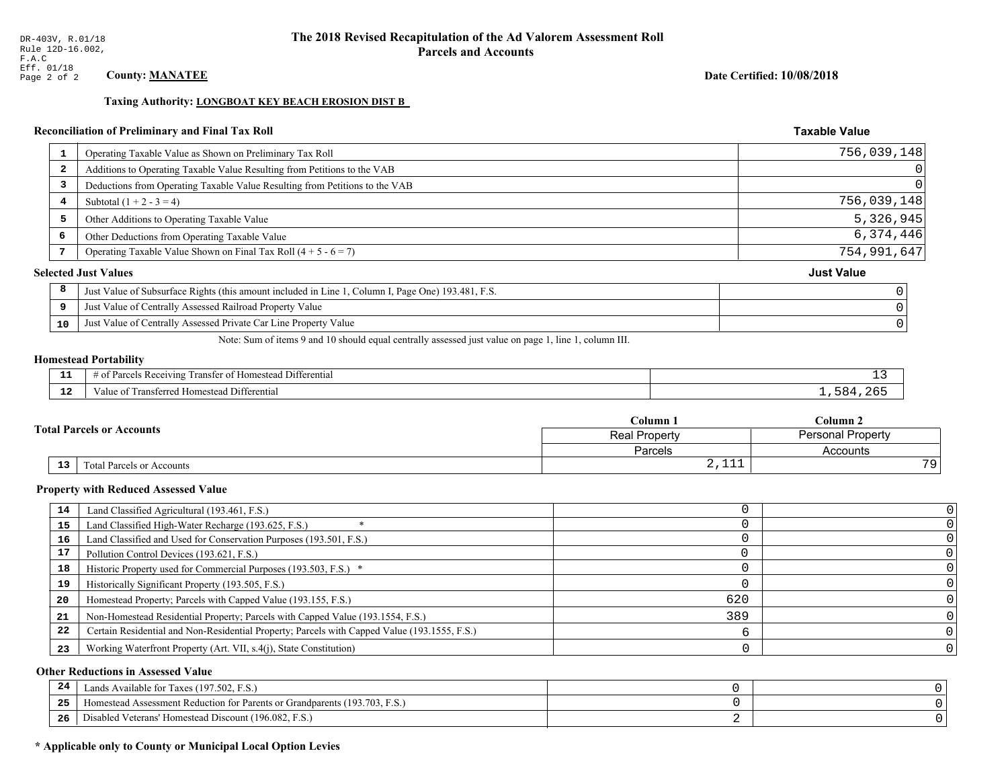#### Date Certified: 10/08/2018

**Taxable Value** 

#### Taxing Authority: LONGBOAT KEY BEACH EROSION DIST B

# Reconciliation of Preliminary and Final Tax Roll

|                         | Operating Taxable Value as Shown on Preliminary Tax Roll                                           | 756,039,148       |
|-------------------------|----------------------------------------------------------------------------------------------------|-------------------|
| $\overline{\mathbf{2}}$ | Additions to Operating Taxable Value Resulting from Petitions to the VAB                           | $\vert 0 \vert$   |
| 3                       | Deductions from Operating Taxable Value Resulting from Petitions to the VAB                        | 0                 |
| 4                       | Subtotal $(1 + 2 - 3 = 4)$                                                                         | 756,039,148       |
| 5                       | Other Additions to Operating Taxable Value                                                         | 5,326,945         |
| 6                       | Other Deductions from Operating Taxable Value                                                      | 6,374,446         |
|                         | Operating Taxable Value Shown on Final Tax Roll $(4 + 5 - 6 = 7)$                                  | 754,991,647       |
|                         | <b>Selected Just Values</b>                                                                        | <b>Just Value</b> |
| 8                       | Just Value of Subsurface Rights (this amount included in Line 1, Column I, Page One) 193.481, F.S. |                   |
| 9                       | Just Value of Centrally Assessed Railroad Property Value                                           |                   |
| 10                      | Just Value of Centrally Assessed Private Car Line Property Value                                   |                   |
|                         |                                                                                                    |                   |

Note: Sum of items 9 and 10 should equal centrally assessed just value on page 1, line 1, column III.

#### **Homestead Portability**

| - 3          | $\sim$ $\sim$<br>l Differential<br>als Receiving.<br>ranster<br>ำ∩†<br>i Homestead<br>arce <sup>r</sup><br>ിവ<br>. . | <u>—</u>  |
|--------------|----------------------------------------------------------------------------------------------------------------------|-----------|
| - - -<br>-44 | ransterred<br>l Homestead Differential<br>alue                                                                       | 684<br>26 |

|                 |                                  | $C$ olumn $\lambda$ | $C$ olumn 2              |  |
|-----------------|----------------------------------|---------------------|--------------------------|--|
|                 | <b>Fotal Parcels or Accounts</b> | Real Property       | <b>Personal Property</b> |  |
|                 |                                  | Parcels             | Accounts                 |  |
| 13 <sub>1</sub> | Total Parcels or Accounts        | $4 + + +$           | 70                       |  |

#### **Property with Reduced Assessed Value**

| 14 | Land Classified Agricultural (193.461, F.S.)                                                 |     |  |
|----|----------------------------------------------------------------------------------------------|-----|--|
| 15 | Land Classified High-Water Recharge (193.625, F.S.)                                          |     |  |
| 16 | Land Classified and Used for Conservation Purposes (193.501, F.S.)                           |     |  |
| 17 | Pollution Control Devices (193.621, F.S.)                                                    |     |  |
| 18 | Historic Property used for Commercial Purposes (193.503, F.S.) *                             |     |  |
| 19 | Historically Significant Property (193.505, F.S.)                                            |     |  |
| 20 | Homestead Property; Parcels with Capped Value (193.155, F.S.)                                | 620 |  |
| 21 | Non-Homestead Residential Property; Parcels with Capped Value (193.1554, F.S.)               | 389 |  |
| 22 | Certain Residential and Non-Residential Property; Parcels with Capped Value (193.1555, F.S.) |     |  |
| 23 | Working Waterfront Property (Art. VII, s.4(j), State Constitution)                           |     |  |

#### **Other Reductions in Assessed Value**

| 24  | Lands Available for Taxes (197.502, F.S.)                                        |  |
|-----|----------------------------------------------------------------------------------|--|
| .   | (193.703, F.S.<br>Aomestead Assessment Reduction for Parents or Grandparents (1) |  |
| -26 | d Veterans' Homestead Discount (196.082, F.S.)<br>Disabled                       |  |

# \* Applicable only to County or Municipal Local Option Levies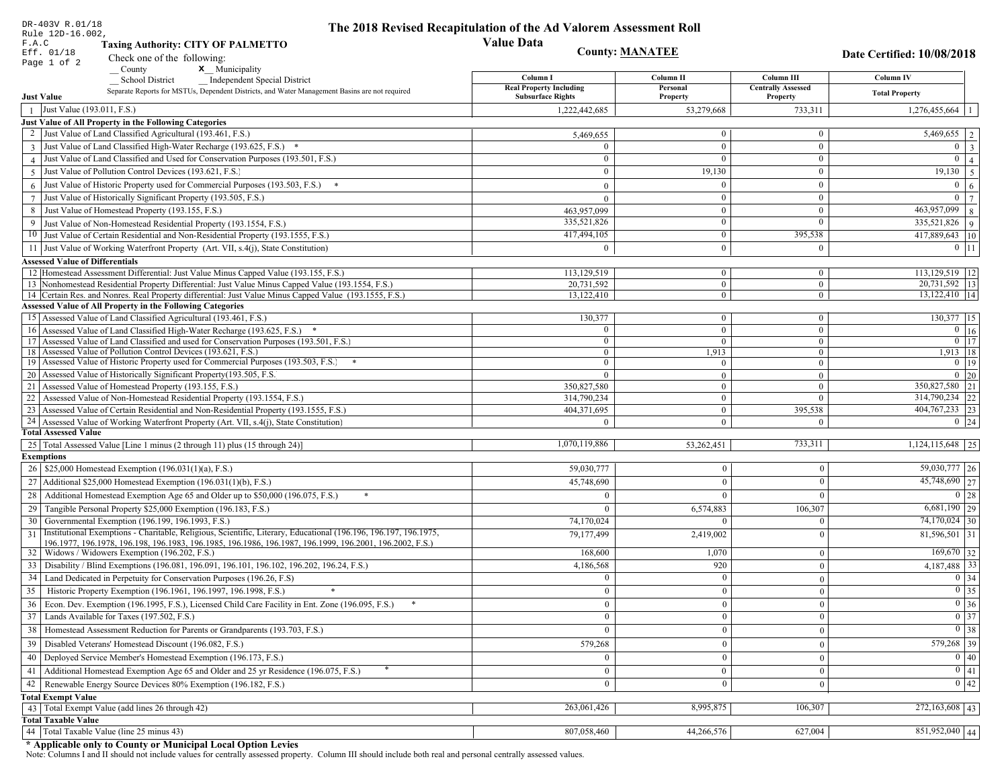| DR-403V R.01/18                                                                                                                                                                                             | The 2018 Revised Recapitulation of the Ad Valorem Assessment Roll |                                |                                       |                                               |
|-------------------------------------------------------------------------------------------------------------------------------------------------------------------------------------------------------------|-------------------------------------------------------------------|--------------------------------|---------------------------------------|-----------------------------------------------|
| Rule 12D-16.002,<br>F.A.C<br><b>Taxing Authority: CITY OF PALMETTO</b>                                                                                                                                      | <b>Value Data</b>                                                 |                                |                                       |                                               |
| Eff. 01/18<br>Check one of the following:                                                                                                                                                                   |                                                                   | <b>County: MANATEE</b>         |                                       | Date Certified: 10/08/2018                    |
| Page 1 of 2<br>x Municipality<br>County                                                                                                                                                                     |                                                                   |                                |                                       |                                               |
| <b>School District</b><br><b>Independent Special District</b>                                                                                                                                               | Column I                                                          | Column II                      | Column III                            | Column IV                                     |
| Separate Reports for MSTUs, Dependent Districts, and Water Management Basins are not required<br><b>Just Value</b>                                                                                          | <b>Real Property Including</b><br><b>Subsurface Rights</b>        | Personal<br>Property           | <b>Centrally Assessed</b><br>Property | <b>Total Property</b>                         |
| Just Value (193.011, F.S.)                                                                                                                                                                                  | 1,222,442,685                                                     | 53,279,668                     | 733,311                               | $1,276,455,664$   1                           |
| Just Value of All Property in the Following Categories                                                                                                                                                      |                                                                   |                                |                                       |                                               |
| 2 Just Value of Land Classified Agricultural (193.461, F.S.)                                                                                                                                                | 5,469,655                                                         | $\overline{0}$                 | $\bf{0}$                              | $\overline{5,469,655}$   2                    |
| 3 Just Value of Land Classified High-Water Recharge (193.625, F.S.) *                                                                                                                                       |                                                                   | $\theta$                       | $\mathbf{0}$                          | $\overline{0}$<br> 3                          |
| 4 Just Value of Land Classified and Used for Conservation Purposes (193.501, F.S.)                                                                                                                          | $\sqrt{ }$                                                        | $\Omega$                       | $\bf{0}$                              | $\mathbf{0}$<br>4 <sup>1</sup>                |
| 5 Just Value of Pollution Control Devices (193.621, F.S.)                                                                                                                                                   | $\Omega$                                                          | 19,130                         | $\overline{0}$                        | $19,130$ 5                                    |
| Just Value of Historic Property used for Commercial Purposes (193.503, F.S.)<br>6                                                                                                                           |                                                                   |                                | $\mathbf{0}$                          | $\mathbf{0}$<br>6 <sup>1</sup>                |
|                                                                                                                                                                                                             |                                                                   | $\overline{0}$                 | $\overline{0}$                        | $\overline{0}$<br> 7                          |
| Just Value of Historically Significant Property (193.505, F.S.)<br>$7\phantom{.0}$<br>Just Value of Homestead Property (193.155, F.S.)                                                                      | $\theta$                                                          | $\bf{0}$                       | $\bf{0}$                              | 463,957,099                                   |
| 8                                                                                                                                                                                                           | 463,957,099<br>335,521,826                                        | $\overline{0}$                 | $\mathbf{0}$                          | 8                                             |
| Just Value of Non-Homestead Residential Property (193.1554, F.S.)<br>9                                                                                                                                      |                                                                   | $\overline{0}$                 |                                       | $335,521,826$   9                             |
| 10 Just Value of Certain Residential and Non-Residential Property (193.1555, F.S.)                                                                                                                          | 417,494,105                                                       |                                | 395,538                               | 417,889,643   10                              |
| 11 Just Value of Working Waterfront Property (Art. VII, s.4(j), State Constitution)                                                                                                                         | 0                                                                 | $\Omega$                       | $\overline{0}$                        | $0$   11                                      |
| <b>Assessed Value of Differentials</b>                                                                                                                                                                      |                                                                   |                                |                                       |                                               |
| 12 Homestead Assessment Differential: Just Value Minus Capped Value (193.155, F.S.)                                                                                                                         | 113,129,519                                                       | $\overline{0}$                 | $\bf{0}$                              | 113,129,519   12                              |
| 13 Nonhomestead Residential Property Differential: Just Value Minus Capped Value (193.1554, F.S.)<br>14 Certain Res. and Nonres. Real Property differential: Just Value Minus Capped Value (193.1555, F.S.) | 20,731,592<br>13,122,410                                          | $\mathbf{0}$<br>$\overline{0}$ | $\mathbf{0}$<br>$\overline{0}$        | $\overline{20,731,592}$ 13<br>13,122,410   14 |
| <b>Assessed Value of All Property in the Following Categories</b>                                                                                                                                           |                                                                   |                                |                                       |                                               |
| 15 Assessed Value of Land Classified Agricultural (193.461, F.S.)                                                                                                                                           | 130,377                                                           | $\bf{0}$                       | $\bf{0}$                              | 130,377 15                                    |
| 16 Assessed Value of Land Classified High-Water Recharge (193.625, F.S.) *                                                                                                                                  | $\Omega$                                                          | $\overline{0}$                 | $\mathbf{0}$                          | $\overline{0}$   16                           |
| 17 Assessed Value of Land Classified and used for Conservation Purposes (193.501, F.S.)                                                                                                                     | $\bf{0}$                                                          | $\mathbf{0}$                   | $\bf{0}$                              | $\boxed{0}$ 17                                |
| 18 Assessed Value of Pollution Control Devices (193.621, F.S.)                                                                                                                                              | $\mathbf{0}$                                                      | 1,913                          | $\overline{0}$                        | 1,913   18                                    |
| 19 Assessed Value of Historic Property used for Commercial Purposes (193.503, F.S.)                                                                                                                         | $\mathbf{0}$                                                      | $\mathbf{0}$                   | $\bf{0}$                              | $0$ 19                                        |
| 20 Assessed Value of Historically Significant Property (193.505, F.S.                                                                                                                                       | $\theta$                                                          | $\overline{0}$                 | $\overline{0}$                        | $0 \quad 20$                                  |
| 21 Assessed Value of Homestead Property (193.155, F.S.)                                                                                                                                                     | 350,827,580                                                       | $\overline{0}$                 | $\bf{0}$                              | 350,827,580 21                                |
| 22 Assessed Value of Non-Homestead Residential Property (193.1554, F.S.)                                                                                                                                    | 314,790,234                                                       | $\overline{0}$                 | $\mathbf{0}$                          | 314,790,234 22                                |
| 23 Assessed Value of Certain Residential and Non-Residential Property (193.1555, F.S.)                                                                                                                      | 404,371,695                                                       | $\bf{0}$                       | 395,538                               | 404, 767, 233 23                              |
| 24 Assessed Value of Working Waterfront Property (Art. VII, s.4(j), State Constitution)                                                                                                                     | $\Omega$                                                          | $\mathbf{0}$                   | $\overline{0}$                        | $0 \mid 24$                                   |
| <b>Total Assessed Value</b>                                                                                                                                                                                 |                                                                   |                                |                                       |                                               |
| 25 Total Assessed Value [Line 1 minus (2 through 11) plus (15 through 24)]                                                                                                                                  | 1,070,119,886                                                     | 53,262,451                     | 733,311                               | $\overline{1,124,115,648}$   25               |
| <b>Exemptions</b>                                                                                                                                                                                           |                                                                   |                                |                                       |                                               |
| 26   \$25,000 Homestead Exemption (196.031(1)(a), F.S.)                                                                                                                                                     | 59,030,777                                                        | $\boldsymbol{0}$               | $\boldsymbol{0}$                      | 59,030,777 26                                 |
| 27   Additional \$25,000 Homestead Exemption (196.031(1)(b), F.S.)                                                                                                                                          | 45,748,690                                                        | $\overline{0}$                 | $\overline{0}$                        | 45,748,690 27                                 |
| Additional Homestead Exemption Age 65 and Older up to \$50,000 (196.075, F.S.)<br>28                                                                                                                        | $\Omega$                                                          | $\overline{0}$                 | $\theta$                              | 0 28                                          |
| Tangible Personal Property \$25,000 Exemption (196.183, F.S.)<br>29                                                                                                                                         | $\Omega$                                                          | 6,574,883                      | 106,307                               | $6,681,190$ 29                                |
| Governmental Exemption (196.199, 196.1993, F.S.)<br>30                                                                                                                                                      | 74,170,024                                                        | $\theta$                       | $\theta$                              | $74,170,024$ 30                               |
| Institutional Exemptions - Charitable, Religious, Scientific, Literary, Educational (196.196, 196.197, 196.1975,<br>31                                                                                      | 79,177,499                                                        | 2,419,002                      | $\mathbf{0}$                          | $81,596,501$ 31                               |
| 196.1977, 196.1978, 196.198, 196.1983, 196.1985, 196.1986, 196.1987, 196.1999, 196.2001, 196.2002, F.S.)                                                                                                    |                                                                   |                                |                                       |                                               |
| 32   Widows / Widowers Exemption (196.202, F.S.)                                                                                                                                                            | 168,600                                                           | 1,070                          | $\mathbf{0}$                          | $169,670$ 32                                  |
| 33 Disability / Blind Exemptions (196.081, 196.091, 196.101, 196.102, 196.202, 196.24, F.S.)                                                                                                                | 4,186,568                                                         | 920                            | $\overline{0}$                        | 4,187,488 33                                  |
| 34<br>Land Dedicated in Perpetuity for Conservation Purposes (196.26, F.S)                                                                                                                                  | $\Omega$                                                          | $\mathbf{0}$                   | $\overline{0}$                        | 0 34                                          |
| 35 Historic Property Exemption (196.1961, 196.1997, 196.1998, F.S.)                                                                                                                                         | $\mathbf{0}$                                                      | 0 <sup>1</sup>                 | $\vert$ 0                             | $\boxed{0}$ 35                                |
| 36 Econ. Dev. Exemption (196.1995, F.S.), Licensed Child Care Facility in Ent. Zone (196.095, F.S.)                                                                                                         | $\overline{0}$                                                    | $\overline{0}$                 | $\mathbf{0}$                          | $0 \mid 36$                                   |
| 37 Lands Available for Taxes (197.502, F.S.)                                                                                                                                                                | $\overline{0}$                                                    | $\vert 0 \vert$                | $\mathbf{0}$                          | $\boxed{0}$ 37                                |
| 38   Homestead Assessment Reduction for Parents or Grandparents (193.703, F.S.)                                                                                                                             | $\overline{0}$                                                    | $\bf{0}$                       | $\mathbf{0}$                          | $0 \overline{\smash)38}$                      |
| Disabled Veterans' Homestead Discount (196.082, F.S.)<br>39                                                                                                                                                 | 579,268                                                           | $\mathbf{0}$                   | $\mathbf{0}$                          | 579,268 39                                    |
| Deployed Service Member's Homestead Exemption (196.173, F.S.)<br>40                                                                                                                                         | $\overline{0}$                                                    | $\mathbf{0}$                   | $\mathbf{0}$                          | $\boxed{0}$ 40                                |
|                                                                                                                                                                                                             |                                                                   |                                |                                       |                                               |
| Additional Homestead Exemption Age 65 and Older and 25 yr Residence (196.075, F.S.)<br>41                                                                                                                   | $\overline{0}$                                                    | $\bf{0}$                       | $\boldsymbol{0}$                      | 0 41                                          |
| Renewable Energy Source Devices 80% Exemption (196.182, F.S.)<br>42                                                                                                                                         | $\mathbf{0}$                                                      | $\bf{0}$                       | $\mathbf{0}$                          | $0 \mid 42$                                   |
| <b>Total Exempt Value</b>                                                                                                                                                                                   |                                                                   |                                |                                       |                                               |
| 43 Total Exempt Value (add lines 26 through 42)                                                                                                                                                             | 263,061,426                                                       | 8,995,875                      | 106,307                               | $272,163,608$ 43                              |
| <b>Total Taxable Value</b><br>44 Total Taxable Value (line 25 minus 43)                                                                                                                                     | 807,058,460                                                       | 44,266,576                     |                                       | $851,952,040$ 44                              |
|                                                                                                                                                                                                             |                                                                   |                                | 627,004                               |                                               |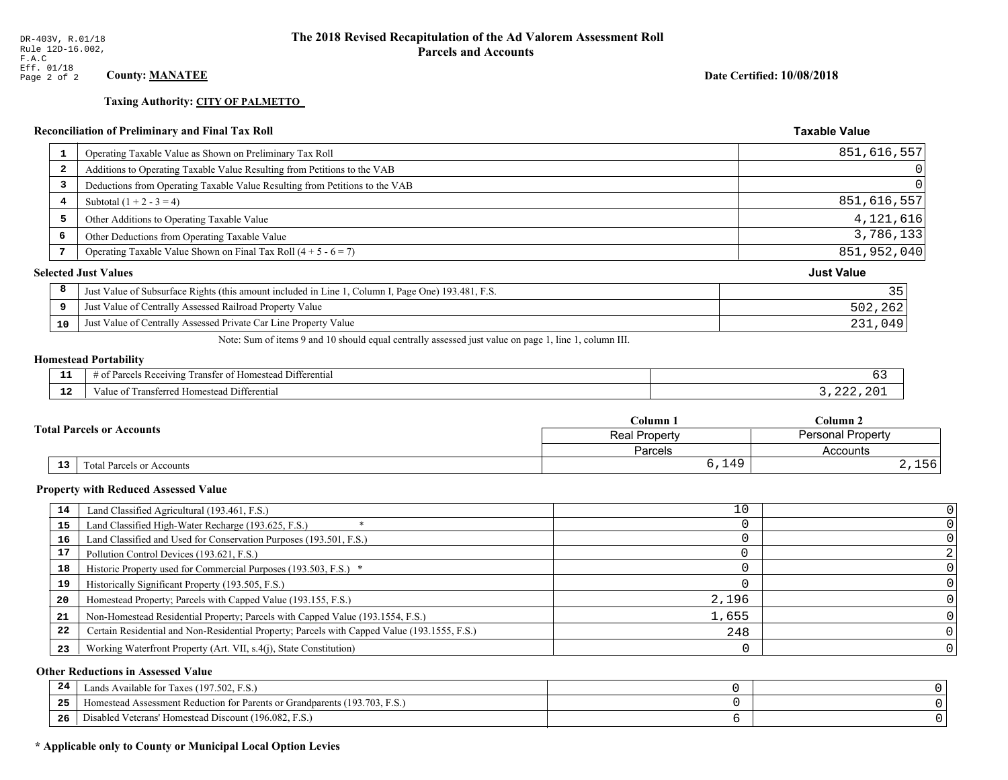# **Taxing Authority: CITY OF PALMETTO**

# **Reconciliation of Preliminary and Final Tax Roll**

| <b>Reconciliation of Preliminary and Final Tax Roll</b>                                                 | <b>Taxable Value</b> |
|---------------------------------------------------------------------------------------------------------|----------------------|
| Operating Taxable Value as Shown on Preliminary Tax Roll<br>-1                                          | 851,616,557          |
| Additions to Operating Taxable Value Resulting from Petitions to the VAB<br>2                           |                      |
| Deductions from Operating Taxable Value Resulting from Petitions to the VAB<br>3                        |                      |
| Subtotal $(1 + 2 - 3 = 4)$<br>4                                                                         | 851,616,557          |
| 5<br>Other Additions to Operating Taxable Value                                                         | 4, 121, 616          |
| 6<br>Other Deductions from Operating Taxable Value                                                      | 3,786,133            |
| Operating Taxable Value Shown on Final Tax Roll $(4 + 5 - 6 = 7)$<br>7                                  | 851,952,040          |
| <b>Selected Just Values</b>                                                                             | <b>Just Value</b>    |
| 8<br>Just Value of Subsurface Rights (this amount included in Line 1, Column I, Page One) 193.481, F.S. | 35                   |
| Just Value of Centrally Assessed Railroad Property Value<br>9                                           | 502,262              |
| Just Value of Centrally Assessed Private Car Line Property Value<br>10                                  | 231,049              |

Note: Sum of items 9 and 10 should equal centrally assessed just value on page 1, line 1, column III.

# **Homestead Portability**

| - 3<br>---    | Differential<br>ranster<br>: Recepund<br>$\sim$<br>∵omestean .<br>н<br>. arce :<br>ിവ<br>n |  |
|---------------|--------------------------------------------------------------------------------------------|--|
| $\sim$<br>--- | Jifferential<br><b>MO 10 0</b><br>alue<br>* Homestead                                      |  |

|  |                                  |                           | Column 1             | $C$ olumn 2       |  |
|--|----------------------------------|---------------------------|----------------------|-------------------|--|
|  | <b>Total Parcels or Accounts</b> |                           | <b>Real Property</b> | Personal Property |  |
|  |                                  |                           | Parcels              | Accounts          |  |
|  | 13                               | Total Parcels or Accounts | 6,149                | 2,100             |  |

#### **Property with Reduced Assessed Value**

| 14 | Land Classified Agricultural (193.461, F.S.)                                                 | 10    |  |
|----|----------------------------------------------------------------------------------------------|-------|--|
| 15 | Land Classified High-Water Recharge (193.625, F.S.)                                          |       |  |
| 16 | Land Classified and Used for Conservation Purposes (193.501, F.S.)                           |       |  |
| 17 | Pollution Control Devices (193.621, F.S.)                                                    |       |  |
| 18 | Historic Property used for Commercial Purposes (193.503, F.S.) *                             |       |  |
| 19 | Historically Significant Property (193.505, F.S.)                                            |       |  |
| 20 | Homestead Property; Parcels with Capped Value (193.155, F.S.)                                | 2,196 |  |
| 21 | Non-Homestead Residential Property; Parcels with Capped Value (193.1554, F.S.)               | 1,655 |  |
| 22 | Certain Residential and Non-Residential Property; Parcels with Capped Value (193.1555, F.S.) | 248   |  |
| 23 | Working Waterfront Property (Art. VII, s.4(j), State Constitution)                           |       |  |

#### **Other Reductions in Assessed Value**

| 24    | Lands Available for Taxes (197.502, F.S.)                                  |  |
|-------|----------------------------------------------------------------------------|--|
| - - - | Iomestead Assessment Reduction for Parents or Grandparents (193.703, F.S.) |  |
| -26   | Disabled Veterans' Homestead Discount (196.082, F.S.)                      |  |

# \* Applicable only to County or Municipal Local Option Levies

Date Certified: 10/08/2018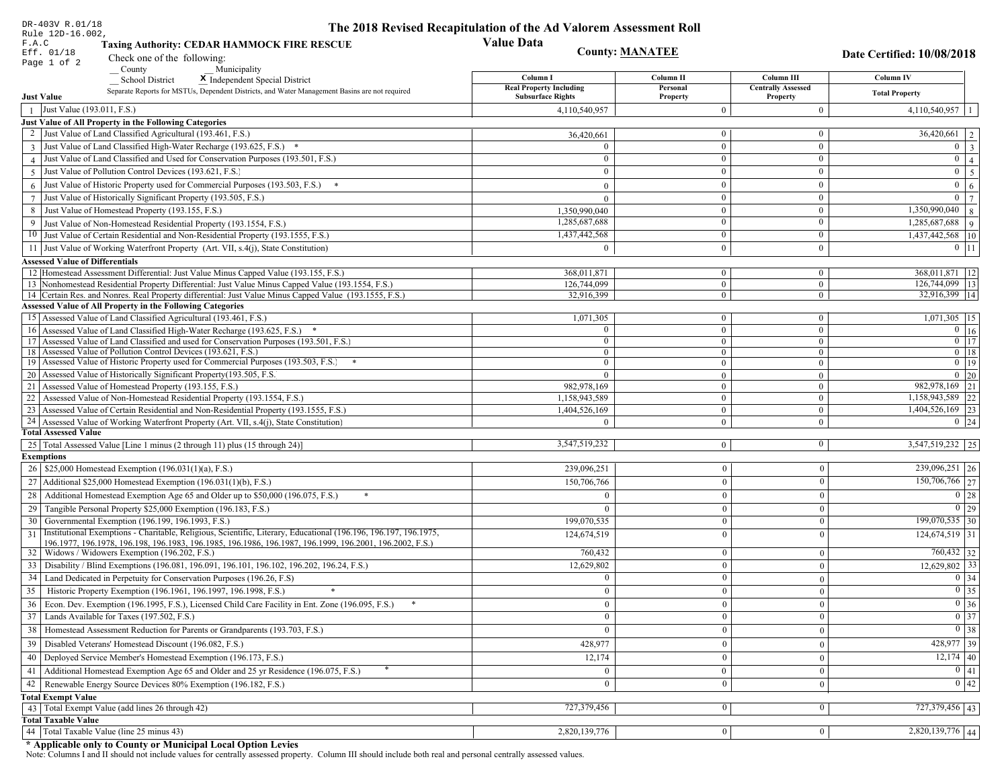| DR-403V R.01/18                                                                                                                                                                   | The 2018 Revised Recapitulation of the Ad Valorem Assessment Roll |                                |                                       |                                        |
|-----------------------------------------------------------------------------------------------------------------------------------------------------------------------------------|-------------------------------------------------------------------|--------------------------------|---------------------------------------|----------------------------------------|
| Rule 12D-16.002,<br>F.A.C<br><b>Taxing Authority: CEDAR HAMMOCK FIRE RESCUE</b>                                                                                                   | <b>Value Data</b>                                                 |                                |                                       |                                        |
| Eff. 01/18<br>Check one of the following:                                                                                                                                         |                                                                   | <b>County: MANATEE</b>         |                                       | Date Certified: 10/08/2018             |
| Page 1 of 2<br>County<br>Municipality                                                                                                                                             |                                                                   |                                |                                       |                                        |
| <b>School District</b><br>X Independent Special District                                                                                                                          | Column I                                                          | Column II                      | Column III                            | Column IV                              |
| Separate Reports for MSTUs, Dependent Districts, and Water Management Basins are not required<br><b>Just Value</b>                                                                | <b>Real Property Including</b><br><b>Subsurface Rights</b>        | Personal<br>Property           | <b>Centrally Assessed</b><br>Property | <b>Total Property</b>                  |
| 1 Just Value (193.011, F.S.)                                                                                                                                                      | 4,110,540,957                                                     | $\Omega$                       | $\mathbf{0}$                          | $4,110,540,957$   1                    |
| Just Value of All Property in the Following Categories                                                                                                                            |                                                                   |                                |                                       |                                        |
| 2 Just Value of Land Classified Agricultural (193.461, F.S.)                                                                                                                      | 36,420,661                                                        | $\bf{0}$                       | $\bf{0}$                              | $36,420,661$   2                       |
| 3 Just Value of Land Classified High-Water Recharge (193.625, F.S.) *                                                                                                             | $\Omega$                                                          | $\bf{0}$                       | $\boldsymbol{0}$                      | $0 \mid 3$                             |
| 4 Just Value of Land Classified and Used for Conservation Purposes (193.501, F.S.)                                                                                                | $\theta$                                                          | $\bf{0}$                       | $\boldsymbol{0}$                      | $\overline{0}$<br>$\overline{4}$       |
| 5 Just Value of Pollution Control Devices (193.621, F.S.)                                                                                                                         | $\Omega$                                                          | $\theta$                       | $\boldsymbol{0}$                      | $0 \mid 5$                             |
| $6$ Just Value of Historic Property used for Commercial Purposes (193.503, F.S.)                                                                                                  | $\Omega$                                                          | $\mathbf{0}$                   | $\boldsymbol{0}$                      | $\mathbf{0}$<br>6                      |
| 7 Just Value of Historically Significant Property (193.505, F.S.)                                                                                                                 | $\Omega$                                                          | $\bf{0}$                       | $\boldsymbol{0}$                      | $0 \mid 7$                             |
| 8 Just Value of Homestead Property (193.155, F.S.)                                                                                                                                | 1,350,990,040                                                     | $\bf{0}$                       | $\bf{0}$                              | $\overline{1,350,990,040}$ 8           |
| 9 Just Value of Non-Homestead Residential Property (193.1554, F.S.)                                                                                                               | 1,285,687,688                                                     | $\mathbf{0}$                   | $\boldsymbol{0}$                      | 1,285,687,688 9                        |
| 10 Just Value of Certain Residential and Non-Residential Property (193.1555, F.S.)                                                                                                | 1,437,442,568                                                     | $\bf{0}$                       | $\mathbf{0}$                          | 1,437,442,568 10                       |
| 11 Just Value of Working Waterfront Property (Art. VII, s.4(j), State Constitution)                                                                                               | $\Omega$                                                          | $\Omega$                       | $\boldsymbol{0}$                      | $0$ 11                                 |
| <b>Assessed Value of Differentials</b>                                                                                                                                            |                                                                   |                                |                                       |                                        |
| 12 Homestead Assessment Differential: Just Value Minus Capped Value (193.155, F.S.)                                                                                               | 368.011.871                                                       | $\mathbf{0}$                   | $\bf{0}$                              | 368,011,871   12                       |
| 13 Nonhomestead Residential Property Differential: Just Value Minus Capped Value (193.1554, F.S.)                                                                                 | 126,744,099                                                       | $\overline{0}$                 | $\mathbf{0}$                          | 126,744,099   13                       |
| 14 Certain Res. and Nonres. Real Property differential: Just Value Minus Capped Value (193.1555, F.S.)                                                                            | 32,916,399                                                        | $\mathbf{0}$                   | $\mathbf{0}$                          | $\overline{32,916,399}$  14            |
| <b>Assessed Value of All Property in the Following Categories</b>                                                                                                                 |                                                                   |                                |                                       |                                        |
| 15 Assessed Value of Land Classified Agricultural (193.461, F.S.)                                                                                                                 | 1,071,305                                                         | $\bf{0}$                       | $\mathbf{0}$                          | $1,071,305$ 15                         |
| 16 Assessed Value of Land Classified High-Water Recharge (193.625, F.S.)                                                                                                          | $\Omega$                                                          | $\overline{0}$                 | $\boldsymbol{0}$                      | $\boxed{0}$ 16                         |
| 17 Assessed Value of Land Classified and used for Conservation Purposes (193.501, F.S.)                                                                                           | $\overline{0}$                                                    | $\overline{0}$                 | $\mathbf{0}$                          | $0$ 17                                 |
| 18 Assessed Value of Pollution Control Devices (193.621, F.S.)                                                                                                                    | $\overline{0}$                                                    | $\mathbf{0}$                   | $\overline{0}$                        | $0 \mid 18$                            |
| 19 Assessed Value of Historic Property used for Commercial Purposes (193.503, F.S.)                                                                                               | $\mathbf{0}$                                                      | $\mathbf{0}$                   | $\mathbf{0}$                          | $0 \t19$                               |
| 20 Assessed Value of Historically Significant Property (193.505, F.S.                                                                                                             | $\theta$                                                          | $\overline{0}$                 | $\overline{0}$                        | $0\quad20$                             |
| 21   Assessed Value of Homestead Property (193.155, F.S.)                                                                                                                         | 982,978,169                                                       | $\overline{0}$                 | $\overline{0}$                        | 982,978,169 21                         |
| 22 Assessed Value of Non-Homestead Residential Property (193.1554, F.S.)                                                                                                          | 1,158,943,589                                                     | $\overline{0}$                 | $\overline{0}$                        | 1,158,943,589 22<br>$1,404,526,169$ 23 |
| 23 Assessed Value of Certain Residential and Non-Residential Property (193.1555, F.S.)<br>24 Assessed Value of Working Waterfront Property (Art. VII, s.4(j), State Constitution) | 1,404,526,169<br>$\Omega$                                         | $\mathbf{0}$<br>$\overline{0}$ | $\overline{0}$<br>$\mathbf{0}$        | $0 \mid 24$                            |
| <b>Total Assessed Value</b>                                                                                                                                                       |                                                                   |                                |                                       |                                        |
| 25   Total Assessed Value [Line 1 minus (2 through 11) plus (15 through 24)]                                                                                                      | 3,547,519,232                                                     | $\overline{0}$                 | $\mathbf{0}$                          | 3,547,519,232 25                       |
| <b>Exemptions</b>                                                                                                                                                                 |                                                                   |                                |                                       |                                        |
| 26   \$25,000 Homestead Exemption (196.031(1)(a), F.S.)                                                                                                                           | 239,096,251                                                       | $\mathbf{0}$                   | $\overline{0}$                        | 239,096,251 26                         |
| 27   Additional \$25,000 Homestead Exemption (196.031(1)(b), F.S.)                                                                                                                | 150,706,766                                                       | $\mathbf{0}$                   | $\theta$                              | 150,706,766 27                         |
| 28 Additional Homestead Exemption Age 65 and Older up to \$50,000 (196.075, F.S.)                                                                                                 |                                                                   | $\Omega$                       | $\Omega$                              | 0 28                                   |
| 29 Tangible Personal Property \$25,000 Exemption (196.183, F.S.)                                                                                                                  |                                                                   | $\mathbf{0}$                   | $\Omega$                              | 0 29                                   |
|                                                                                                                                                                                   | 199,070,535                                                       | $\Omega$                       | $\Omega$                              | $\overline{199,070,535}$ 30            |
| 30 Governmental Exemption (196.199, 196.1993, F.S.)<br>Institutional Exemptions - Charitable, Religious, Scientific, Literary, Educational (196.196, 196.197, 196.1975,           |                                                                   | $\Omega$                       | $\Omega$                              | $124,674,519$ 31                       |
| 31<br>196.1977, 196.1978, 196.198, 196.1983, 196.1985, 196.1986, 196.1987, 196.1999, 196.2001, 196.2002, F.S.)                                                                    | 124,674,519                                                       |                                |                                       |                                        |
| 32   Widows / Widowers Exemption (196.202, F.S.)                                                                                                                                  | 760,432                                                           | $\theta$                       | $\mathbf{0}$                          | $760,432$ 32                           |
| 33 Disability / Blind Exemptions (196.081, 196.091, 196.101, 196.102, 196.202, 196.24, F.S.)                                                                                      | 12,629,802                                                        | $\mathbf{0}$                   | $\Omega$                              | $12,629,802$ 33                        |
| 34 Land Dedicated in Perpetuity for Conservation Purposes (196.26, F.S)                                                                                                           | $\bf{0}$                                                          | $\Omega$                       | $\Omega$                              | $0 \mid 34$                            |
| 35 Historic Property Exemption (196.1961, 196.1997, 196.1998, F.S.)                                                                                                               | $\overline{0}$                                                    | $\bf{0}$                       | $\boldsymbol{0}$                      | $\boxed{0}$ 35                         |
| 36 Econ. Dev. Exemption (196.1995, F.S.), Licensed Child Care Facility in Ent. Zone (196.095, F.S.)                                                                               | $\overline{0}$                                                    | $\boldsymbol{0}$               | $\theta$                              | $0\vert 36$                            |
| 37 Lands Available for Taxes (197.502, F.S.)                                                                                                                                      | $\mathbf{0}$                                                      | $\mathbf{0}$                   | $\mathbf{0}$                          | $\boxed{0}$ 37                         |
| 38   Homestead Assessment Reduction for Parents or Grandparents (193.703, F.S.)                                                                                                   | $\mathbf{0}$                                                      | $\mathbf{0}$                   | $\mathbf{0}$                          | $\boxed{0}$ 38                         |
| 39   Disabled Veterans' Homestead Discount (196.082, F.S.)                                                                                                                        | 428,977                                                           | $\Omega$                       | $\mathbf{0}$                          | $428,977$ 39                           |
| 40   Deployed Service Member's Homestead Exemption (196.173, F.S.)                                                                                                                | 12,174                                                            | $\boldsymbol{0}$               | $\theta$                              | $\overline{12,174}$ 40                 |
|                                                                                                                                                                                   |                                                                   |                                |                                       | 0 41                                   |
| 41   Additional Homestead Exemption Age 65 and Older and 25 yr Residence (196.075, F.S.)                                                                                          | $\mathbf{0}$                                                      | $\mathbf{0}$                   | $\overline{0}$                        |                                        |
| 42   Renewable Energy Source Devices 80% Exemption (196.182, F.S.)                                                                                                                | $\mathbf{0}$                                                      | $\boldsymbol{0}$               | $\theta$                              | 0 42                                   |
| <b>Total Exempt Value</b>                                                                                                                                                         | 727,379,456                                                       | $\mathbf{0}$                   | $\Omega$                              | 727,379,456 43                         |
| 43 Total Exempt Value (add lines 26 through 42)<br><b>Total Taxable Value</b>                                                                                                     |                                                                   |                                |                                       |                                        |
| 44 Total Taxable Value (line 25 minus 43)                                                                                                                                         | 2,820,139,776                                                     | 0                              | $\mathbf{0}$                          | 2,820,139,776 44                       |
|                                                                                                                                                                                   |                                                                   |                                |                                       |                                        |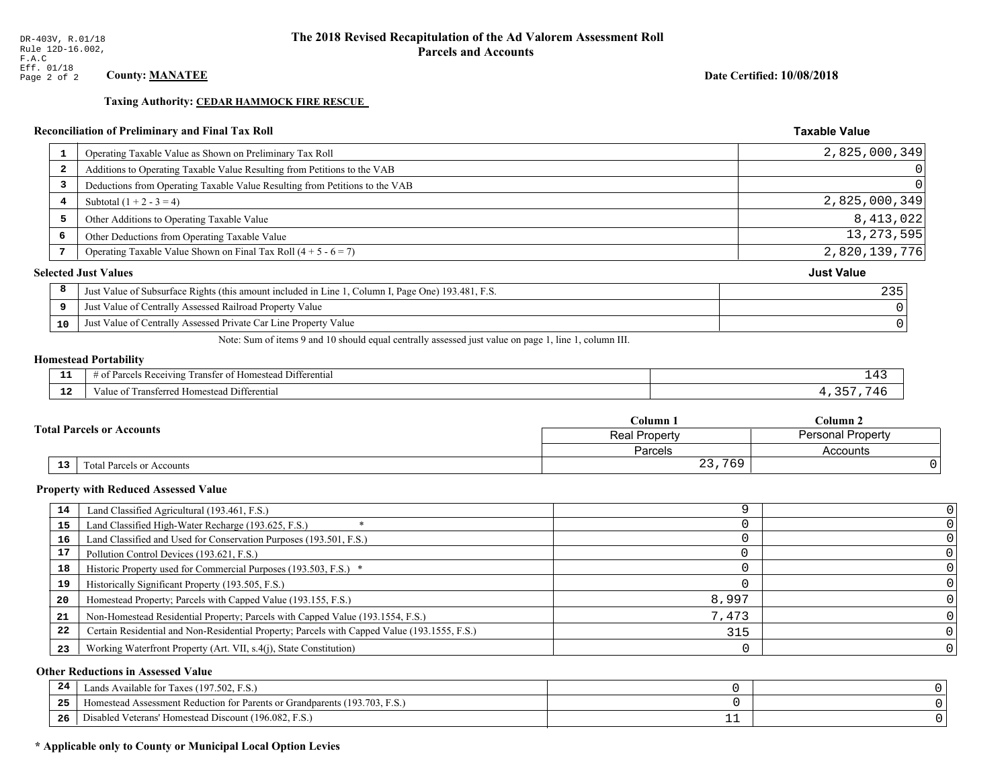**Taxing Authority: CEDAR HAMMOCK FIRE RESCUE** 

# Reconciliation of Preliminary and Final Tax Roll

| 1              | Operating Taxable Value as Shown on Preliminary Tax Roll                                           | 2,825,000,349     |
|----------------|----------------------------------------------------------------------------------------------------|-------------------|
| $\overline{2}$ | Additions to Operating Taxable Value Resulting from Petitions to the VAB                           |                   |
| 3              | Deductions from Operating Taxable Value Resulting from Petitions to the VAB                        |                   |
| 4              | Subtotal $(1 + 2 - 3 = 4)$                                                                         | 2,825,000,349     |
| 5              | Other Additions to Operating Taxable Value                                                         | 8,413,022         |
| 6              | Other Deductions from Operating Taxable Value                                                      | 13, 273, 595      |
| 7              | Operating Taxable Value Shown on Final Tax Roll $(4 + 5 - 6 = 7)$                                  | 2,820,139,776     |
|                | <b>Selected Just Values</b>                                                                        | <b>Just Value</b> |
| 8              | Just Value of Subsurface Rights (this amount included in Line 1, Column I, Page One) 193.481, F.S. | 235               |
| 9              | Just Value of Centrally Assessed Railroad Property Value                                           |                   |
| 10             | Just Value of Centrally Assessed Private Car Line Property Value                                   |                   |
|                |                                                                                                    |                   |

Note: Sum of items 9 and 10 should equal centrally assessed just value on page 1, line 1, column III.

#### **Homestead Portability**

| --          | $\cdots$<br>Differential<br>: Ret<br>eiving<br>ranster.<br>$-11.211$ |  |
|-------------|----------------------------------------------------------------------|--|
| $\sim$<br>. | Transferred Homestead Differential<br>anue oi                        |  |

|  |                                              | Column 1      | Column 2                 |  |
|--|----------------------------------------------|---------------|--------------------------|--|
|  | <b>Fotal Parcels or Accounts</b>             | Real Property | <b>Personal Property</b> |  |
|  |                                              | Parcels       | Accounts                 |  |
|  | 13 <sub>1</sub><br>Total Parcels or Accounts | 23,769        |                          |  |

#### **Property with Reduced Assessed Value**

| 14 | Land Classified Agricultural (193.461, F.S.)                                                 |       |  |
|----|----------------------------------------------------------------------------------------------|-------|--|
| 15 | Land Classified High-Water Recharge (193.625, F.S.)                                          |       |  |
| 16 | Land Classified and Used for Conservation Purposes (193.501, F.S.)                           |       |  |
|    | Pollution Control Devices (193.621, F.S.)                                                    |       |  |
| 18 | Historic Property used for Commercial Purposes (193.503, F.S.) *                             |       |  |
| 19 | Historically Significant Property (193.505, F.S.)                                            |       |  |
| 20 | Homestead Property; Parcels with Capped Value (193.155, F.S.)                                | 8,997 |  |
| 21 | Non-Homestead Residential Property; Parcels with Capped Value (193.1554, F.S.)               | 7,473 |  |
| 22 | Certain Residential and Non-Residential Property; Parcels with Capped Value (193.1555, F.S.) | 315   |  |
| 23 | Working Waterfront Property (Art. VII, s.4(j), State Constitution)                           |       |  |

#### **Other Reductions in Assessed Value**

| -24 | Lands Available for Taxes (197.502, F.S.)                                      |  |
|-----|--------------------------------------------------------------------------------|--|
| .   | (193.703, F)<br>Aomestead Assessment Reduction for Parents or Grandparents (1) |  |
| -26 | d Veterans' Homestead Discount (196.082, F.S.)<br>Disabled                     |  |

# \* Applicable only to County or Municipal Local Option Levies

Date Certified: 10/08/2018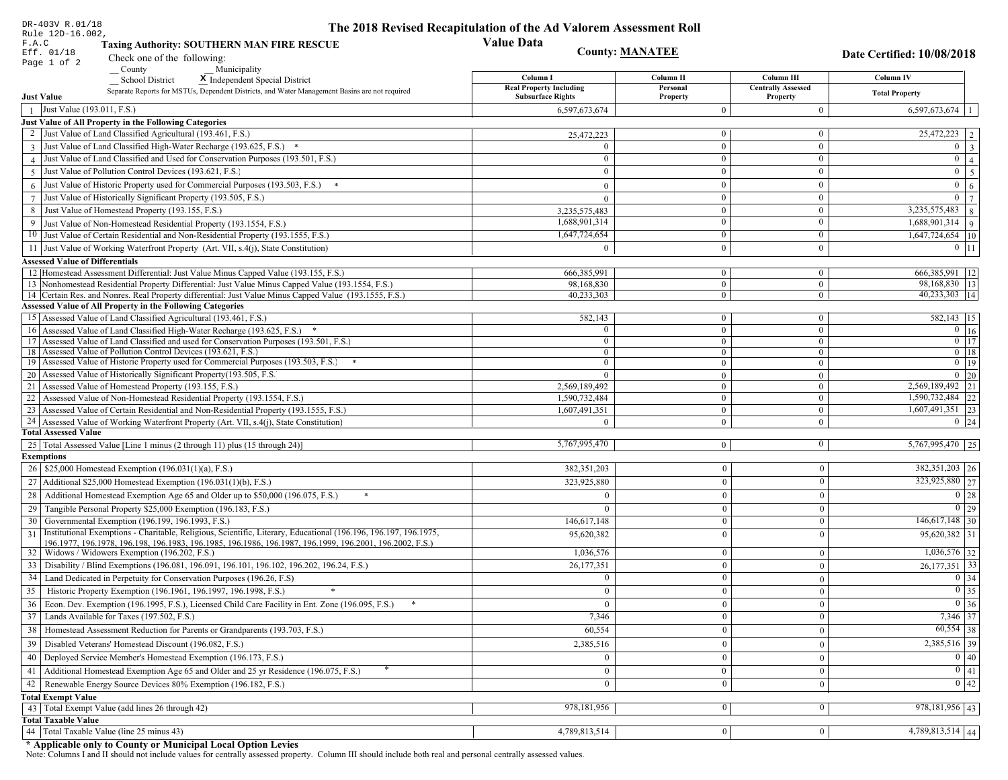| DR-403V R.01/18                                                                                                                                                                                                                    | The 2018 Revised Recapitulation of the Ad Valorem Assessment Roll |                        |                                       |                                  |
|------------------------------------------------------------------------------------------------------------------------------------------------------------------------------------------------------------------------------------|-------------------------------------------------------------------|------------------------|---------------------------------------|----------------------------------|
| Rule 12D-16.002,<br>F.A.C<br><b>Taxing Authority: SOUTHERN MAN FIRE RESCUE</b>                                                                                                                                                     | <b>Value Data</b>                                                 |                        |                                       |                                  |
| Eff. 01/18<br>Check one of the following:                                                                                                                                                                                          |                                                                   | <b>County: MANATEE</b> |                                       | Date Certified: 10/08/2018       |
| Page 1 of 2<br>Municipality<br>County                                                                                                                                                                                              |                                                                   |                        |                                       |                                  |
| <b>School District</b><br>X Independent Special District                                                                                                                                                                           | Column I                                                          | Column II              | Column III                            | Column IV                        |
| Separate Reports for MSTUs, Dependent Districts, and Water Management Basins are not required<br><b>Just Value</b>                                                                                                                 | <b>Real Property Including</b><br><b>Subsurface Rights</b>        | Personal<br>Property   | <b>Centrally Assessed</b><br>Property | <b>Total Property</b>            |
| Just Value (193.011, F.S.)<br>$\overline{1}$                                                                                                                                                                                       | 6,597,673,674                                                     | $\Omega$               | $\theta$                              | $6,597,673,674$   1              |
| Just Value of All Property in the Following Categories                                                                                                                                                                             |                                                                   |                        |                                       |                                  |
| 2 Just Value of Land Classified Agricultural (193.461, F.S.)                                                                                                                                                                       | 25,472,223                                                        | $\bf{0}$               | $\boldsymbol{0}$                      | $25,472,223$   2                 |
| 3 Just Value of Land Classified High-Water Recharge (193.625, F.S.) *                                                                                                                                                              |                                                                   | $\overline{0}$         | $\boldsymbol{0}$                      | $0 \quad 3$                      |
| 4 Just Value of Land Classified and Used for Conservation Purposes (193.501, F.S.)                                                                                                                                                 | $\theta$                                                          | $\boldsymbol{0}$       | $\boldsymbol{0}$                      | $\overline{0}$<br>$\overline{4}$ |
| 5 Just Value of Pollution Control Devices (193.621, F.S.)                                                                                                                                                                          |                                                                   | $\theta$               | $\bf{0}$                              | $0 \mid 5$                       |
| $6$ Just Value of Historic Property used for Commercial Purposes (193.503, F.S.)                                                                                                                                                   | $\Omega$                                                          | $\mathbf{0}$           | $\boldsymbol{0}$                      | $\mathbf{0}$<br>6                |
| 7 Just Value of Historically Significant Property (193.505, F.S.)                                                                                                                                                                  | $\Omega$                                                          | $\bf{0}$               | $\boldsymbol{0}$                      | $0 \mid 7$                       |
| 8 Just Value of Homestead Property (193.155, F.S.)                                                                                                                                                                                 | 3,235,575,483                                                     | $\bf{0}$               | $\bf{0}$                              | $3,235,575,483$ 8                |
| 9 Just Value of Non-Homestead Residential Property (193.1554, F.S.)                                                                                                                                                                | 1,688,901,314                                                     | $\overline{0}$         | $\boldsymbol{0}$                      | $1,688,901,314$ 9                |
| 10 Just Value of Certain Residential and Non-Residential Property (193.1555, F.S.)                                                                                                                                                 | 1,647,724,654                                                     | $\bf{0}$               | $\mathbf{0}$                          | $1,647,724,654$ 10               |
| 11 Just Value of Working Waterfront Property (Art. VII, s.4(j), State Constitution)                                                                                                                                                | $\theta$                                                          | $\overline{0}$         | $\boldsymbol{0}$                      | $0$ 11                           |
| <b>Assessed Value of Differentials</b>                                                                                                                                                                                             |                                                                   |                        |                                       |                                  |
| 12 Homestead Assessment Differential: Just Value Minus Capped Value (193.155, F.S.)                                                                                                                                                | 666.385.991                                                       | $\mathbf{0}$           | $\bf{0}$                              | 666, 385, 991   12               |
| 13 Nonhomestead Residential Property Differential: Just Value Minus Capped Value (193.1554, F.S.)                                                                                                                                  | 98.168.830                                                        | $\overline{0}$         | $\overline{0}$                        | $\overline{98,168,830}$   13     |
| 14 Certain Res. and Nonres. Real Property differential: Just Value Minus Capped Value (193.1555, F.S.)                                                                                                                             | 40,233,303                                                        | $\overline{0}$         | $\mathbf{0}$                          | $\overline{40,233,303}$  14      |
| <b>Assessed Value of All Property in the Following Categories</b>                                                                                                                                                                  |                                                                   |                        |                                       |                                  |
| 15 Assessed Value of Land Classified Agricultural (193.461, F.S.)                                                                                                                                                                  | 582,143                                                           | $\mathbf{0}$           | $\mathbf{0}$                          | 582,143   15                     |
| 16 Assessed Value of Land Classified High-Water Recharge (193.625, F.S.) *                                                                                                                                                         | $\Omega$                                                          | $\overline{0}$         | $\boldsymbol{0}$                      | $\overline{0}$ 16                |
| 17 Assessed Value of Land Classified and used for Conservation Purposes (193.501, F.S.)                                                                                                                                            | $\mathbf{0}$                                                      | $\overline{0}$         | $\bf{0}$                              | $0$ 17                           |
| 18 Assessed Value of Pollution Control Devices (193.621, F.S.)                                                                                                                                                                     | $\overline{0}$                                                    | $\mathbf{0}$           | $\mathbf{0}$                          | $0 \mid 18$                      |
| 19 Assessed Value of Historic Property used for Commercial Purposes (193.503, F.S.)                                                                                                                                                | $\overline{0}$                                                    | $\mathbf{0}$           | $\bf{0}$                              | $0 \t19$                         |
| 20 Assessed Value of Historically Significant Property (193.505, F.S.                                                                                                                                                              | $\theta$                                                          | $\overline{0}$         | $\mathbf{0}$                          | $0\quad20$                       |
| 21 Assessed Value of Homestead Property (193.155, F.S.)                                                                                                                                                                            | 2,569,189,492                                                     | $\overline{0}$         | $\mathbf{0}$                          | $\overline{2,569,189,492}$ 21    |
| 22<br>Assessed Value of Non-Homestead Residential Property (193.1554, F.S.)                                                                                                                                                        | 1,590,732,484                                                     | $\mathbf{0}$           | $\boldsymbol{0}$                      | 1,590,732,484 22                 |
| 23 Assessed Value of Certain Residential and Non-Residential Property (193.1555, F.S.)                                                                                                                                             | 1,607,491,351                                                     | $\mathbf{0}$           | $\boldsymbol{0}$                      | $1,607,491,351$ 23               |
| 24 Assessed Value of Working Waterfront Property (Art. VII, s.4(j), State Constitution)<br><b>Total Assessed Value</b>                                                                                                             | $\Omega$                                                          | $\overline{0}$         | $\mathbf{0}$                          | $0 \mid 24$                      |
|                                                                                                                                                                                                                                    | 5,767,995,470                                                     | $\overline{0}$         | $\mathbf{0}$                          | 5,767,995,470 25                 |
| 25   Total Assessed Value [Line 1 minus (2 through 11) plus (15 through 24)]<br><b>Exemptions</b>                                                                                                                                  |                                                                   |                        |                                       |                                  |
| 26   \$25,000 Homestead Exemption (196.031(1)(a), F.S.)                                                                                                                                                                            | 382,351,203                                                       | $\boldsymbol{0}$       | $\overline{0}$                        | 382, 351, 203   26               |
| 27   Additional \$25,000 Homestead Exemption (196.031(1)(b), F.S.)                                                                                                                                                                 | 323,925,880                                                       | $\boldsymbol{0}$       | $\theta$                              | 323,925,880 27                   |
|                                                                                                                                                                                                                                    |                                                                   |                        |                                       |                                  |
| 28 Additional Homestead Exemption Age 65 and Older up to \$50,000 (196.075, F.S.)<br>$\ast$                                                                                                                                        |                                                                   | $\mathbf{0}$           | $\Omega$                              | 0 28                             |
| Tangible Personal Property \$25,000 Exemption (196.183, F.S.)<br>29                                                                                                                                                                |                                                                   | $\boldsymbol{0}$       | $\Omega$                              | 0 29                             |
| 30 Governmental Exemption (196.199, 196.1993, F.S.)                                                                                                                                                                                | 146,617,148                                                       | $\mathbf{0}$           | $\Omega$                              | $\overline{146,617,148}$ 30      |
| Institutional Exemptions - Charitable, Religious, Scientific, Literary, Educational (196.196, 196.197, 196.1975,<br>31<br>196.1977, 196.1978, 196.198, 196.1983, 196.1985, 196.1986, 196.1987, 196.1999, 196.2001, 196.2002, F.S.) | 95,620,382                                                        | $\mathbf{0}$           | $\Omega$                              | $95,620,382$ 31                  |
| 32   Widows / Widowers Exemption (196.202, F.S.)                                                                                                                                                                                   | 1,036,576                                                         | $\mathbf{0}$           | $\mathbf{0}$                          | $\overline{1,036,576}$ 32        |
| 33<br>Disability / Blind Exemptions (196.081, 196.091, 196.101, 196.102, 196.202, 196.24, F.S.)                                                                                                                                    | 26,177,351                                                        | $\mathbf{0}$           | $\Omega$                              | $26,177,351$ 33                  |
| 34<br>Land Dedicated in Perpetuity for Conservation Purposes (196.26, F.S)                                                                                                                                                         | $\theta$                                                          | $\boldsymbol{0}$       | $\Omega$                              | $0 \mid 34$                      |
| 35 Historic Property Exemption (196.1961, 196.1997, 196.1998, F.S.)                                                                                                                                                                | $\mathbf{0}$                                                      | $\overline{0}$         | $\boldsymbol{0}$                      | $\boxed{0}$ 35                   |
| Econ. Dev. Exemption (196.1995, F.S.), Licensed Child Care Facility in Ent. Zone (196.095, F.S.)<br>36                                                                                                                             | $\theta$                                                          | $\boldsymbol{0}$       | $\theta$                              | $0\vert 36$                      |
| Lands Available for Taxes (197.502, F.S.)<br>37                                                                                                                                                                                    | 7,346                                                             | $\mathbf{0}$           | $\mathbf{0}$                          | 7,346 37                         |
|                                                                                                                                                                                                                                    |                                                                   |                        |                                       | $60,554$ 38                      |
| 38   Homestead Assessment Reduction for Parents or Grandparents (193.703, F.S.)                                                                                                                                                    | 60,554                                                            | $\mathbf{0}$           | $\mathbf{0}$                          |                                  |
| Disabled Veterans' Homestead Discount (196.082, F.S.)<br>39                                                                                                                                                                        | 2,385,516                                                         | $\mathbf{0}$           | $\mathbf{0}$                          | $\overline{2,385,516}$ 39        |
| Deployed Service Member's Homestead Exemption (196.173, F.S.)<br>40                                                                                                                                                                | $\overline{0}$                                                    | $\boldsymbol{0}$       | $\theta$                              | $\boxed{0}$ 40                   |
| Additional Homestead Exemption Age 65 and Older and 25 yr Residence (196.075, F.S.)<br>41                                                                                                                                          | $\overline{0}$                                                    | $\overline{0}$         | $\overline{0}$                        | $\boxed{0}$ 41                   |
| Renewable Energy Source Devices 80% Exemption (196.182, F.S.)<br>42                                                                                                                                                                | $\mathbf{0}$                                                      | $\boldsymbol{0}$       | $\theta$                              | 0 42                             |
| <b>Total Exempt Value</b>                                                                                                                                                                                                          |                                                                   |                        |                                       |                                  |
| 43 Total Exempt Value (add lines 26 through 42)                                                                                                                                                                                    | 978,181,956                                                       | $\vert 0 \vert$        | $\mathbf{0}$                          | 978,181,956 43                   |
| <b>Total Taxable Value</b>                                                                                                                                                                                                         |                                                                   |                        |                                       |                                  |
| 44 Total Taxable Value (line 25 minus 43)                                                                                                                                                                                          | 4,789,813,514                                                     | 0                      | $\mathbf{0}$                          | 4,789,813,514 44                 |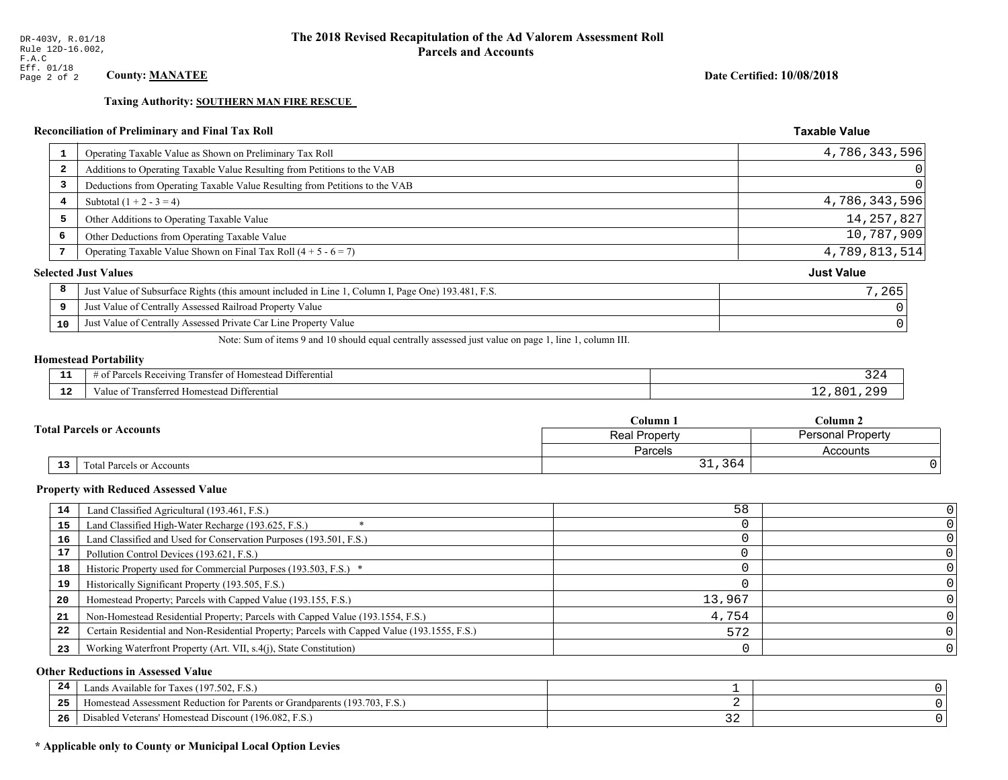**Taxing Authority: SOUTHERN MAN FIRE RESCUE** 

# Reconciliation of Preliminary and Final Tax Roll

| $\mathbf{1}$   | Operating Taxable Value as Shown on Preliminary Tax Roll                                           | 4,786,343,596     |
|----------------|----------------------------------------------------------------------------------------------------|-------------------|
| $\overline{2}$ | Additions to Operating Taxable Value Resulting from Petitions to the VAB                           | $\Omega$          |
| 3              | Deductions from Operating Taxable Value Resulting from Petitions to the VAB                        | $\Omega$          |
| 4              | Subtotal $(1 + 2 - 3 = 4)$                                                                         | 4,786,343,596     |
| 5              | Other Additions to Operating Taxable Value                                                         | 14, 257, 827      |
| 6              | Other Deductions from Operating Taxable Value                                                      | 10,787,909        |
| 7              | Operating Taxable Value Shown on Final Tax Roll $(4 + 5 - 6 = 7)$                                  | 4,789,813,514     |
|                | <b>Selected Just Values</b>                                                                        | <b>Just Value</b> |
| 8              | Just Value of Subsurface Rights (this amount included in Line 1, Column I, Page One) 193.481, F.S. | 7,265             |
| 9              | Just Value of Centrally Assessed Railroad Property Value                                           |                   |
| 10             | Just Value of Centrally Assessed Private Car Line Property Value                                   |                   |
|                |                                                                                                    |                   |

Note: Sum of items 9 and 10 should equal centrally assessed just value on page 1, line 1, column III.

#### **Homestead Portability**

| - -         | $\sim$ $\sim$<br>Differential<br>ranster<br>$R$ eceputing<br>$-+$<br>iesteal<br><b>CHANGE</b><br>. arcele<br>' 01<br>n |              |
|-------------|------------------------------------------------------------------------------------------------------------------------|--------------|
| $\sim$<br>. | Fansi.<br>l Differential<br>alue<br>erred Homestead                                                                    | ּ ∩ ∩<br>o c |

|  |                                  | Column .      | $C$ olumn 2              |  |
|--|----------------------------------|---------------|--------------------------|--|
|  | <b>Total Parcels or Accounts</b> | Real Property | <b>Personal Property</b> |  |
|  |                                  | Parcels       | Accounts                 |  |
|  | 13<br>Total Parcels or Accounts  | 31,364        |                          |  |

#### **Property with Reduced Assessed Value**

| 14 | Land Classified Agricultural (193.461, F.S.)                                                 | 58     |  |
|----|----------------------------------------------------------------------------------------------|--------|--|
| 15 | Land Classified High-Water Recharge (193.625, F.S.)                                          |        |  |
| 16 | Land Classified and Used for Conservation Purposes (193.501, F.S.)                           |        |  |
| 17 | Pollution Control Devices (193.621, F.S.)                                                    |        |  |
| 18 | Historic Property used for Commercial Purposes (193.503, F.S.) *                             |        |  |
| 19 | Historically Significant Property (193.505, F.S.)                                            |        |  |
| 20 | Homestead Property; Parcels with Capped Value (193.155, F.S.)                                | 13,967 |  |
| 21 | Non-Homestead Residential Property; Parcels with Capped Value (193.1554, F.S.)               | 4,754  |  |
| 22 | Certain Residential and Non-Residential Property; Parcels with Capped Value (193.1555, F.S.) | 572    |  |
| 23 | Working Waterfront Property (Art. VII, s.4(j), State Constitution)                           |        |  |

#### **Other Reductions in Assessed Value**

| 24    | Lands Available for Taxes (197.502, F.S.)                                  |            |  |
|-------|----------------------------------------------------------------------------|------------|--|
| - - - | Iomestead Assessment Reduction for Parents or Grandparents (193.703, F.S.) |            |  |
| -26   | l Veterans' Homestead Discount (196.082, F.S.)<br>Disabled                 | <u>، ب</u> |  |

# \* Applicable only to County or Municipal Local Option Levies

Date Certified: 10/08/2018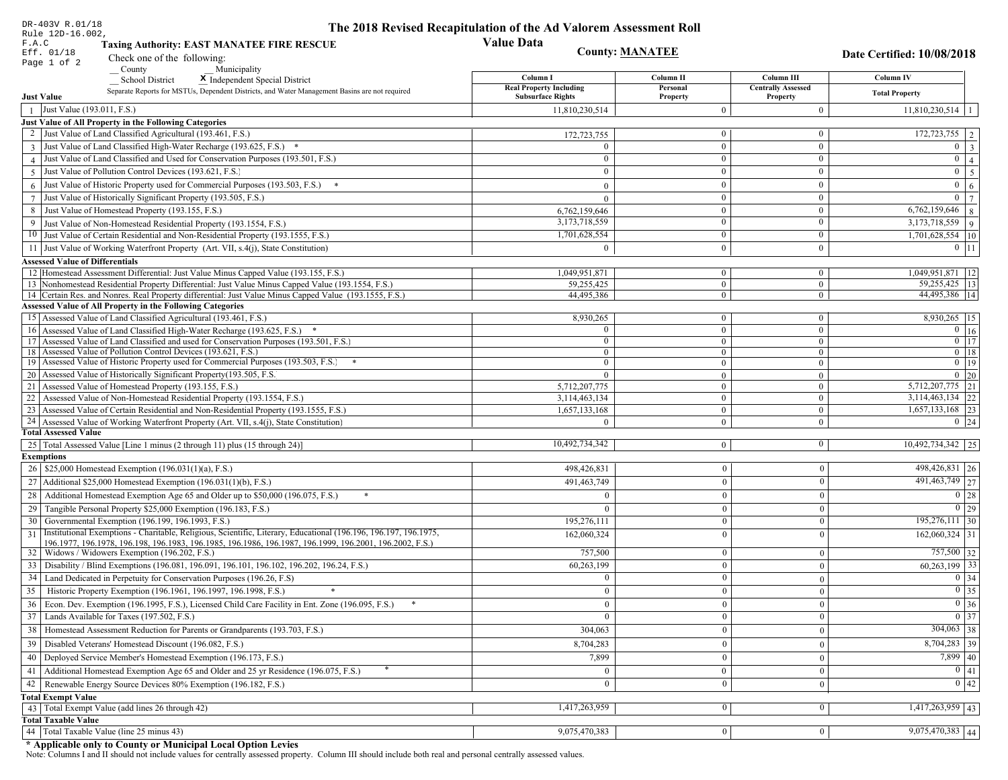| DR-403V R.01/18                                                                                                                                                                          | The 2018 Revised Recapitulation of the Ad Valorem Assessment Roll |                                |                                       |                                         |
|------------------------------------------------------------------------------------------------------------------------------------------------------------------------------------------|-------------------------------------------------------------------|--------------------------------|---------------------------------------|-----------------------------------------|
| Rule 12D-16.002,<br>F.A.C<br><b>Taxing Authority: EAST MANATEE FIRE RESCUE</b>                                                                                                           | <b>Value Data</b>                                                 |                                |                                       |                                         |
| Eff. 01/18<br>Check one of the following:                                                                                                                                                |                                                                   | <b>County: MANATEE</b>         |                                       | Date Certified: 10/08/2018              |
| Page 1 of 2<br>County<br>Municipality                                                                                                                                                    |                                                                   |                                |                                       |                                         |
| <b>School District</b><br>X Independent Special District                                                                                                                                 | Column I                                                          | Column II                      | Column III                            | Column IV                               |
| Separate Reports for MSTUs, Dependent Districts, and Water Management Basins are not required<br><b>Just Value</b>                                                                       | <b>Real Property Including</b><br><b>Subsurface Rights</b>        | Personal<br>Property           | <b>Centrally Assessed</b><br>Property | <b>Total Property</b>                   |
| Just Value (193.011, F.S.)<br>$\overline{1}$                                                                                                                                             | 11,810,230,514                                                    | $\Omega$                       | $\mathbf{0}$                          | $11,810,230,514$   1                    |
| Just Value of All Property in the Following Categories                                                                                                                                   |                                                                   |                                |                                       |                                         |
| 2 Just Value of Land Classified Agricultural (193.461, F.S.)                                                                                                                             | 172,723,755                                                       | $\bf{0}$                       | $\boldsymbol{0}$                      | 172,723,755   2                         |
| 3 Just Value of Land Classified High-Water Recharge (193.625, F.S.) *                                                                                                                    |                                                                   | $\overline{0}$                 | $\boldsymbol{0}$                      | $0 \quad 3$                             |
| 4 Just Value of Land Classified and Used for Conservation Purposes (193.501, F.S.)                                                                                                       | $\theta$                                                          | $\boldsymbol{0}$               | $\boldsymbol{0}$                      | $\overline{0}$<br>$\overline{4}$        |
| 5 Just Value of Pollution Control Devices (193.621, F.S.)                                                                                                                                |                                                                   | $\Omega$                       | $\bf{0}$                              | $0 \mid 5$                              |
| $6$ Just Value of Historic Property used for Commercial Purposes (193.503, F.S.)                                                                                                         | $\Omega$                                                          | $\mathbf{0}$                   | $\boldsymbol{0}$                      | $\mathbf{0}$<br>6                       |
| 7 Just Value of Historically Significant Property (193.505, F.S.)                                                                                                                        | $\Omega$                                                          | $\bf{0}$                       | $\bf{0}$                              | $0 \mid 7$                              |
| 8 Just Value of Homestead Property (193.155, F.S.)                                                                                                                                       | 6,762,159,646                                                     | $\bf{0}$                       | $\bf{0}$                              | $6,762,159,646$ 8                       |
| 9 Just Value of Non-Homestead Residential Property (193.1554, F.S.)                                                                                                                      | 3,173,718,559                                                     | $\overline{0}$                 | $\boldsymbol{0}$                      | $3,173,718,559$ 9                       |
| 10 Just Value of Certain Residential and Non-Residential Property (193.1555, F.S.)                                                                                                       | 1,701,628,554                                                     | $\bf{0}$                       | $\mathbf{0}$                          | $1,701,628,554$ 10                      |
| 11 Just Value of Working Waterfront Property (Art. VII, s.4(j), State Constitution)                                                                                                      | $\Omega$                                                          | $\overline{0}$                 | $\boldsymbol{0}$                      | $0$ 11                                  |
|                                                                                                                                                                                          |                                                                   |                                |                                       |                                         |
| <b>Assessed Value of Differentials</b>                                                                                                                                                   |                                                                   |                                |                                       |                                         |
| 12 Homestead Assessment Differential: Just Value Minus Capped Value (193.155, F.S.)<br>13 Nonhomestead Residential Property Differential: Just Value Minus Capped Value (193.1554, F.S.) | 1,049,951,871<br>59,255,425                                       | $\mathbf{0}$<br>$\overline{0}$ | $\bf{0}$<br>$\overline{0}$            | 1,049,951,871   12<br>$59,255,425$   13 |
| 14 Certain Res. and Nonres. Real Property differential: Just Value Minus Capped Value (193.1555, F.S.)                                                                                   | 44,495,386                                                        | $\overline{0}$                 | $\mathbf{0}$                          | 44,495,386   14                         |
| <b>Assessed Value of All Property in the Following Categories</b>                                                                                                                        |                                                                   |                                |                                       |                                         |
| 15 Assessed Value of Land Classified Agricultural (193.461, F.S.)                                                                                                                        | 8,930,265                                                         | $\mathbf{0}$                   | $\bf{0}$                              | 8,930,265   15                          |
| 16 Assessed Value of Land Classified High-Water Recharge (193.625, F.S.) *                                                                                                               | $\Omega$                                                          | $\overline{0}$                 | $\boldsymbol{0}$                      | $\overline{0}$ 16                       |
| 17 Assessed Value of Land Classified and used for Conservation Purposes (193.501, F.S.)                                                                                                  | $\mathbf{0}$                                                      | $\overline{0}$                 | $\bf{0}$                              | $0$ 17                                  |
| 18 Assessed Value of Pollution Control Devices (193.621, F.S.)                                                                                                                           | $\overline{0}$                                                    | $\mathbf{0}$                   | $\mathbf{0}$                          | $0$ 18                                  |
| 19 Assessed Value of Historic Property used for Commercial Purposes (193.503, F.S.)                                                                                                      | $\overline{0}$                                                    | $\mathbf{0}$                   | $\bf{0}$                              | $0 \t19$                                |
| 20 Assessed Value of Historically Significant Property (193.505, F.S.                                                                                                                    | $\theta$                                                          | $\overline{0}$                 | $\mathbf{0}$                          | $0\quad20$                              |
| 21 Assessed Value of Homestead Property (193.155, F.S.)                                                                                                                                  | 5,712,207,775                                                     | $\overline{0}$                 | $\bf{0}$                              | $5,712,207,775$ 21                      |
| 22<br>Assessed Value of Non-Homestead Residential Property (193.1554, F.S.)                                                                                                              | 3,114,463,134                                                     | $\mathbf{0}$                   | $\boldsymbol{0}$                      | $3,114,463,134$ 22                      |
| 23 Assessed Value of Certain Residential and Non-Residential Property (193.1555, F.S.)                                                                                                   | 1,657,133,168                                                     | $\mathbf{0}$                   | $\boldsymbol{0}$                      | $1,657,133,168$ 23                      |
| 24 Assessed Value of Working Waterfront Property (Art. VII, s.4(j), State Constitution)                                                                                                  | $\Omega$                                                          | $\overline{0}$                 | $\mathbf{0}$                          | $0 \mid 24$                             |
| <b>Total Assessed Value</b>                                                                                                                                                              |                                                                   |                                |                                       |                                         |
| 25 Total Assessed Value [Line 1 minus (2 through 11) plus (15 through 24)]                                                                                                               | 10,492,734,342                                                    | $\overline{0}$                 | $\mathbf{0}$                          | $10,492,734,342$   25                   |
| <b>Exemptions</b>                                                                                                                                                                        |                                                                   |                                |                                       |                                         |
| 26   \$25,000 Homestead Exemption (196.031(1)(a), F.S.)                                                                                                                                  | 498,426,831                                                       | $\boldsymbol{0}$               | $\overline{0}$                        | 498,426,831 26                          |
| 27   Additional \$25,000 Homestead Exemption (196.031(1)(b), F.S.)                                                                                                                       | 491,463,749                                                       | $\boldsymbol{0}$               | $\theta$                              | 491,463,749 27                          |
| 28 Additional Homestead Exemption Age 65 and Older up to \$50,000 (196.075, F.S.)<br>$\ast$                                                                                              |                                                                   | $\mathbf{0}$                   | $\Omega$                              | 0 28                                    |
| Tangible Personal Property \$25,000 Exemption (196.183, F.S.)<br>29                                                                                                                      |                                                                   | $\boldsymbol{0}$               | $\Omega$                              | 0 29                                    |
| 30 Governmental Exemption (196.199, 196.1993, F.S.)                                                                                                                                      | 195,276,111                                                       | $\mathbf{0}$                   | $\Omega$                              | $195,276,111$ 30                        |
| Institutional Exemptions - Charitable, Religious, Scientific, Literary, Educational (196.196, 196.197, 196.1975,<br>31                                                                   | 162,060,324                                                       | $\mathbf{0}$                   | $\Omega$                              | $162,060,324$ 31                        |
| 196.1977, 196.1978, 196.198, 196.1983, 196.1985, 196.1986, 196.1987, 196.1999, 196.2001, 196.2002, F.S.)                                                                                 |                                                                   |                                |                                       |                                         |
| 32   Widows / Widowers Exemption (196.202, F.S.)                                                                                                                                         | 757,500                                                           | $\mathbf{0}$                   | $\mathbf{0}$                          | 757,500 32                              |
| 33<br>Disability / Blind Exemptions (196.081, 196.091, 196.101, 196.102, 196.202, 196.24, F.S.)                                                                                          | 60,263,199                                                        | $\mathbf{0}$                   | $\Omega$                              | $60,263,199$ 33                         |
| 34<br>Land Dedicated in Perpetuity for Conservation Purposes (196.26, F.S)                                                                                                               | $\theta$                                                          | $\mathbf{0}$                   | $\Omega$                              | $0 \mid 34$                             |
| 35 Historic Property Exemption (196.1961, 196.1997, 196.1998, F.S.)                                                                                                                      | $\mathbf{0}$                                                      | $\overline{0}$                 | $\bf{0}$                              | $\boxed{0}$ 35                          |
| Econ. Dev. Exemption (196.1995, F.S.), Licensed Child Care Facility in Ent. Zone (196.095, F.S.)<br>36                                                                                   | $\overline{0}$                                                    | $\boldsymbol{0}$               | $\theta$                              | $0\vert 36$                             |
| Lands Available for Taxes (197.502, F.S.)<br>37                                                                                                                                          | $\overline{0}$                                                    | $\mathbf{0}$                   | $\mathbf{0}$                          | $\boxed{0}$ 37                          |
| 38   Homestead Assessment Reduction for Parents or Grandparents (193.703, F.S.)                                                                                                          | 304,063                                                           | $\mathbf{0}$                   | $\mathbf{0}$                          | $304,063$ 38                            |
| Disabled Veterans' Homestead Discount (196.082, F.S.)<br>39                                                                                                                              | 8,704,283                                                         | $\mathbf{0}$                   | $\mathbf{0}$                          | 8,704,283 39                            |
| Deployed Service Member's Homestead Exemption (196.173, F.S.)<br>40                                                                                                                      | 7,899                                                             | $\boldsymbol{0}$               | $\theta$                              | $7,899$ 40                              |
| Additional Homestead Exemption Age 65 and Older and 25 yr Residence (196.075, F.S.)<br>41                                                                                                | $\overline{0}$                                                    | $\overline{0}$                 | $\overline{0}$                        | 0 41                                    |
| Renewable Energy Source Devices 80% Exemption (196.182, F.S.)<br>42                                                                                                                      | $\mathbf{0}$                                                      | $\boldsymbol{0}$               | $\theta$                              | 0 42                                    |
| <b>Total Exempt Value</b>                                                                                                                                                                |                                                                   |                                |                                       |                                         |
| 43 Total Exempt Value (add lines 26 through 42)                                                                                                                                          | 1,417,263,959                                                     | $\vert 0 \vert$                | $\mathbf{0}$                          | $1,417,263,959$ 43                      |
| <b>Total Taxable Value</b>                                                                                                                                                               |                                                                   |                                |                                       |                                         |
| 44 Total Taxable Value (line 25 minus 43)                                                                                                                                                | 9,075,470,383                                                     | 0                              | $\mathbf{0}$                          | 9,075,470,383 44                        |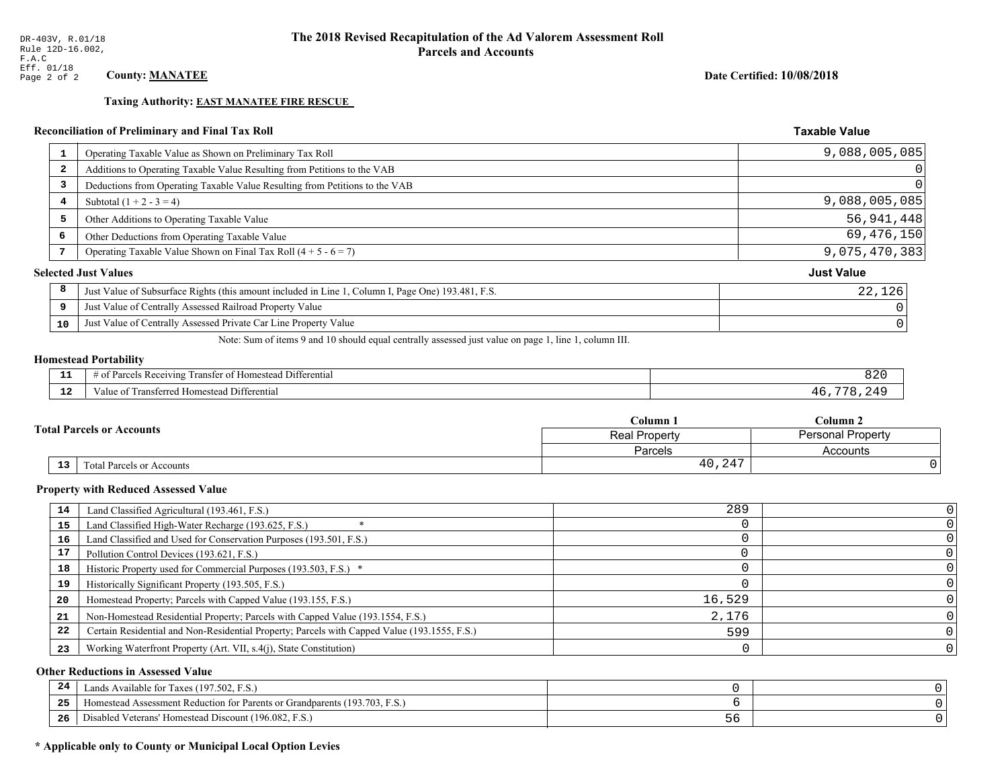**Taxing Authority: EAST MANATEE FIRE RESCUE** 

# Reconciliation of Preliminary and Final Tax Roll

| 1                       | Operating Taxable Value as Shown on Preliminary Tax Roll                                           | 9,088,005,085     |
|-------------------------|----------------------------------------------------------------------------------------------------|-------------------|
| $\overline{\mathbf{2}}$ | Additions to Operating Taxable Value Resulting from Petitions to the VAB                           |                   |
| 3                       | Deductions from Operating Taxable Value Resulting from Petitions to the VAB                        |                   |
| 4                       | Subtotal $(1 + 2 - 3 = 4)$                                                                         | 9,088,005,085     |
| 5                       | Other Additions to Operating Taxable Value                                                         | 56,941,448        |
| 6                       | Other Deductions from Operating Taxable Value                                                      | 69,476,150        |
|                         | Operating Taxable Value Shown on Final Tax Roll $(4 + 5 - 6 = 7)$                                  | 9,075,470,383     |
|                         | <b>Selected Just Values</b>                                                                        | <b>Just Value</b> |
| 8                       | Just Value of Subsurface Rights (this amount included in Line 1, Column I, Page One) 193.481, F.S. | 22,126            |
| 9                       | Just Value of Centrally Assessed Railroad Property Value                                           |                   |
| 10                      | Just Value of Centrally Assessed Private Car Line Property Value                                   |                   |
|                         |                                                                                                    |                   |

Note: Sum of items 9 and 10 should equal centrally assessed just value on page 1, line 1, column III.

#### **Homestead Portability**

| --          | $\cdots$<br>Differential<br>: Re<br>enving<br>$\sim$<br>rancter<br>$\cdots$ | 820 |
|-------------|-----------------------------------------------------------------------------|-----|
| $\sim$<br>. | Transferred Homestead Differential<br>anue oi                               |     |

|  |                                  | Column <sub>1</sub> | $\mathbb C$ olumn 2      |  |
|--|----------------------------------|---------------------|--------------------------|--|
|  | <b>Total Parcels or Accounts</b> | Real Property       | <b>Personal Property</b> |  |
|  |                                  | Parcels             | Accounts                 |  |
|  | 13<br>Total Parcels or Accounts  | 40,247              |                          |  |

#### **Property with Reduced Assessed Value**

| 14 | Land Classified Agricultural (193.461, F.S.)                                                 | 289    |  |
|----|----------------------------------------------------------------------------------------------|--------|--|
| 15 | Land Classified High-Water Recharge (193.625, F.S.)                                          |        |  |
| 16 | Land Classified and Used for Conservation Purposes (193.501, F.S.)                           |        |  |
| 17 | Pollution Control Devices (193.621, F.S.)                                                    |        |  |
| 18 | Historic Property used for Commercial Purposes (193.503, F.S.) *                             |        |  |
| 19 | Historically Significant Property (193.505, F.S.)                                            |        |  |
| 20 | Homestead Property; Parcels with Capped Value (193.155, F.S.)                                | 16,529 |  |
| 21 | Non-Homestead Residential Property; Parcels with Capped Value (193.1554, F.S.)               | 2.176  |  |
| 22 | Certain Residential and Non-Residential Property; Parcels with Capped Value (193.1555, F.S.) | 599    |  |
| 23 | Working Waterfront Property (Art. VII, s.4(j), State Constitution)                           |        |  |

#### **Other Reductions in Assessed Value**

| 24    | Lands Available for Taxes (197.502, F.S.)                                  |    |  |
|-------|----------------------------------------------------------------------------|----|--|
| - - - | Homestead Assessment Reduction for Parents or Grandparents (193.703, F.S.) |    |  |
| -26   | l Veterans' Homestead Discount (196.082, F.S.)<br>Disabled                 | しし |  |

# \* Applicable only to County or Municipal Local Option Levies

Date Certified: 10/08/2018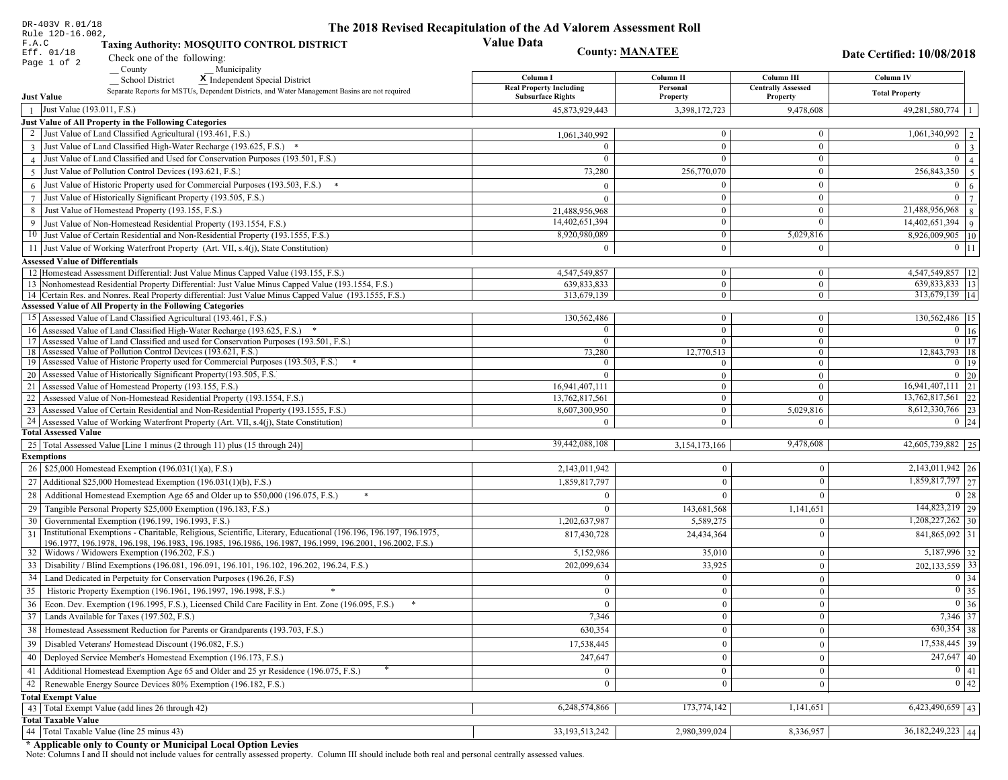| DR-403V R.01/18                                                                                                                                                                          | The 2018 Revised Recapitulation of the Ad Valorem Assessment Roll |                                |                                       |                                                     |
|------------------------------------------------------------------------------------------------------------------------------------------------------------------------------------------|-------------------------------------------------------------------|--------------------------------|---------------------------------------|-----------------------------------------------------|
| Rule 12D-16.002,<br>F.A.C<br><b>Taxing Authority: MOSQUITO CONTROL DISTRICT</b>                                                                                                          | <b>Value Data</b>                                                 |                                |                                       |                                                     |
| Eff. 01/18<br>Check one of the following:                                                                                                                                                |                                                                   | <b>County: MANATEE</b>         |                                       | Date Certified: 10/08/2018                          |
| Page 1 of 2<br>County<br>Municipality                                                                                                                                                    |                                                                   |                                |                                       |                                                     |
| School District<br>X Independent Special District                                                                                                                                        | Column I                                                          | Column II                      | Column III                            | Column IV                                           |
| Separate Reports for MSTUs, Dependent Districts, and Water Management Basins are not required<br><b>Just Value</b>                                                                       | <b>Real Property Including</b><br><b>Subsurface Rights</b>        | Personal<br>Property           | <b>Centrally Assessed</b><br>Property | <b>Total Property</b>                               |
| 1 Just Value (193.011, F.S.)                                                                                                                                                             | 45,873,929,443                                                    | 3,398,172,723                  | 9,478,608                             | $49,281,580,774$   1                                |
| Just Value of All Property in the Following Categories                                                                                                                                   |                                                                   |                                |                                       |                                                     |
| 2 Just Value of Land Classified Agricultural (193.461, F.S.)                                                                                                                             | 1,061,340,992                                                     | $\overline{0}$                 | $\mathbf{0}$                          | 1,061,340,992                                       |
| 3 Just Value of Land Classified High-Water Recharge (193.625, F.S.) *                                                                                                                    |                                                                   | $\Omega$                       | $\Omega$                              | $\theta$                                            |
| 4 Just Value of Land Classified and Used for Conservation Purposes (193.501, F.S.)                                                                                                       | $\Omega$                                                          | $\theta$                       | $\mathbf{0}$                          | $\Omega$                                            |
| 5 Just Value of Pollution Control Devices (193.621, F.S.)                                                                                                                                | 73,280                                                            | 256,770,070                    | $\mathbf{0}$                          | 256,843,350 5                                       |
| $6$ Just Value of Historic Property used for Commercial Purposes (193.503, F.S.)                                                                                                         |                                                                   | $\Omega$                       | $\mathbf{0}$                          |                                                     |
| 7 Just Value of Historically Significant Property (193.505, F.S.)                                                                                                                        | $\Omega$                                                          | $\theta$                       | $\mathbf{0}$                          | $\bf{0}$                                            |
| 8 Just Value of Homestead Property (193.155, F.S.)                                                                                                                                       | 21,488,956,968                                                    | $\theta$                       | $\mathbf{0}$                          | 21,488,956,968<br>$\overline{8}$                    |
| 9 Just Value of Non-Homestead Residential Property (193.1554, F.S.)                                                                                                                      | 14,402,651,394                                                    | $\overline{0}$                 | $\theta$                              | 14,402,651,394<br>$\overline{9}$                    |
| 10 Just Value of Certain Residential and Non-Residential Property (193.1555, F.S.)                                                                                                       | 8,920,980,089                                                     | $\mathbf{0}$                   | 5,029,816                             | 8,926,009,905   10                                  |
| 11 Just Value of Working Waterfront Property (Art. VII, s.4(j), State Constitution)                                                                                                      | $\Omega$                                                          | $\theta$                       | $\mathbf{0}$                          | $0$   11                                            |
|                                                                                                                                                                                          |                                                                   |                                |                                       |                                                     |
| <b>Assessed Value of Differentials</b>                                                                                                                                                   |                                                                   |                                |                                       |                                                     |
| 12 Homestead Assessment Differential: Just Value Minus Capped Value (193.155, F.S.)<br>13 Nonhomestead Residential Property Differential: Just Value Minus Capped Value (193.1554, F.S.) | 4,547,549,857<br>639,833,833                                      | $\overline{0}$<br>$\mathbf{0}$ | $\mathbf{0}$<br>$\overline{0}$        | 4,547,549,857   12<br>$\overline{639,833,833}$   13 |
| 14 Certain Res. and Nonres. Real Property differential: Just Value Minus Capped Value (193.1555, F.S.)                                                                                   | 313,679,139                                                       | $\overline{0}$                 | $\overline{0}$                        | 313,679,139 14                                      |
| Assessed Value of All Property in the Following Categories                                                                                                                               |                                                                   |                                |                                       |                                                     |
| 15 Assessed Value of Land Classified Agricultural (193.461, F.S.)                                                                                                                        | 130,562,486                                                       | $\overline{0}$                 | $\boldsymbol{0}$                      | 130,562,486   15                                    |
| 16 Assessed Value of Land Classified High-Water Recharge (193.625, F.S.)                                                                                                                 | $\Omega$                                                          | $\overline{0}$                 | $\mathbf{0}$                          | $\overline{0}$ 16                                   |
| 17 Assessed Value of Land Classified and used for Conservation Purposes (193.501, F.S.)                                                                                                  | $\bf{0}$                                                          | $\overline{0}$                 | $\overline{0}$                        | $0 \mid 17$                                         |
| 18 Assessed Value of Pollution Control Devices (193.621, F.S.)                                                                                                                           | 73,280                                                            | 12,770,513                     | $\theta$                              | 12,843,793 18                                       |
| 19 Assessed Value of Historic Property used for Commercial Purposes (193.503, F.S.)                                                                                                      | $\Omega$                                                          | 0                              | $\overline{0}$                        | $0$ 19                                              |
| 20 Assessed Value of Historically Significant Property (193.505, F.S.                                                                                                                    | $\Omega$                                                          | $\theta$                       | $\overline{0}$                        | $0\quad20$                                          |
| 21   Assessed Value of Homestead Property (193.155, F.S.)                                                                                                                                | 16,941,407,111                                                    | $\overline{0}$                 | $\theta$                              | $16,941,407,111$ 21                                 |
| 22 Assessed Value of Non-Homestead Residential Property (193.1554, F.S.)                                                                                                                 | 13,762,817,561                                                    | $\overline{0}$                 | $\Omega$                              | 13,762,817,561 22                                   |
| 23 Assessed Value of Certain Residential and Non-Residential Property (193.1555, F.S.)                                                                                                   | 8,607,300,950                                                     | $\mathbf{0}$                   | 5,029,816                             | 8,612,330,766 23                                    |
| 24 Assessed Value of Working Waterfront Property (Art. VII, s.4(j), State Constitution)                                                                                                  |                                                                   | $\overline{0}$                 | $\Omega$                              | $0 \mid 24$                                         |
| <b>Total Assessed Value</b>                                                                                                                                                              |                                                                   |                                |                                       |                                                     |
| 25   Total Assessed Value [Line 1 minus (2 through 11) plus (15 through 24)]                                                                                                             | 39,442,088,108                                                    | 3,154,173,166                  | 9,478,608                             | 42,605,739,882 25                                   |
| <b>Exemptions</b>                                                                                                                                                                        |                                                                   |                                |                                       |                                                     |
| 26   \$25,000 Homestead Exemption (196.031(1)(a), F.S.)                                                                                                                                  | 2,143,011,942                                                     | $\overline{0}$                 | $\bf{0}$                              | 2,143,011,942 26                                    |
| 27   Additional \$25,000 Homestead Exemption (196.031(1)(b), F.S.)                                                                                                                       | 1,859,817,797                                                     | $\overline{0}$                 | $\mathbf{0}$                          | 1,859,817,797 27                                    |
| 28 Additional Homestead Exemption Age 65 and Older up to \$50,000 (196.075, F.S.)<br>$\ast$                                                                                              |                                                                   | $\overline{0}$                 | $\Omega$                              | $0 \mid 28$                                         |
| 29 Tangible Personal Property \$25,000 Exemption (196.183, F.S.)                                                                                                                         |                                                                   | 143,681,568                    | 1,141,651                             | 144,823,219 29                                      |
| 30 Governmental Exemption (196.199, 196.1993, F.S.)                                                                                                                                      | 1,202,637,987                                                     | 5,589,275                      | $\Omega$                              | $1,208,227,262$ 30                                  |
| Institutional Exemptions - Charitable, Religious, Scientific, Literary, Educational (196.196, 196.197, 196.1975,<br>31                                                                   | 817,430,728                                                       | 24,434,364                     | $\Omega$                              | 841,865,092 31                                      |
| 196.1977, 196.1978, 196.198, 196.1983, 196.1985, 196.1986, 196.1987, 196.1999, 196.2001, 196.2002, F.S.)                                                                                 |                                                                   |                                |                                       |                                                     |
| 32   Widows / Widowers Exemption (196.202, F.S.)                                                                                                                                         | 5,152,986                                                         | 35,010                         | $\bf{0}$                              | 5,187,996 32                                        |
| 33   Disability / Blind Exemptions (196.081, 196.091, 196.101, 196.102, 196.202, 196.24, F.S.)                                                                                           | 202,099,634                                                       | 33,925                         | $\mathbf{0}$                          | $202,133,559$ 33                                    |
| 34   Land Dedicated in Perpetuity for Conservation Purposes (196.26, F.S)                                                                                                                | $\bf{0}$                                                          | $\overline{0}$                 | $\mathbf{0}$                          | $0 \mid 34$                                         |
| 35 Historic Property Exemption (196.1961, 196.1997, 196.1998, F.S.)                                                                                                                      | $\mathbf{0}$                                                      | $\boldsymbol{0}$               | 0                                     | $\boxed{0}$ 35                                      |
| 36 Econ. Dev. Exemption (196.1995, F.S.), Licensed Child Care Facility in Ent. Zone (196.095, F.S.)                                                                                      | $\overline{0}$                                                    | $\overline{0}$                 | $\bf{0}$                              | $0\vert 36$                                         |
| 37 Lands Available for Taxes (197.502, F.S.)                                                                                                                                             | 7,346                                                             | $\overline{0}$                 | $\bf{0}$                              | 7,346 37                                            |
| 38   Homestead Assessment Reduction for Parents or Grandparents (193.703, F.S.)                                                                                                          | 630,354                                                           | $\overline{0}$                 | $\bf{0}$                              | 630,354 38                                          |
| 39   Disabled Veterans' Homestead Discount (196.082, F.S.)                                                                                                                               | 17,538,445                                                        | $\overline{0}$                 | $\overline{0}$                        | 17,538,445 39                                       |
| 40   Deployed Service Member's Homestead Exemption (196.173, F.S.)                                                                                                                       | 247,647                                                           | $\overline{0}$                 | $\bf{0}$                              | $\overline{247,647}$ 40                             |
| 41 Additional Homestead Exemption Age 65 and Older and 25 yr Residence (196.075, F.S.)                                                                                                   | $\mathbf{0}$                                                      | $\mathbf{0}$                   | $\bf{0}$                              | $\boxed{0}$ 41                                      |
| 42   Renewable Energy Source Devices 80% Exemption (196.182, F.S.)                                                                                                                       | $\mathbf{0}$                                                      | $\overline{0}$                 | $\bf{0}$                              | $\boxed{0}$ 42                                      |
| <b>Total Exempt Value</b>                                                                                                                                                                |                                                                   |                                |                                       |                                                     |
| 43 Total Exempt Value (add lines 26 through 42)                                                                                                                                          | 6,248,574,866                                                     | 173,774,142                    | 1,141,651                             | $6,423,490,659$ 43                                  |
| <b>Total Taxable Value</b>                                                                                                                                                               |                                                                   |                                |                                       |                                                     |
| 44 Total Taxable Value (line 25 minus 43)                                                                                                                                                | 33, 193, 513, 242                                                 | 2,980,399,024                  | 8,336,957                             | 36, 182, 249, 223 44                                |
|                                                                                                                                                                                          |                                                                   |                                |                                       |                                                     |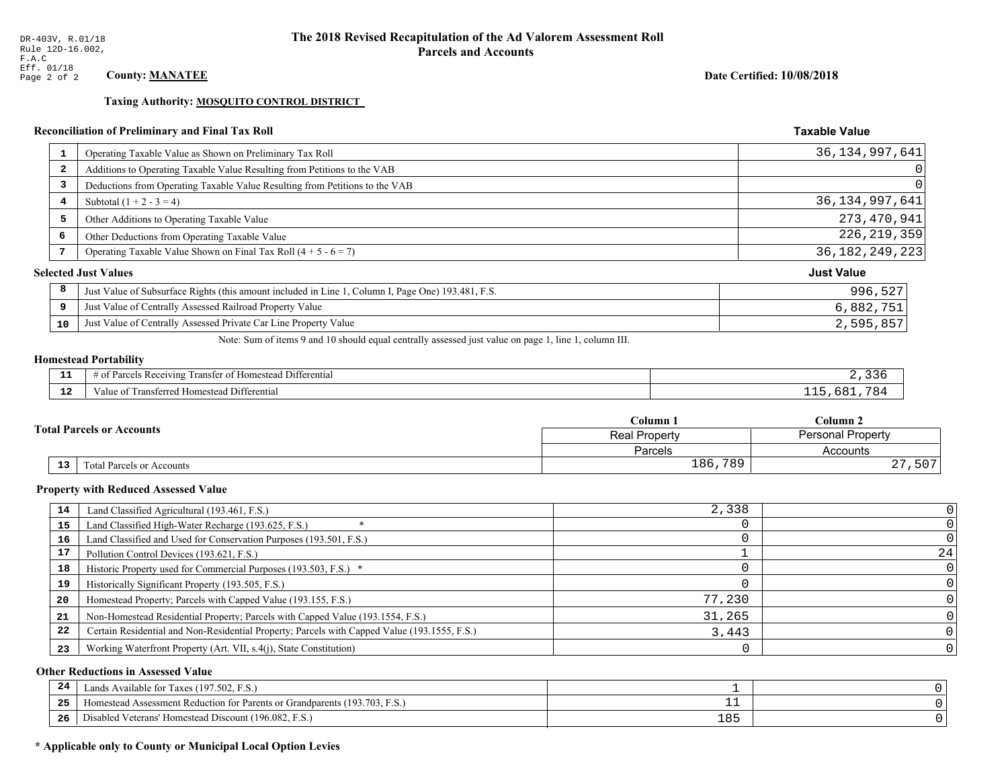Taxing Authority: MOSQUITO CONTROL DISTRICT

# Reconciliation of Preliminary and Final Tax Roll

| $\mathbf{1}$            | Operating Taxable Value as Shown on Preliminary Tax Roll                                           | 36, 134, 997, 641 |
|-------------------------|----------------------------------------------------------------------------------------------------|-------------------|
| $\overline{\mathbf{2}}$ | Additions to Operating Taxable Value Resulting from Petitions to the VAB                           | 0                 |
| 3                       | Deductions from Operating Taxable Value Resulting from Petitions to the VAB                        | 0                 |
| 4                       | Subtotal $(1 + 2 - 3 = 4)$                                                                         | 36, 134, 997, 641 |
| 5                       | Other Additions to Operating Taxable Value                                                         | 273, 470, 941     |
| 6                       | Other Deductions from Operating Taxable Value                                                      | 226, 219, 359     |
| 7                       | Operating Taxable Value Shown on Final Tax Roll $(4 + 5 - 6 = 7)$                                  | 36, 182, 249, 223 |
|                         | <b>Selected Just Values</b>                                                                        | <b>Just Value</b> |
| 8                       | Just Value of Subsurface Rights (this amount included in Line 1, Column I, Page One) 193.481, F.S. | 996,527           |
| 9                       | Just Value of Centrally Assessed Railroad Property Value                                           | 6,882,751         |
| 10                      | Just Value of Centrally Assessed Private Car Line Property Value                                   | 2,595,857         |

Note: Sum of items 9 and 10 should equal centrally assessed just value on page 1, line 1, column III.

# **Homestead Portability**

| - -<br>.     | Differential<br>: Receiving<br>ranstei<br>"OPOS<br>±omestean :<br>н.<br>. . |  |
|--------------|-----------------------------------------------------------------------------|--|
| $\sim$<br>-- | Differential<br>Transferreg<br><b>Homestea</b><br>anne                      |  |

| <b>Total Parcels or Accounts</b> |    |                                  | Column 1      | Column 2                 |  |
|----------------------------------|----|----------------------------------|---------------|--------------------------|--|
|                                  |    |                                  | Real Property | <b>Personal Property</b> |  |
|                                  |    |                                  | Parcels       | Accounts                 |  |
|                                  | 13 | <b>Fotal Parcels or Accounts</b> | 186,789       | , 507<br>$\cap$<br>47    |  |

#### **Property with Reduced Assessed Value**

| 14 | Land Classified Agricultural (193.461, F.S.)                                                 | 2,338  |    |
|----|----------------------------------------------------------------------------------------------|--------|----|
| 15 | Land Classified High-Water Recharge (193.625, F.S.)                                          |        |    |
| 16 | Land Classified and Used for Conservation Purposes (193.501, F.S.)                           |        |    |
| 17 | Pollution Control Devices (193.621, F.S.)                                                    |        | 24 |
| 18 | Historic Property used for Commercial Purposes (193.503, F.S.) *                             |        |    |
| 19 | Historically Significant Property (193.505, F.S.)                                            |        |    |
| 20 | Homestead Property; Parcels with Capped Value (193.155, F.S.)                                | 77,230 |    |
| 21 | Non-Homestead Residential Property; Parcels with Capped Value (193.1554, F.S.)               | 31,265 |    |
| 22 | Certain Residential and Non-Residential Property; Parcels with Capped Value (193.1555, F.S.) | 3,443  |    |
| 23 | Working Waterfront Property (Art. VII, s.4(j), State Constitution)                           |        |    |

#### **Other Reductions in Assessed Value**

| 24    | (197.502, F.S.)<br>Lands Available for Taxes (                                                    |     |  |
|-------|---------------------------------------------------------------------------------------------------|-----|--|
| - - - | (193.703)<br>ad Assessment Reduction for Parents or Grandparents ( <sup>16</sup> )<br>. iomestead |     |  |
| -26   | <sup>1</sup> Veterans' Homestead Discount (196.082, F.S.)<br>Disabled                             | 185 |  |

# \* Applicable only to County or Municipal Local Option Levies

Date Certified: 10/08/2018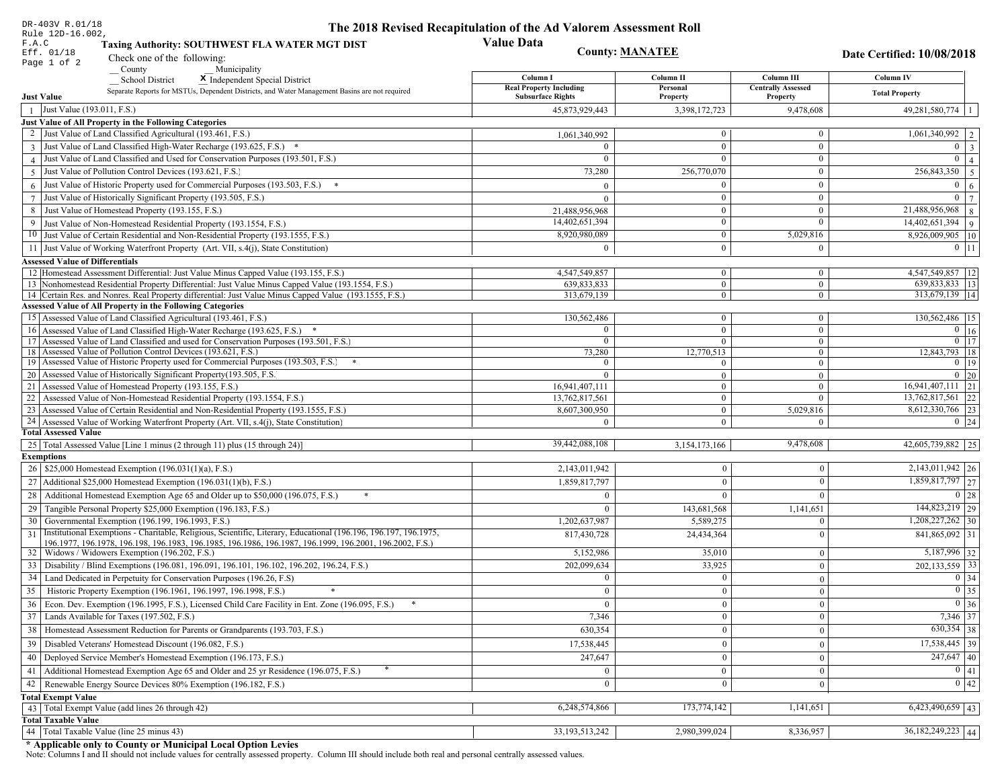| DR-403V R.01/18                                                                                                                                                                          | The 2018 Revised Recapitulation of the Ad Valorem Assessment Roll |                              |                                       |                                                     |
|------------------------------------------------------------------------------------------------------------------------------------------------------------------------------------------|-------------------------------------------------------------------|------------------------------|---------------------------------------|-----------------------------------------------------|
| Rule 12D-16.002,<br>F.A.C<br>Taxing Authority: SOUTHWEST FLA WATER MGT DIST                                                                                                              | <b>Value Data</b>                                                 |                              |                                       |                                                     |
| Eff. 01/18<br>Check one of the following:                                                                                                                                                |                                                                   | <b>County: MANATEE</b>       |                                       | Date Certified: 10/08/2018                          |
| Page 1 of 2<br>County<br>Municipality                                                                                                                                                    |                                                                   |                              |                                       |                                                     |
| School District<br>X Independent Special District                                                                                                                                        | Column I                                                          | Column II                    | Column III                            | Column IV                                           |
| Separate Reports for MSTUs, Dependent Districts, and Water Management Basins are not required<br><b>Just Value</b>                                                                       | <b>Real Property Including</b><br><b>Subsurface Rights</b>        | Personal<br>Property         | <b>Centrally Assessed</b><br>Property | <b>Total Property</b>                               |
| Just Value (193.011, F.S.)<br>$\overline{1}$                                                                                                                                             | 45,873,929,443                                                    | 3,398,172,723                | 9,478,608                             | $49,281,580,774$   1                                |
| Just Value of All Property in the Following Categories                                                                                                                                   |                                                                   |                              |                                       |                                                     |
| 2 Just Value of Land Classified Agricultural (193.461, F.S.)                                                                                                                             | 1,061,340,992                                                     | $\overline{0}$               | $\boldsymbol{0}$                      | 1,061,340,992   2                                   |
| 3 Just Value of Land Classified High-Water Recharge (193.625, F.S.) *                                                                                                                    |                                                                   | $\mathbf{0}$                 | $\mathbf{0}$                          | $0 \mid 3$                                          |
| 4 Just Value of Land Classified and Used for Conservation Purposes (193.501, F.S.)                                                                                                       | $\Omega$                                                          | $\Omega$                     | $\boldsymbol{0}$                      | $\overline{0}$<br>$\overline{4}$                    |
| Just Value of Pollution Control Devices (193.621, F.S.)<br>$\overline{5}$                                                                                                                | 73,280                                                            | 256,770,070                  | $\boldsymbol{0}$                      | $\overline{256,843,350}$ 5                          |
| $6$ Just Value of Historic Property used for Commercial Purposes (193.503, F.S.) $*$                                                                                                     | $\Omega$                                                          | $\Omega$                     | $\boldsymbol{0}$                      | $\overline{0}$<br>$\overline{6}$                    |
| 7 Just Value of Historically Significant Property (193.505, F.S.)                                                                                                                        | $\Omega$                                                          | $\mathbf{0}$                 | $\boldsymbol{0}$                      | $0 \mid 7$                                          |
| 8 Just Value of Homestead Property (193.155, F.S.)                                                                                                                                       | 21,488,956,968                                                    | $\bf{0}$                     | $\boldsymbol{0}$                      | $21,488,956,968$ 8                                  |
| 9 Just Value of Non-Homestead Residential Property (193.1554, F.S.)                                                                                                                      | 14,402,651,394                                                    | $\overline{0}$               | $\Omega$                              | $14,402,651,394$ 9                                  |
| 10 Just Value of Certain Residential and Non-Residential Property (193.1555, F.S.)                                                                                                       | 8,920,980,089                                                     | $\mathbf{0}$                 | 5,029,816                             | 8,926,009,905   10                                  |
|                                                                                                                                                                                          | $\Omega$                                                          | $\theta$                     | $\mathbf{0}$                          | $0 \;   \; 11$                                      |
| 11 Just Value of Working Waterfront Property (Art. VII, s.4(j), State Constitution)                                                                                                      |                                                                   |                              |                                       |                                                     |
| <b>Assessed Value of Differentials</b>                                                                                                                                                   |                                                                   |                              |                                       |                                                     |
| 12 Homestead Assessment Differential: Just Value Minus Capped Value (193.155, F.S.)<br>13 Nonhomestead Residential Property Differential: Just Value Minus Capped Value (193.1554, F.S.) | 4,547,549,857<br>639,833,833                                      | $\mathbf{0}$<br>$\mathbf{0}$ | $\boldsymbol{0}$<br>$\mathbf{0}$      | 4,547,549,857   12<br>$\overline{639,833,833}$   13 |
| 14 Certain Res. and Nonres. Real Property differential: Just Value Minus Capped Value (193.1555, F.S.)                                                                                   | 313,679,139                                                       | $\mathbf{0}$                 | $\mathbf{0}$                          | 313,679,139   14                                    |
| <b>Assessed Value of All Property in the Following Categories</b>                                                                                                                        |                                                                   |                              |                                       |                                                     |
| 15 Assessed Value of Land Classified Agricultural (193.461, F.S.)                                                                                                                        | 130,562,486                                                       | $\mathbf{0}$                 | $\mathbf{0}$                          | 130,562,486   15                                    |
| 16 Assessed Value of Land Classified High-Water Recharge (193.625, F.S.)                                                                                                                 | $\Omega$                                                          | $\overline{0}$               | $\boldsymbol{0}$                      | $\boxed{0}$ 16                                      |
| 17 Assessed Value of Land Classified and used for Conservation Purposes (193.501, F.S.)                                                                                                  | $\mathbf{0}$                                                      | $\mathbf{0}$                 | $\mathbf{0}$                          | $\overline{0}$ 17                                   |
| 18 Assessed Value of Pollution Control Devices (193.621, F.S.)                                                                                                                           | 73,280                                                            | 12,770,513                   | $\overline{0}$                        | 12,843,793 18                                       |
| 19 Assessed Value of Historic Property used for Commercial Purposes (193.503, F.S.)                                                                                                      | $\theta$                                                          | $\Omega$                     | $\mathbf{0}$                          | $0 \mid 19$                                         |
| 20 Assessed Value of Historically Significant Property (193.505, F.S.                                                                                                                    | $\theta$                                                          | $\overline{0}$               | $\overline{0}$                        | $0 \mid 20$                                         |
| 21 Assessed Value of Homestead Property (193.155, F.S.)                                                                                                                                  | 16,941,407,111                                                    | $\mathbf{0}$                 | $\mathbf{0}$                          | $16,941,407,111$ 21                                 |
| 22 Assessed Value of Non-Homestead Residential Property (193.1554, F.S.)                                                                                                                 | 13,762,817,561                                                    | $\overline{0}$               | $\mathbf{0}$                          | 13,762,817,561 22                                   |
| 23 Assessed Value of Certain Residential and Non-Residential Property (193.1555, F.S.)                                                                                                   | 8,607,300,950                                                     | $\mathbf{0}$                 | 5,029,816                             | 8,612,330,766 23                                    |
| 24 Assessed Value of Working Waterfront Property (Art. VII, s.4(j), State Constitution                                                                                                   | $\Omega$                                                          | $\overline{0}$               | $\Omega$                              | $0 \mid 24$                                         |
| <b>Total Assessed Value</b>                                                                                                                                                              |                                                                   |                              |                                       |                                                     |
| 25   Total Assessed Value [Line 1 minus (2 through 11) plus (15 through 24)]                                                                                                             | 39,442,088,108                                                    | 3,154,173,166                | 9,478,608                             | 42,605,739,882 25                                   |
| <b>Exemptions</b>                                                                                                                                                                        |                                                                   |                              |                                       |                                                     |
| 26   \$25,000 Homestead Exemption (196.031(1)(a), F.S.)                                                                                                                                  | 2,143,011,942                                                     | $\mathbf{0}$                 | $\Omega$                              | $2,143,011,942$ 26                                  |
| 27   Additional \$25,000 Homestead Exemption (196.031(1)(b), F.S.)                                                                                                                       | 1,859,817,797                                                     | $\theta$                     | $\Omega$                              | 1,859,817,797 27                                    |
| 28 Additional Homestead Exemption Age 65 and Older up to \$50,000 (196.075, F.S.)                                                                                                        |                                                                   | $\Omega$                     | $\Omega$                              | $0 \mid 28$                                         |
| 29 Tangible Personal Property \$25,000 Exemption (196.183, F.S.)                                                                                                                         |                                                                   | 143,681,568                  | 1,141,651                             | 144,823,219 29                                      |
| 30 Governmental Exemption (196.199, 196.1993, F.S.)                                                                                                                                      | 1,202,637,987                                                     | 5,589,275                    | $\Omega$                              | $1,208,227,262$ 30                                  |
| Institutional Exemptions - Charitable, Religious, Scientific, Literary, Educational (196.196, 196.197, 196.1975,<br>31                                                                   | 817,430,728                                                       | 24,434,364                   | $\Omega$                              | 841,865,092 31                                      |
| 196.1977, 196.1978, 196.198, 196.1983, 196.1985, 196.1986, 196.1987, 196.1999, 196.2001, 196.2002, F.S.)<br>32   Widows / Widowers Exemption (196.202, F.S.)                             |                                                                   |                              |                                       | 5,187,996 32                                        |
|                                                                                                                                                                                          | 5,152,986                                                         | 35,010                       | $\mathbf{0}$                          |                                                     |
| 33   Disability / Blind Exemptions (196.081, 196.091, 196.101, 196.102, 196.202, 196.24, F.S.)                                                                                           | 202,099,634                                                       | 33,925                       | $\Omega$                              | $202, 133, 559$ 33                                  |
| 34   Land Dedicated in Perpetuity for Conservation Purposes (196.26, F.S)                                                                                                                | $\bf{0}$                                                          | $\mathbf{0}$                 | $\Omega$                              | $0 \mid 34$                                         |
| 35 Historic Property Exemption (196.1961, 196.1997, 196.1998, F.S.)                                                                                                                      | $\bf{0}$                                                          | $\boldsymbol{0}$             | $\vert 0 \vert$                       | $\boxed{0}$ 35                                      |
| 36 Econ. Dev. Exemption (196.1995, F.S.), Licensed Child Care Facility in Ent. Zone (196.095, F.S.)                                                                                      | $\overline{0}$                                                    | $\mathbf{0}$                 | $\theta$                              | $0\vert 36$                                         |
| 37 Lands Available for Taxes (197.502, F.S.)                                                                                                                                             | 7,346                                                             | $\overline{0}$               | $\mathbf{0}$                          | 7,346 37                                            |
| 38   Homestead Assessment Reduction for Parents or Grandparents (193.703, F.S.)                                                                                                          | 630,354                                                           | $\mathbf{0}$                 | $\overline{0}$                        | $630,354$ 38                                        |
| 39   Disabled Veterans' Homestead Discount (196.082, F.S.)                                                                                                                               | 17,538,445                                                        | $\Omega$                     | $\mathbf{0}$                          | $\overline{17,538,445}$ 39                          |
| 40   Deployed Service Member's Homestead Exemption (196.173, F.S.)                                                                                                                       | 247,647                                                           | $\mathbf{0}$                 | $\theta$                              | $\overline{247,647}$ 40                             |
| 41   Additional Homestead Exemption Age 65 and Older and 25 yr Residence (196.075, F.S.)                                                                                                 |                                                                   | $\Omega$                     | $\Omega$                              | $\boxed{0}$ $\boxed{41}$                            |
| 42 Renewable Energy Source Devices 80% Exemption (196.182, F.S.)                                                                                                                         | $\mathbf{0}$                                                      | $\mathbf{0}$                 | $\theta$                              | 0 42                                                |
| <b>Total Exempt Value</b>                                                                                                                                                                |                                                                   |                              |                                       |                                                     |
| 43 Total Exempt Value (add lines 26 through 42)                                                                                                                                          | 6,248,574,866                                                     | 173,774,142                  | 1,141,651                             | $6,423,490,659$ 43                                  |
| <b>Total Taxable Value</b>                                                                                                                                                               |                                                                   |                              |                                       |                                                     |
| 44 Total Taxable Value (line 25 minus 43)                                                                                                                                                | 33, 193, 513, 242                                                 | 2,980,399,024                | 8,336,957                             | $36,182,249,223$ 44                                 |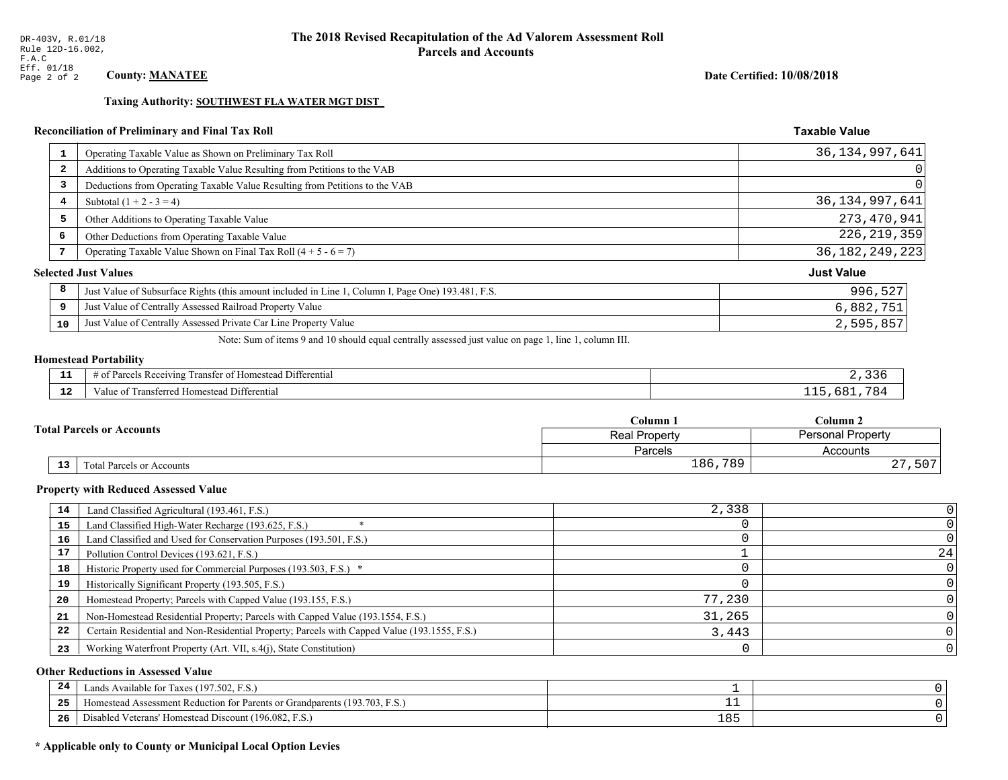#### Date Certified: 10/08/2018

**Taxable Value** 

#### Taxing Authority: SOUTHWEST FLA WATER MGT DIST

# Reconciliation of Preliminary and Final Tax Roll

| $\mathbf{1}$            | Operating Taxable Value as Shown on Preliminary Tax Roll                                           | 36,134,997,641    |
|-------------------------|----------------------------------------------------------------------------------------------------|-------------------|
| $\overline{\mathbf{2}}$ | Additions to Operating Taxable Value Resulting from Petitions to the VAB                           | 0                 |
| 3                       | Deductions from Operating Taxable Value Resulting from Petitions to the VAB                        |                   |
| 4                       | Subtotal $(1 + 2 - 3 = 4)$                                                                         | 36, 134, 997, 641 |
| 5                       | Other Additions to Operating Taxable Value                                                         | 273,470,941       |
| 6                       | Other Deductions from Operating Taxable Value                                                      | 226, 219, 359     |
| 7                       | Operating Taxable Value Shown on Final Tax Roll $(4 + 5 - 6 = 7)$                                  | 36, 182, 249, 223 |
|                         | <b>Selected Just Values</b>                                                                        | <b>Just Value</b> |
| 8                       | Just Value of Subsurface Rights (this amount included in Line 1, Column I, Page One) 193.481, F.S. | 996,527           |
| 9                       | Just Value of Centrally Assessed Railroad Property Value                                           | 6,882,751         |
| 10                      | Just Value of Centrally Assessed Private Car Line Property Value                                   | 2,595,857         |
|                         |                                                                                                    |                   |

Note: Sum of items 9 and 10 should equal centrally assessed just value on page 1, line 1, column III.

# **Homestead Portability**

| ---          | $  -$<br>.<br>. Differential<br>: Rei<br>envin<br>$\sim$ +<br>rancter<br>∵omestean L. |  |
|--------------|---------------------------------------------------------------------------------------|--|
| $\sim$<br>-- | <b>Differential</b><br>ransterred<br>' Homestead L<br>anne :<br>ິດາ                   |  |

|                                  | $C$ olumn $1$        | Column 2                 |  |
|----------------------------------|----------------------|--------------------------|--|
| <b>Total Parcels or Accounts</b> | <b>Real Property</b> | <b>Personal Property</b> |  |
|                                  | <b>Parcels</b>       | Accounts                 |  |
| 13<br>Total Parcels or Accounts  | 186,789              | $\cap$<br>,507<br>47     |  |

#### **Property with Reduced Assessed Value**

| 14 | Land Classified Agricultural (193.461, F.S.)                                                 | 2,338  |    |
|----|----------------------------------------------------------------------------------------------|--------|----|
| 15 | Land Classified High-Water Recharge (193.625, F.S.)                                          |        |    |
| 16 | Land Classified and Used for Conservation Purposes (193.501, F.S.)                           |        |    |
| 17 | Pollution Control Devices (193.621, F.S.)                                                    |        | 24 |
| 18 | Historic Property used for Commercial Purposes (193.503, F.S.) *                             |        |    |
| 19 | Historically Significant Property (193.505, F.S.)                                            |        |    |
| 20 | Homestead Property; Parcels with Capped Value (193.155, F.S.)                                | 77,230 |    |
| 21 | Non-Homestead Residential Property; Parcels with Capped Value (193.1554, F.S.)               | 31,265 |    |
| 22 | Certain Residential and Non-Residential Property; Parcels with Capped Value (193.1555, F.S.) | 3,443  |    |
| 23 | Working Waterfront Property (Art. VII, s.4(j), State Constitution)                           |        |    |

#### **Other Reductions in Assessed Value**

| 24  | Lands Available for Taxes (197.502, F.S.)                                                  |     |  |
|-----|--------------------------------------------------------------------------------------------|-----|--|
| -25 | 7103<br>93.703<br>Assessment Reduction for Parents or Grandparents<br>F.S.<br>-Homestead A |     |  |
| -26 | d Veterans' Homestead Discount (196.082, F.S.)<br>Jisabled                                 | 185 |  |

# \* Applicable only to County or Municipal Local Option Levies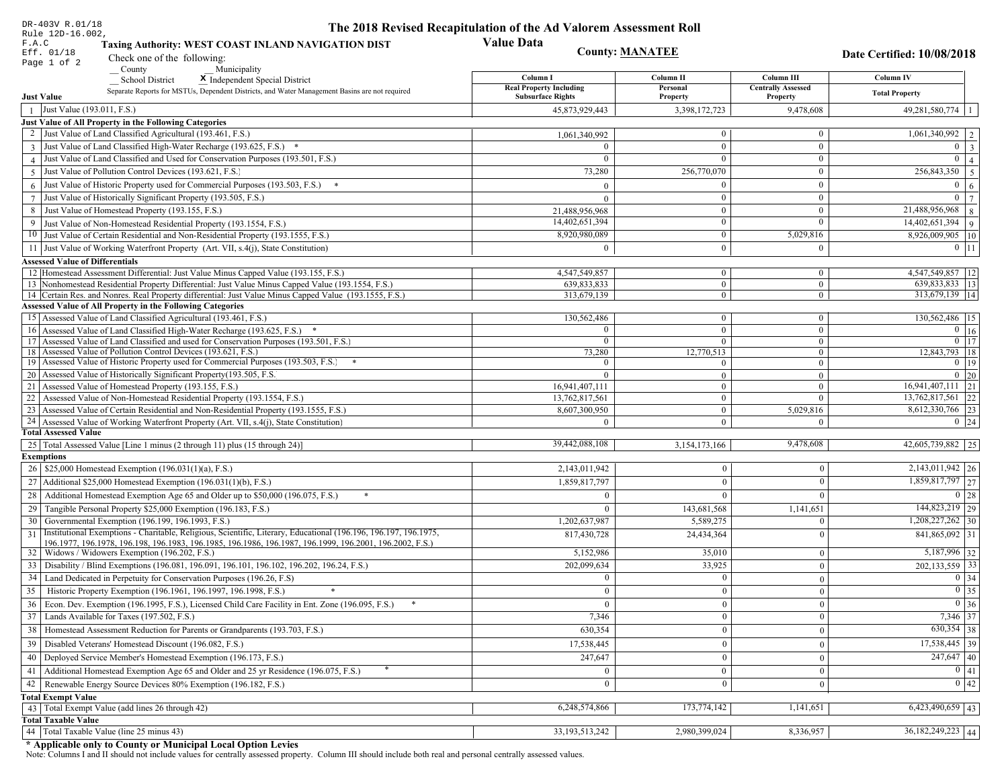| DR-403V R.01/18                                                                                                                                                                          | The 2018 Revised Recapitulation of the Ad Valorem Assessment Roll |                              |                                       |                                                     |
|------------------------------------------------------------------------------------------------------------------------------------------------------------------------------------------|-------------------------------------------------------------------|------------------------------|---------------------------------------|-----------------------------------------------------|
| Rule 12D-16.002,<br>F.A.C<br>Taxing Authority: WEST COAST INLAND NAVIGATION DIST                                                                                                         | <b>Value Data</b>                                                 |                              |                                       |                                                     |
| Eff. 01/18<br>Check one of the following:                                                                                                                                                |                                                                   | <b>County: MANATEE</b>       |                                       | Date Certified: 10/08/2018                          |
| Page 1 of 2<br>County<br>Municipality                                                                                                                                                    |                                                                   |                              |                                       |                                                     |
| School District<br>X Independent Special District                                                                                                                                        | Column I                                                          | Column II                    | Column III                            | Column IV                                           |
| Separate Reports for MSTUs, Dependent Districts, and Water Management Basins are not required<br><b>Just Value</b>                                                                       | <b>Real Property Including</b><br><b>Subsurface Rights</b>        | Personal<br>Property         | <b>Centrally Assessed</b><br>Property | <b>Total Property</b>                               |
| Just Value (193.011, F.S.)<br>$\overline{1}$                                                                                                                                             | 45,873,929,443                                                    | 3,398,172,723                | 9,478,608                             | $49,281,580,774$   1                                |
| Just Value of All Property in the Following Categories                                                                                                                                   |                                                                   |                              |                                       |                                                     |
| 2 Just Value of Land Classified Agricultural (193.461, F.S.)                                                                                                                             | 1,061,340,992                                                     | $\overline{0}$               | $\boldsymbol{0}$                      | 1,061,340,992   2                                   |
| 3 Just Value of Land Classified High-Water Recharge (193.625, F.S.) *                                                                                                                    |                                                                   | $\mathbf{0}$                 | $\mathbf{0}$                          | $0 \mid 3$                                          |
| 4 Just Value of Land Classified and Used for Conservation Purposes (193.501, F.S.)                                                                                                       | $\Omega$                                                          | $\Omega$                     | $\boldsymbol{0}$                      | $\overline{0}$<br>$\overline{4}$                    |
| Just Value of Pollution Control Devices (193.621, F.S.)<br>$\overline{5}$                                                                                                                | 73,280                                                            | 256,770,070                  | $\boldsymbol{0}$                      | $\overline{256,843,350}$ 5                          |
| $6$ Just Value of Historic Property used for Commercial Purposes (193.503, F.S.) $*$                                                                                                     | $\Omega$                                                          | $\Omega$                     | $\boldsymbol{0}$                      | $\overline{0}$<br>$\overline{6}$                    |
| 7 Just Value of Historically Significant Property (193.505, F.S.)                                                                                                                        | $\Omega$                                                          | $\mathbf{0}$                 | $\boldsymbol{0}$                      | $0 \mid 7$                                          |
| 8 Just Value of Homestead Property (193.155, F.S.)                                                                                                                                       |                                                                   | $\bf{0}$                     | $\boldsymbol{0}$                      | $21,488,956,968$ 8                                  |
|                                                                                                                                                                                          | 21,488,956,968<br>14,402,651,394                                  | $\overline{0}$               | $\Omega$                              | $14,402,651,394$ 9                                  |
| 9 Just Value of Non-Homestead Residential Property (193.1554, F.S.)                                                                                                                      | 8,920,980,089                                                     | $\mathbf{0}$                 | 5,029,816                             |                                                     |
| 10 Just Value of Certain Residential and Non-Residential Property (193.1555, F.S.)                                                                                                       | $\theta$                                                          |                              |                                       | 8,926,009,905   10                                  |
| 11 Just Value of Working Waterfront Property (Art. VII, s.4(j), State Constitution)                                                                                                      |                                                                   | $\theta$                     | $\mathbf{0}$                          | $0 \;   \; 11$                                      |
| <b>Assessed Value of Differentials</b>                                                                                                                                                   |                                                                   |                              |                                       |                                                     |
| 12 Homestead Assessment Differential: Just Value Minus Capped Value (193.155, F.S.)<br>13 Nonhomestead Residential Property Differential: Just Value Minus Capped Value (193.1554, F.S.) | 4,547,549,857<br>639,833,833                                      | $\mathbf{0}$<br>$\mathbf{0}$ | $\boldsymbol{0}$<br>$\mathbf{0}$      | 4,547,549,857   12<br>$\overline{639,833,833}$   13 |
| 14 Certain Res. and Nonres. Real Property differential: Just Value Minus Capped Value (193.1555, F.S.)                                                                                   | 313,679,139                                                       | $\mathbf{0}$                 | $\mathbf{0}$                          | 313,679,139   14                                    |
| <b>Assessed Value of All Property in the Following Categories</b>                                                                                                                        |                                                                   |                              |                                       |                                                     |
| 15 Assessed Value of Land Classified Agricultural (193.461, F.S.)                                                                                                                        | 130,562,486                                                       | $\mathbf{0}$                 | $\mathbf{0}$                          | 130,562,486   15                                    |
| 16 Assessed Value of Land Classified High-Water Recharge (193.625, F.S.)                                                                                                                 | $\Omega$                                                          | $\overline{0}$               | $\boldsymbol{0}$                      | $\boxed{0}$ 16                                      |
| 17 Assessed Value of Land Classified and used for Conservation Purposes (193.501, F.S.)                                                                                                  | $\mathbf{0}$                                                      | $\mathbf{0}$                 | $\mathbf{0}$                          | $\overline{0}$ 17                                   |
| 18 Assessed Value of Pollution Control Devices (193.621, F.S.)                                                                                                                           | 73,280                                                            | 12,770,513                   | $\overline{0}$                        | 12,843,793 18                                       |
| 19 Assessed Value of Historic Property used for Commercial Purposes (193.503, F.S.)                                                                                                      | $\theta$                                                          | $\Omega$                     | $\mathbf{0}$                          | $0 \mid 19$                                         |
| 20 Assessed Value of Historically Significant Property (193.505, F.S.                                                                                                                    | $\theta$                                                          | $\overline{0}$               | $\overline{0}$                        | $0 \mid 20$                                         |
| 21 Assessed Value of Homestead Property (193.155, F.S.)                                                                                                                                  | 16,941,407,111                                                    | $\mathbf{0}$                 | $\mathbf{0}$                          | $16,941,407,111$ 21                                 |
| 22 Assessed Value of Non-Homestead Residential Property (193.1554, F.S.)                                                                                                                 | 13,762,817,561                                                    | $\overline{0}$               | $\mathbf{0}$                          | 13,762,817,561 22                                   |
| 23 Assessed Value of Certain Residential and Non-Residential Property (193.1555, F.S.)                                                                                                   | 8,607,300,950                                                     | $\mathbf{0}$                 | 5,029,816                             | 8,612,330,766 23                                    |
| 24 Assessed Value of Working Waterfront Property (Art. VII, s.4(j), State Constitution                                                                                                   | $\Omega$                                                          | $\overline{0}$               | $\Omega$                              | $0 \mid 24$                                         |
| <b>Total Assessed Value</b>                                                                                                                                                              |                                                                   |                              |                                       |                                                     |
| 25   Total Assessed Value [Line 1 minus (2 through 11) plus (15 through 24)]                                                                                                             | 39,442,088,108                                                    | 3,154,173,166                | 9,478,608                             | 42,605,739,882 25                                   |
| <b>Exemptions</b>                                                                                                                                                                        |                                                                   |                              |                                       |                                                     |
| 26   \$25,000 Homestead Exemption (196.031(1)(a), F.S.)                                                                                                                                  | 2,143,011,942                                                     | $\mathbf{0}$                 | $\Omega$                              | $2,143,011,942$ 26                                  |
| 27   Additional \$25,000 Homestead Exemption (196.031(1)(b), F.S.)                                                                                                                       | 1,859,817,797                                                     | $\theta$                     | $\Omega$                              | 1,859,817,797 27                                    |
| 28 Additional Homestead Exemption Age 65 and Older up to \$50,000 (196.075, F.S.)                                                                                                        |                                                                   | $\Omega$                     | $\Omega$                              | $0 \mid 28$                                         |
| 29 Tangible Personal Property \$25,000 Exemption (196.183, F.S.)                                                                                                                         |                                                                   | 143,681,568                  | 1,141,651                             | 144,823,219 29                                      |
| 30 Governmental Exemption (196.199, 196.1993, F.S.)                                                                                                                                      | 1,202,637,987                                                     | 5,589,275                    | $\Omega$                              | $1,208,227,262$ 30                                  |
| Institutional Exemptions - Charitable, Religious, Scientific, Literary, Educational (196.196, 196.197, 196.1975,<br>31                                                                   | 817,430,728                                                       | 24,434,364                   | $\Omega$                              | 841,865,092 31                                      |
| 196.1977, 196.1978, 196.198, 196.1983, 196.1985, 196.1986, 196.1987, 196.1999, 196.2001, 196.2002, F.S.)                                                                                 |                                                                   |                              |                                       | 5,187,996 32                                        |
| 32   Widows / Widowers Exemption (196.202, F.S.)                                                                                                                                         | 5,152,986                                                         | 35,010                       | $\mathbf{0}$                          |                                                     |
| 33   Disability / Blind Exemptions (196.081, 196.091, 196.101, 196.102, 196.202, 196.24, F.S.)                                                                                           | 202,099,634                                                       | 33,925                       | $\Omega$                              | $202, 133, 559$ 33                                  |
| 34   Land Dedicated in Perpetuity for Conservation Purposes (196.26, F.S)                                                                                                                | $\bf{0}$                                                          | $\mathbf{0}$                 | $\Omega$                              | $0 \mid 34$                                         |
| 35 Historic Property Exemption (196.1961, 196.1997, 196.1998, F.S.)                                                                                                                      | $\bf{0}$                                                          | $\boldsymbol{0}$             | $\vert 0 \vert$                       | $\boxed{0}$ 35                                      |
| 36 Econ. Dev. Exemption (196.1995, F.S.), Licensed Child Care Facility in Ent. Zone (196.095, F.S.)                                                                                      | $\overline{0}$                                                    | $\mathbf{0}$                 | $\theta$                              | $0\vert 36$                                         |
| 37 Lands Available for Taxes (197.502, F.S.)                                                                                                                                             | 7,346                                                             | $\overline{0}$               | $\mathbf{0}$                          | 7,346 37                                            |
| 38   Homestead Assessment Reduction for Parents or Grandparents (193.703, F.S.)                                                                                                          | 630,354                                                           | $\mathbf{0}$                 | $\mathbf{0}$                          | $630,354$ 38                                        |
| 39   Disabled Veterans' Homestead Discount (196.082, F.S.)                                                                                                                               | 17,538,445                                                        | $\Omega$                     | $\mathbf{0}$                          | $\overline{17,538,445}$ 39                          |
| 40   Deployed Service Member's Homestead Exemption (196.173, F.S.)                                                                                                                       | 247,647                                                           | $\mathbf{0}$                 | $\theta$                              | $\overline{247,647}$ 40                             |
| 41   Additional Homestead Exemption Age 65 and Older and 25 yr Residence (196.075, F.S.)                                                                                                 |                                                                   | $\Omega$                     | $\Omega$                              | $\boxed{0}$ $\boxed{41}$                            |
| 42 Renewable Energy Source Devices 80% Exemption (196.182, F.S.)                                                                                                                         | $\mathbf{0}$                                                      | $\mathbf{0}$                 | $\theta$                              | 0 42                                                |
| <b>Total Exempt Value</b>                                                                                                                                                                |                                                                   |                              |                                       |                                                     |
| 43 Total Exempt Value (add lines 26 through 42)                                                                                                                                          | 6,248,574,866                                                     | 173,774,142                  | 1,141,651                             | $6,423,490,659$ 43                                  |
| <b>Total Taxable Value</b>                                                                                                                                                               |                                                                   |                              |                                       |                                                     |
| 44 Total Taxable Value (line 25 minus 43)                                                                                                                                                | 33, 193, 513, 242                                                 | 2,980,399,024                | 8,336,957                             | $36,182,249,223$ 44                                 |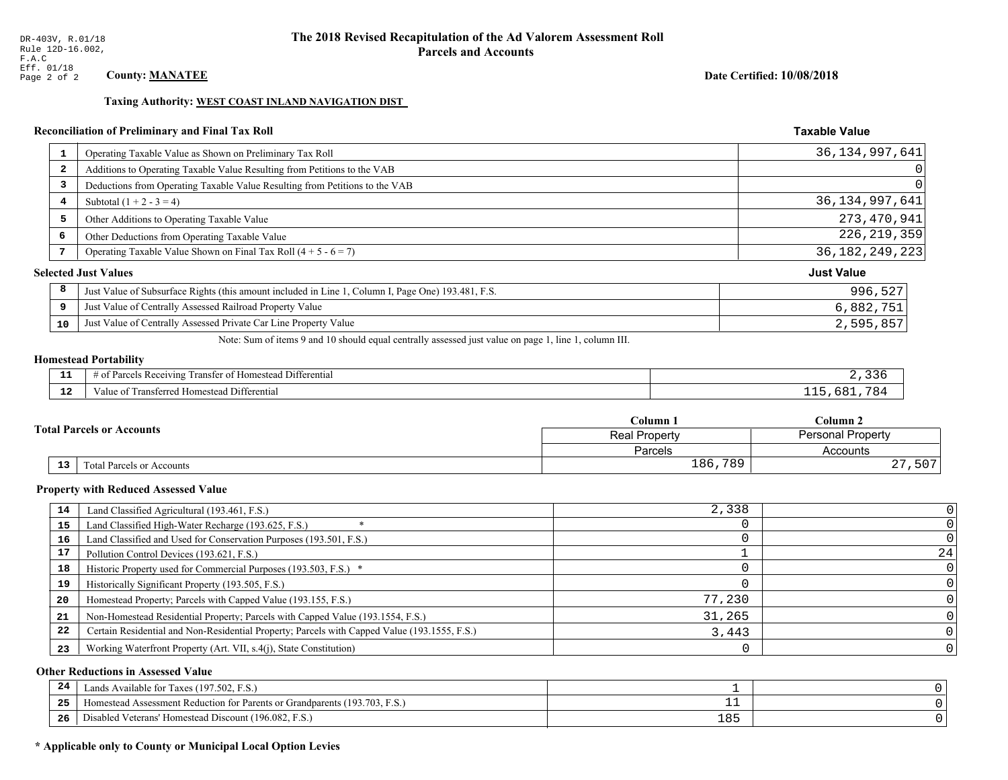#### Date Certified: 10/08/2018

**Taxable Value** 

#### Taxing Authority: WEST COAST INLAND NAVIGATION DIST

# Reconciliation of Preliminary and Final Tax Roll

|    | Operating Taxable Value as Shown on Preliminary Tax Roll                                           | 36, 134, 997, 641 |
|----|----------------------------------------------------------------------------------------------------|-------------------|
| 2  | Additions to Operating Taxable Value Resulting from Petitions to the VAB                           | 0                 |
| 3  | Deductions from Operating Taxable Value Resulting from Petitions to the VAB                        |                   |
| 4  | Subtotal $(1 + 2 - 3 = 4)$                                                                         | 36, 134, 997, 641 |
| 5  | Other Additions to Operating Taxable Value                                                         | 273,470,941       |
| 6  | Other Deductions from Operating Taxable Value                                                      | 226, 219, 359     |
| 7  | Operating Taxable Value Shown on Final Tax Roll $(4 + 5 - 6 = 7)$                                  | 36, 182, 249, 223 |
|    | <b>Selected Just Values</b>                                                                        | <b>Just Value</b> |
| 8  | Just Value of Subsurface Rights (this amount included in Line 1, Column I, Page One) 193.481, F.S. | 996,527           |
| 9  | Just Value of Centrally Assessed Railroad Property Value                                           | 6,882,751         |
| 10 | Just Value of Centrally Assessed Private Car Line Property Value                                   | 2,595,857         |
|    |                                                                                                    |                   |

Note: Sum of items 9 and 10 should equal centrally assessed just value on page 1, line 1, column III.

# **Homestead Portability**

| - -          | .<br>$\cdots$<br>l Differential<br>l ransfer of Homestead .<br>s Receiving<br>arcel. |  |
|--------------|--------------------------------------------------------------------------------------|--|
| $\sim$<br>-- | Transferred Homestead Differential<br>Value of                                       |  |

|                                  | $C$ olumn $1$        | Column 2                 |  |
|----------------------------------|----------------------|--------------------------|--|
| <b>Total Parcels or Accounts</b> | <b>Real Property</b> | <b>Personal Property</b> |  |
|                                  | <b>Parcels</b>       | Accounts                 |  |
| 13<br>Total Parcels or Accounts  | 186,789              | $\cap$<br>,507<br>47     |  |

#### **Property with Reduced Assessed Value**

| 14 | Land Classified Agricultural (193.461, F.S.)                                                 | 2,338  |    |
|----|----------------------------------------------------------------------------------------------|--------|----|
| 15 | Land Classified High-Water Recharge (193.625, F.S.)                                          |        |    |
| 16 | Land Classified and Used for Conservation Purposes (193.501, F.S.)                           |        |    |
| 17 | Pollution Control Devices (193.621, F.S.)                                                    |        | 24 |
| 18 | Historic Property used for Commercial Purposes (193.503, F.S.) *                             |        |    |
| 19 | Historically Significant Property (193.505, F.S.)                                            |        |    |
| 20 | Homestead Property; Parcels with Capped Value (193.155, F.S.)                                | 77,230 |    |
| 21 | Non-Homestead Residential Property; Parcels with Capped Value (193.1554, F.S.)               | 31,265 |    |
| 22 | Certain Residential and Non-Residential Property; Parcels with Capped Value (193.1555, F.S.) | 3,443  |    |
| 23 | Working Waterfront Property (Art. VII, s.4(j), State Constitution)                           |        |    |

#### **Other Reductions in Assessed Value**

| 24  | Lands Available for Taxes (197.502, F.S.)                                                  |     |  |
|-----|--------------------------------------------------------------------------------------------|-----|--|
| -25 | 7103<br>93.703<br>Assessment Reduction for Parents or Grandparents<br>F.S.<br>-Homestead A |     |  |
| -26 | d Veterans' Homestead Discount (196.082, F.S.)<br>Jisabled                                 | 185 |  |

# \* Applicable only to County or Municipal Local Option Levies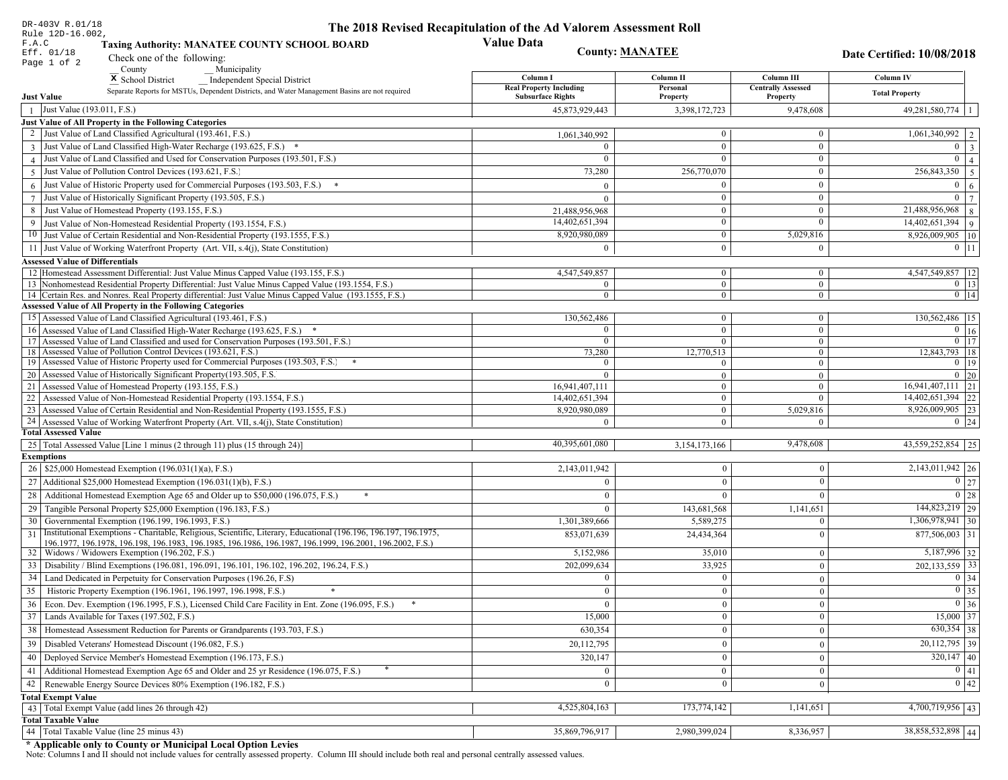| DR-403V R.01/18                                                                                                                                                                          | The 2018 Revised Recapitulation of the Ad Valorem Assessment Roll |                              |                                       |                                  |
|------------------------------------------------------------------------------------------------------------------------------------------------------------------------------------------|-------------------------------------------------------------------|------------------------------|---------------------------------------|----------------------------------|
| Rule 12D-16.002,<br>F.A.C<br><b>Taxing Authority: MANATEE COUNTY SCHOOL BOARD</b>                                                                                                        | <b>Value Data</b>                                                 |                              |                                       |                                  |
| Eff. 01/18<br>Check one of the following:                                                                                                                                                |                                                                   | <b>County: MANATEE</b>       |                                       | Date Certified: 10/08/2018       |
| Page 1 of 2<br>County<br>Municipality                                                                                                                                                    |                                                                   |                              |                                       |                                  |
| <sup>x</sup> School District<br>Independent Special District                                                                                                                             | Column I                                                          | Column II                    | Column III                            | Column IV                        |
| Separate Reports for MSTUs, Dependent Districts, and Water Management Basins are not required<br><b>Just Value</b>                                                                       | <b>Real Property Including</b><br><b>Subsurface Rights</b>        | Personal<br>Property         | <b>Centrally Assessed</b><br>Property | <b>Total Property</b>            |
| Just Value (193.011, F.S.)<br>$\overline{1}$                                                                                                                                             | 45,873,929,443                                                    | 3,398,172,723                | 9,478,608                             | $49,281,580,774$   1             |
| Just Value of All Property in the Following Categories                                                                                                                                   |                                                                   |                              |                                       |                                  |
| 2 Just Value of Land Classified Agricultural (193.461, F.S.)                                                                                                                             | 1,061,340,992                                                     | $\overline{0}$               | $\boldsymbol{0}$                      | 1,061,340,992   2                |
| 3 Just Value of Land Classified High-Water Recharge (193.625, F.S.) *                                                                                                                    |                                                                   | $\mathbf{0}$                 | $\mathbf{0}$                          | $0 \mid 3$                       |
| 4 Just Value of Land Classified and Used for Conservation Purposes (193.501, F.S.)                                                                                                       | $\Omega$                                                          | $\Omega$                     | $\boldsymbol{0}$                      | $\overline{0}$<br>$\vert$ 4      |
| Just Value of Pollution Control Devices (193.621, F.S.)<br>$\overline{5}$                                                                                                                | 73,280                                                            | 256,770,070                  | $\boldsymbol{0}$                      | $\overline{256,843,350}$ 5       |
| $6$ Just Value of Historic Property used for Commercial Purposes (193.503, F.S.) $*$                                                                                                     | $\Omega$                                                          | $\Omega$                     | $\boldsymbol{0}$                      | $\overline{0}$<br>$\overline{6}$ |
| 7 Just Value of Historically Significant Property (193.505, F.S.)                                                                                                                        | $\Omega$                                                          | $\mathbf{0}$                 | $\boldsymbol{0}$                      | $0 \mid 7$                       |
| 8 Just Value of Homestead Property (193.155, F.S.)                                                                                                                                       | 21,488,956,968                                                    | $\bf{0}$                     | $\boldsymbol{0}$                      | $21,488,956,968$ 8               |
| 9 Just Value of Non-Homestead Residential Property (193.1554, F.S.)                                                                                                                      | 14,402,651,394                                                    | $\overline{0}$               | $\Omega$                              | $14,402,651,394$ 9               |
| 10 Just Value of Certain Residential and Non-Residential Property (193.1555, F.S.)                                                                                                       | 8,920,980,089                                                     | $\mathbf{0}$                 | 5,029,816                             | 8,926,009,905   10               |
| 11 Just Value of Working Waterfront Property (Art. VII, s.4(j), State Constitution)                                                                                                      | $\theta$                                                          | $\theta$                     | $\mathbf{0}$                          | $0 \vert 11$                     |
|                                                                                                                                                                                          |                                                                   |                              |                                       |                                  |
| <b>Assessed Value of Differentials</b>                                                                                                                                                   |                                                                   |                              |                                       |                                  |
| 12 Homestead Assessment Differential: Just Value Minus Capped Value (193.155, F.S.)<br>13 Nonhomestead Residential Property Differential: Just Value Minus Capped Value (193.1554, F.S.) | 4,547,549,857<br>$\Omega$                                         | $\mathbf{0}$<br>$\mathbf{0}$ | $\boldsymbol{0}$<br>$\mathbf{0}$      | 4,547,549,857   12<br>$0$   13   |
| 14 Certain Res. and Nonres. Real Property differential: Just Value Minus Capped Value (193.1555, F.S.)                                                                                   | $\mathbf{0}$                                                      | $\mathbf{0}$                 | $\mathbf{0}$                          | $0 \mid 14$                      |
| <b>Assessed Value of All Property in the Following Categories</b>                                                                                                                        |                                                                   |                              |                                       |                                  |
| 15 Assessed Value of Land Classified Agricultural (193.461, F.S.)                                                                                                                        | 130,562,486                                                       | $\mathbf{0}$                 | $\mathbf{0}$                          | 130,562,486 15                   |
| 16 Assessed Value of Land Classified High-Water Recharge (193.625, F.S.)                                                                                                                 | $\Omega$                                                          | $\overline{0}$               | $\boldsymbol{0}$                      | $0$ 16                           |
| 17 Assessed Value of Land Classified and used for Conservation Purposes (193.501, F.S.)                                                                                                  | $\overline{0}$                                                    | $\mathbf{0}$                 | $\mathbf{0}$                          | $\overline{0}$ 17                |
| 18 Assessed Value of Pollution Control Devices (193.621, F.S.)                                                                                                                           | 73,280                                                            | 12,770,513                   | $\overline{0}$                        | 12,843,793 18                    |
| 19 Assessed Value of Historic Property used for Commercial Purposes (193.503, F.S.)                                                                                                      | $\Omega$                                                          | $\Omega$                     | $\mathbf{0}$                          | $0 \mid 19$                      |
| 20 Assessed Value of Historically Significant Property (193.505, F.S.                                                                                                                    | $\theta$                                                          | $\overline{0}$               | $\overline{0}$                        | $0 \mid 20$                      |
| 21 Assessed Value of Homestead Property (193.155, F.S.)                                                                                                                                  | 16,941,407,111                                                    | $\mathbf{0}$                 | $\mathbf{0}$                          | $16,941,407,111$ 21              |
| 22 Assessed Value of Non-Homestead Residential Property (193.1554, F.S.)                                                                                                                 | 14,402,651,394                                                    | $\overline{0}$               | $\mathbf{0}$                          | 14,402,651,394 22                |
| 23 Assessed Value of Certain Residential and Non-Residential Property (193.1555, F.S.)                                                                                                   | 8,920,980,089                                                     | $\mathbf{0}$                 | 5,029,816                             | $8,926,009,905$ 23               |
| 24 Assessed Value of Working Waterfront Property (Art. VII, s.4(j), State Constitution                                                                                                   | $\Omega$                                                          | $\overline{0}$               | $\Omega$                              | $0 \mid 24$                      |
| <b>Total Assessed Value</b>                                                                                                                                                              |                                                                   |                              |                                       |                                  |
| 25   Total Assessed Value [Line 1 minus (2 through 11) plus (15 through 24)]                                                                                                             | 40,395,601,080                                                    | 3,154,173,166                | 9,478,608                             | 43,559,252,854 25                |
| <b>Exemptions</b>                                                                                                                                                                        |                                                                   |                              |                                       |                                  |
| 26   \$25,000 Homestead Exemption (196.031(1)(a), F.S.)                                                                                                                                  | 2,143,011,942                                                     | $\Omega$                     | $\Omega$                              | $2,143,011,942$ 26               |
| 27   Additional \$25,000 Homestead Exemption (196.031(1)(b), F.S.)                                                                                                                       | $\theta$                                                          | $\theta$                     | $\Omega$                              | $\boxed{0}$ 27                   |
| 28 Additional Homestead Exemption Age 65 and Older up to \$50,000 (196.075, F.S.)                                                                                                        |                                                                   | $\Omega$                     | $\Omega$                              | $\boxed{0}$ 28                   |
| 29 Tangible Personal Property \$25,000 Exemption (196.183, F.S.)                                                                                                                         | $\bf{0}$                                                          | 143,681,568                  | 1,141,651                             | 144,823,219 29                   |
| 30 Governmental Exemption (196.199, 196.1993, F.S.)                                                                                                                                      | 1,301,389,666                                                     | 5,589,275                    | $\Omega$                              | $1,306,978,941$ 30               |
| Institutional Exemptions - Charitable, Religious, Scientific, Literary, Educational (196.196, 196.197, 196.1975,<br>31                                                                   | 853,071,639                                                       | 24,434,364                   | $\Omega$                              | $877,506,003$ 31                 |
| 196.1977, 196.1978, 196.198, 196.1983, 196.1985, 196.1986, 196.1987, 196.1999, 196.2001, 196.2002, F.S.)                                                                                 |                                                                   |                              |                                       |                                  |
| 32   Widows / Widowers Exemption (196.202, F.S.)                                                                                                                                         | 5,152,986                                                         | 35,010                       | $\mathbf{0}$                          | 5,187,996 32                     |
| 33   Disability / Blind Exemptions (196.081, 196.091, 196.101, 196.102, 196.202, 196.24, F.S.)                                                                                           | 202,099,634                                                       | 33,925                       | $\Omega$                              | $202, 133, 559$ 33               |
| 34   Land Dedicated in Perpetuity for Conservation Purposes (196.26, F.S)                                                                                                                | $\mathbf{0}$                                                      | $\mathbf{0}$                 | $\Omega$                              | $0 \mid 34$                      |
| 35 Historic Property Exemption (196.1961, 196.1997, 196.1998, F.S.)                                                                                                                      | $\overline{0}$                                                    | $\boldsymbol{0}$             | $\vert 0 \vert$                       | $\boxed{0}$ 35                   |
| 36 Econ. Dev. Exemption (196.1995, F.S.), Licensed Child Care Facility in Ent. Zone (196.095, F.S.)                                                                                      | $\overline{0}$                                                    | $\mathbf{0}$                 | $\theta$                              | $0\vert 36$                      |
| 37 Lands Available for Taxes (197.502, F.S.)                                                                                                                                             | 15,000                                                            | $\overline{0}$               | $\mathbf{0}$                          | $15,000$ 37                      |
| 38   Homestead Assessment Reduction for Parents or Grandparents (193.703, F.S.)                                                                                                          | 630,354                                                           | $\mathbf{0}$                 | $\overline{0}$                        | $630,354$ 38                     |
| 39   Disabled Veterans' Homestead Discount (196.082, F.S.)                                                                                                                               | 20,112,795                                                        | $\Omega$                     | $\mathbf{0}$                          | $\boxed{20,112,795}$ 39          |
| 40   Deployed Service Member's Homestead Exemption (196.173, F.S.)                                                                                                                       | 320,147                                                           | $\mathbf{0}$                 | $\theta$                              | $320,147$ 40                     |
| 41   Additional Homestead Exemption Age 65 and Older and 25 yr Residence (196.075, F.S.)                                                                                                 | $\mathbf{0}$                                                      | $\Omega$                     | $\Omega$                              | $\boxed{0}$   41                 |
| 42 Renewable Energy Source Devices 80% Exemption (196.182, F.S.)                                                                                                                         | $\mathbf{0}$                                                      | $\mathbf{0}$                 | $\theta$                              | 0 42                             |
| <b>Total Exempt Value</b>                                                                                                                                                                |                                                                   |                              |                                       |                                  |
| 43 Total Exempt Value (add lines 26 through 42)                                                                                                                                          | 4,525,804,163                                                     | 173,774,142                  | 1,141,651                             | $4,700,719,956$ 43               |
| <b>Total Taxable Value</b>                                                                                                                                                               |                                                                   |                              |                                       |                                  |
| 44 Total Taxable Value (line 25 minus 43)                                                                                                                                                | 35,869,796,917                                                    | 2,980,399,024                | 8,336,957                             | 38,858,532,898 44                |
|                                                                                                                                                                                          |                                                                   |                              |                                       |                                  |